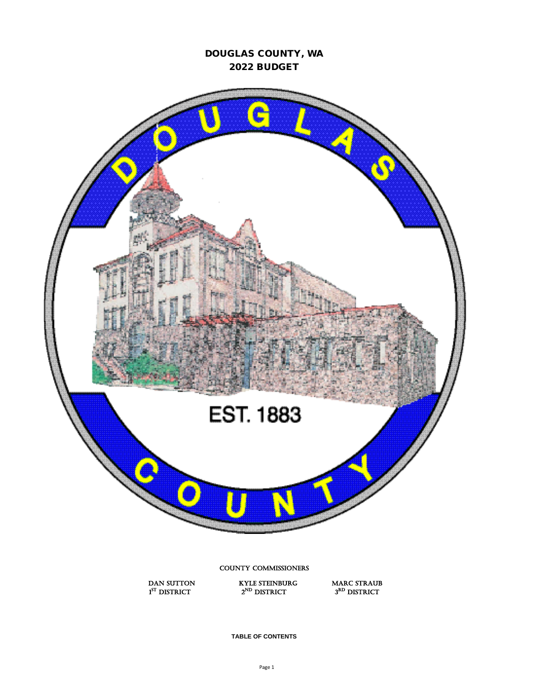# DOUGLAS COUNTY, WA 2022 BUDGET



**TABLE OF CONTENTS**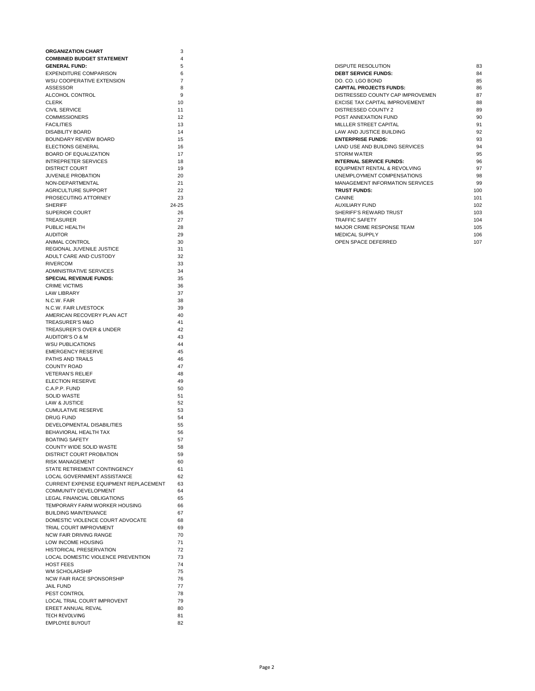| <b>ORGANIZATION CHART</b>                                | 3        |
|----------------------------------------------------------|----------|
| <b>COMBINED BUDGET STATEMENT</b><br><b>GENERAL FUND:</b> | 4<br>5   |
| <b>EXPENDITURE COMPARISON</b>                            | 6        |
| WSU COOPERATIVE EXTENSION                                | 7        |
| <b>ASSESSOR</b>                                          | 8        |
| ALCOHOL CONTROL                                          | 9        |
| <b>CLERK</b>                                             | 10       |
| <b>CIVIL SERVICE</b>                                     | 11       |
| <b>COMMISSIONERS</b><br><b>FACILITIES</b>                | 12<br>13 |
| <b>DISABILITY BOARD</b>                                  | 14       |
| BOUNDARY REVIEW BOARD                                    | 15       |
| ELECTIONS GENERAL                                        | 16       |
| BOARD OF EQUALIZATION                                    | 17       |
| <b>INTREPRETER SERVICES</b>                              | 18       |
| <b>DISTRICT COURT</b>                                    | 19       |
| JUVENILE PROBATION                                       | 20       |
| NON-DEPARTMENTAL<br>AGRICULTURE SUPPORT                  | 21<br>22 |
| PROSECUTING ATTORNEY                                     | 23       |
| <b>SHERIFF</b>                                           | 24-25    |
| SUPERIOR COURT                                           | 26       |
| <b>TREASURER</b>                                         | 27       |
| PUBLIC HEALTH                                            | 28       |
| <b>AUDITOR</b>                                           | 29       |
| ANIMAL CONTROL                                           | 30       |
| REGIONAL JUVENILE JUSTICE                                | 31       |
| ADULT CARE AND CUSTODY<br>RIVERCOM                       | 32<br>33 |
| ADMINISTRATIVE SERVICES                                  | 34       |
| <b>SPECIAL REVENUE FUNDS:</b>                            | 35       |
| <b>CRIME VICTIMS</b>                                     | 36       |
| <b>LAW LIBRARY</b>                                       | 37       |
| N.C.W. FAIR                                              | 38       |
| N.C.W. FAIR LIVESTOCK                                    | 39       |
| AMERICAN RECOVERY PLAN ACT                               | 40       |
| TREASURER'S M&O<br>TREASURER'S OVER & UNDER              | 41<br>42 |
| AUDITOR'S O & M                                          | 43       |
| <b>WSU PUBLICATIONS</b>                                  | 44       |
| <b>EMERGENCY RESERVE</b>                                 | 45       |
| PATHS AND TRAILS                                         | 46       |
| <b>COUNTY ROAD</b>                                       | 47       |
| <b>VETERAN'S RELIEF</b>                                  | 48       |
| <b>ELECTION RESERVE</b>                                  | 49       |
| C.A.P.P. FUND<br><b>SOLID WASTE</b>                      | 50<br>51 |
| LAW & JUSTICE                                            | 52       |
| <b>CUMULATIVE RESERVE</b>                                | 53       |
| <b>DRUG FUND</b>                                         | 54       |
| DEVELOPMENTAL DISABILITIES                               | 55       |
| BEHAVIORAL HEALTH TAX                                    | 56       |
| BOATING SAFETY                                           | 57       |
| COUNTY WIDE SOLID WASTE                                  | 58       |
| DISTRICT COURT PROBATION                                 | 59       |
| <b>RISK MANAGEMENT</b><br>STATE RETIREMENT CONTINGENCY   | 60<br>61 |
| LOCAL GOVERNMENT ASSISTANCE                              | 62       |
| <b>CURRENT EXPENSE EQUIPMENT REPLACEMENT</b>             | 63       |
| COMMUNITY DEVELOPMENT                                    | 64       |
| LEGAL FINANCIAL OBLIGATIONS                              | 65       |
| TEMPORARY FARM WORKER HOUSING                            | 66       |
| <b>BUILDING MAINTENANCE</b>                              | 67       |
| DOMESTIC VIOLENCE COURT ADVOCATE                         | 68       |
| TRIAL COURT IMPROVMENT<br><b>NCW FAIR DRIVING RANGE</b>  | 69<br>70 |
| LOW INCOME HOUSING                                       | 71       |
| HISTORICAL PRESERVATION                                  | 72       |
| LOCAL DOMESTIC VIOLENCE PREVENTION                       | 73       |
| <b>HOST FEES</b>                                         | 74       |
| <b>WM SCHOLARSHIP</b>                                    | 75       |
| <b>NCW FAIR RACE SPONSORSHIP</b>                         | 76       |
| <b>JAIL FUND</b>                                         | 77       |
| PEST CONTROL                                             | 78       |
| LOCAL TRIAL COURT IMPROVENT                              | 79       |
| EREET ANNUAL REVAL<br><b>TECH REVOLVING</b>              | 80<br>81 |
| <b>EMPLOYEE BUYOUT</b>                                   | 82       |
|                                                          |          |

| <b>GENERAL FUND:</b>          | 5     | <b>DISPUTE RESOLUTION</b>               | 83  |
|-------------------------------|-------|-----------------------------------------|-----|
| <b>EXPENDITURE COMPARISON</b> | 6     | <b>DEBT SERVICE FUNDS:</b>              | 84  |
| WSU COOPERATIVE EXTENSION     |       | DO. CO. LGO BOND                        | 85  |
| ASSESSOR                      | 8     | <b>CAPITAL PROJECTS FUNDS:</b>          | 86  |
| ALCOHOL CONTROL               | g     | DISTRESSED COUNTY CAP IMPROVEMEN        | 87  |
| CLERK                         | 10    | EXCISE TAX CAPITAL IMPROVEMENT          | 88  |
| CIVIL SERVICE                 | 11    | DISTRESSED COUNTY 2                     | 89  |
| <b>COMMISSIONERS</b>          | 12    | POST ANNEXATION FUND                    | 90  |
| <b>FACILITIES</b>             | 13    | MILLLER STREET CAPITAL                  | 91  |
| <b>DISABILITY BOARD</b>       | 14    | LAW AND JUSTICE BUILDING                | 92  |
| BOUNDARY REVIEW BOARD         | 15    | <b>ENTERPRISE FUNDS:</b>                | 93  |
| ELECTIONS GENERAL             | 16    | LAND USE AND BUILDING SERVICES          | 94  |
| BOARD OF EQUALIZATION         | 17    | <b>STORM WATER</b>                      | 95  |
| <b>INTREPRETER SERVICES</b>   | 18    | <b>INTERNAL SERVICE FUNDS:</b>          | 96  |
| DISTRICT COURT                | 19    | <b>EQUIPMENT RENTAL &amp; REVOLVING</b> | 97  |
| <b>JUVENILE PROBATION</b>     | 20    | UNEMPLOYMENT COMPENSATIONS              | 98  |
| NON-DEPARTMENTAL              | 21    | MANAGEMENT INFORMATION SERVICES         | 99  |
| AGRICULTURE SUPPORT           | 22    | <b>TRUST FUNDS:</b>                     | 100 |
| PROSECUTING ATTORNEY          | 23    | <b>CANINE</b>                           | 101 |
| <b>SHERIFF</b>                | 24-25 | <b>AUXILIARY FUND</b>                   | 102 |
| SUPERIOR COURT                | 26    | SHERIFF'S REWARD TRUST                  | 103 |
| TREASURER                     | 27    | <b>TRAFFIC SAFETY</b>                   | 104 |
| PUBLIC HEALTH                 | 28    | MAJOR CRIME RESPONSE TEAM               | 105 |
| <b>AUDITOR</b>                | 29    | <b>MEDICAL SUPPLY</b>                   | 106 |
| ANIMAL CONTROL                | 30    | OPEN SPACE DEFERRED                     | 107 |
| REGIONAL JUVENILE JUSTICE     | 31    |                                         |     |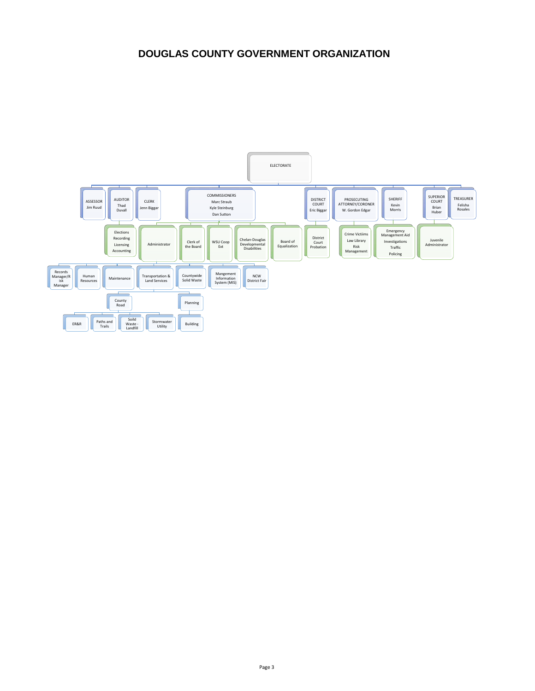# **DOUGLAS COUNTY GOVERNMENT ORGANIZATION**

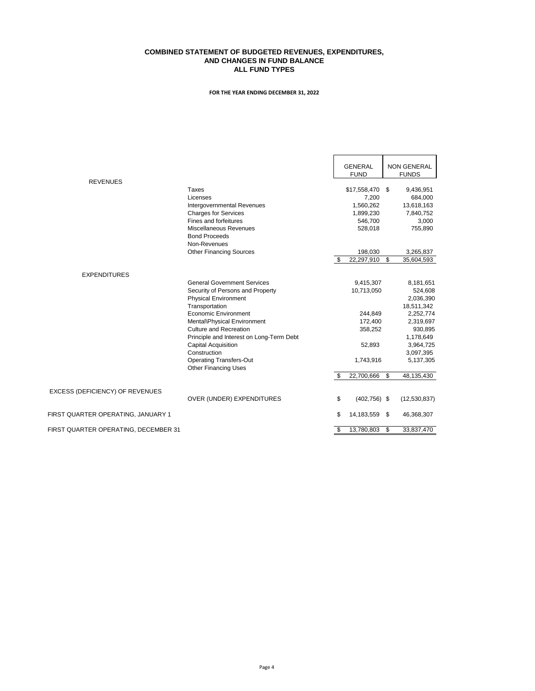#### **COMBINED STATEMENT OF BUDGETED REVENUES, EXPENDITURES, AND CHANGES IN FUND BALANCE ALL FUND TYPES**

# **FOR THE YEAR ENDING DECEMBER 31, 2022**

|                                      |                                                               | <b>GENERAL</b><br><b>FUND</b> |      | <b>NON GENERAL</b><br><b>FUNDS</b> |
|--------------------------------------|---------------------------------------------------------------|-------------------------------|------|------------------------------------|
| <b>REVENUES</b>                      |                                                               |                               |      |                                    |
|                                      | Taxes                                                         | $$17,558,470$ \$              |      | 9,436,951                          |
|                                      | Licenses                                                      | 7.200                         |      | 684,000                            |
|                                      | Intergovernmental Revenues                                    | 1,560,262                     |      | 13,618,163                         |
|                                      | <b>Charges for Services</b>                                   | 1,899,230                     |      | 7,840,752                          |
|                                      | Fines and forfeitures                                         | 546,700                       |      | 3,000                              |
|                                      | Miscellaneous Revenues                                        | 528,018                       |      | 755,890                            |
|                                      | <b>Bond Proceeds</b>                                          |                               |      |                                    |
|                                      | Non-Revenues                                                  |                               |      |                                    |
|                                      | <b>Other Financing Sources</b>                                | 198,030                       |      | 3,265,837                          |
|                                      |                                                               | 22,297,910<br>\$.             | \$   | 35,604,593                         |
| <b>EXPENDITURES</b>                  |                                                               |                               |      |                                    |
|                                      | <b>General Government Services</b>                            | 9,415,307                     |      | 8,181,651                          |
|                                      | Security of Persons and Property                              | 10,713,050                    |      | 524,608                            |
|                                      | <b>Physical Environment</b>                                   |                               |      | 2,036,390                          |
|                                      | Transportation                                                |                               |      | 18,511,342                         |
|                                      | Economic Environment                                          | 244,849                       |      | 2,252,774                          |
|                                      | Mental\Physical Environment                                   | 172,400                       |      | 2,319,697                          |
|                                      | <b>Culture and Recreation</b>                                 | 358,252                       |      | 930,895                            |
|                                      | Principle and Interest on Long-Term Debt                      |                               |      | 1,178,649                          |
|                                      | <b>Capital Acquisition</b>                                    | 52,893                        |      | 3,964,725                          |
|                                      | Construction                                                  |                               |      | 3,097,395                          |
|                                      | <b>Operating Transfers-Out</b><br><b>Other Financing Uses</b> | 1,743,916                     |      | 5,137,305                          |
|                                      |                                                               | 22,700,666<br>\$.             | \$   | 48,135,430                         |
| EXCESS (DEFICIENCY) OF REVENUES      |                                                               |                               |      |                                    |
|                                      | OVER (UNDER) EXPENDITURES                                     | \$<br>$(402, 756)$ \$         |      | (12, 530, 837)                     |
| FIRST QUARTER OPERATING, JANUARY 1   |                                                               | \$<br>14,183,559              | - \$ | 46,368,307                         |
| FIRST QUARTER OPERATING, DECEMBER 31 |                                                               | 13,780,803                    | \$   | 33,837,470                         |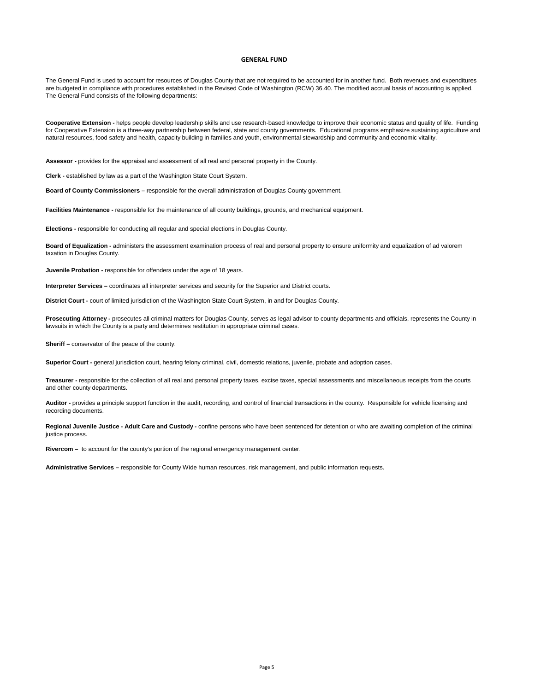#### **GENERAL FUND**

The General Fund is used to account for resources of Douglas County that are not required to be accounted for in another fund. Both revenues and expenditures are budgeted in compliance with procedures established in the Revised Code of Washington (RCW) 36.40. The modified accrual basis of accounting is applied. The General Fund consists of the following departments:

**Cooperative Extension -** helps people develop leadership skills and use research-based knowledge to improve their economic status and quality of life. Funding for Cooperative Extension is a three-way partnership between federal, state and county governments. Educational programs emphasize sustaining agriculture and natural resources, food safety and health, capacity building in families and youth, environmental stewardship and community and economic vitality.

**Assessor -** provides for the appraisal and assessment of all real and personal property in the County.

**Clerk -** established by law as a part of the Washington State Court System.

**Board of County Commissioners –** responsible for the overall administration of Douglas County government.

**Facilities Maintenance -** responsible for the maintenance of all county buildings, grounds, and mechanical equipment.

**Elections -** responsible for conducting all regular and special elections in Douglas County.

**Board of Equalization -** administers the assessment examination process of real and personal property to ensure uniformity and equalization of ad valorem taxation in Douglas County.

**Juvenile Probation - responsible for offenders under the age of 18 years.** 

**Interpreter Services –** coordinates all interpreter services and security for the Superior and District courts.

**District Court -** court of limited jurisdiction of the Washington State Court System, in and for Douglas County.

Prosecuting Attorney - prosecutes all criminal matters for Douglas County, serves as legal advisor to county departments and officials, represents the County in lawsuits in which the County is a party and determines restitution in appropriate criminal cases.

**Sheriff –** conservator of the peace of the county.

**Superior Court -** general jurisdiction court, hearing felony criminal, civil, domestic relations, juvenile, probate and adoption cases.

**Treasurer -** responsible for the collection of all real and personal property taxes, excise taxes, special assessments and miscellaneous receipts from the courts and other county departments.

Auditor - provides a principle support function in the audit, recording, and control of financial transactions in the county. Responsible for vehicle licensing and recording documents.

**Regional Juvenile Justice - Adult Care and Custody -** confine persons who have been sentenced for detention or who are awaiting completion of the criminal justice process.

**Rivercom –** to account for the county's portion of the regional emergency management center.

**Administrative Services –** responsible for County Wide human resources, risk management, and public information requests.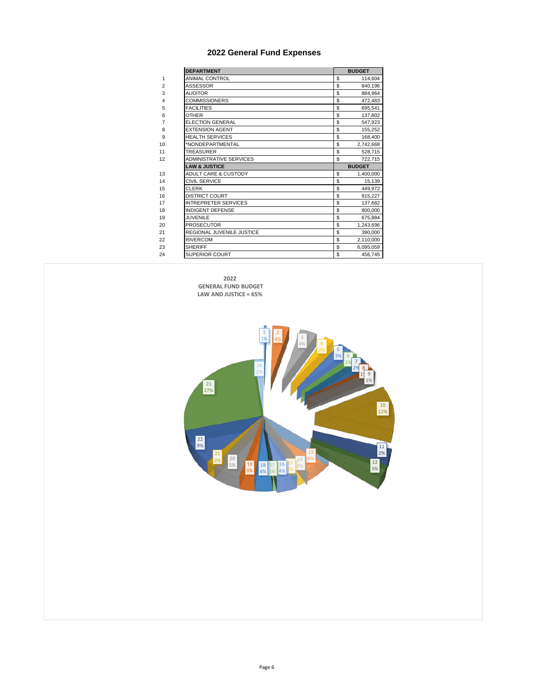# **2022 General Fund Expenses**

|                         | <b>DEPARTMENT</b>               | <b>BUDGET</b>   |
|-------------------------|---------------------------------|-----------------|
| 1                       | <b>ANIMAL CONTROL</b>           | \$<br>114,604   |
| $\overline{2}$          | ASSESSOR                        | \$<br>840.196   |
| 3                       | <b>AUDITOR</b>                  | \$<br>884,964   |
| $\overline{\mathbf{4}}$ | <b>COMMISSIONERS</b>            | \$<br>472,483   |
| 5                       | <b>FACILITIES</b>               | \$<br>695.541   |
| 6                       | OTHER                           | \$<br>137,802   |
| $\overline{7}$          | <b>ELECTION GENERAL</b>         | \$<br>547,923   |
| 8                       | <b>EXTENSION AGENT</b>          | \$<br>155,252   |
| 9                       | <b>HEALTH SERVICES</b>          | \$<br>168,400   |
| 10                      | *NONDEPARTMENTAL                | \$<br>2,742,668 |
| 11                      | TREASURER                       | \$<br>528,715   |
| 12                      | <b>ADMINISTRATIVE SERVICES</b>  | \$<br>722,715   |
|                         |                                 |                 |
|                         | <b>LAW &amp; JUSTICE</b>        | <b>BUDGET</b>   |
| 13                      | <b>ADULT CARE &amp; CUSTODY</b> | \$<br>1.400.000 |
| 14                      | CIVIL SERVICE                   | \$<br>15,139    |
| 15                      | <b>CLERK</b>                    | \$<br>449,972   |
| 16                      | DISTRICT COURT                  | \$<br>915,227   |
| 17                      | <b>INTREPRETER SERVICES</b>     | \$<br>137,682   |
| 18                      | <b>INDIGENT DEFENSE</b>         | \$<br>800,000   |
| 19                      | <b>JUVENILE</b>                 | \$<br>675,884   |
| 20                      | <b>PROSECUTOR</b>               | \$<br>1,243,696 |
| 21                      | REGIONAL JUVENILE JUSTICE       | \$<br>390,000   |
| 22                      | <b>RIVERCOM</b>                 | \$<br>2,110,000 |
| 23                      | <b>SHERIFF</b>                  | \$<br>6,095,059 |



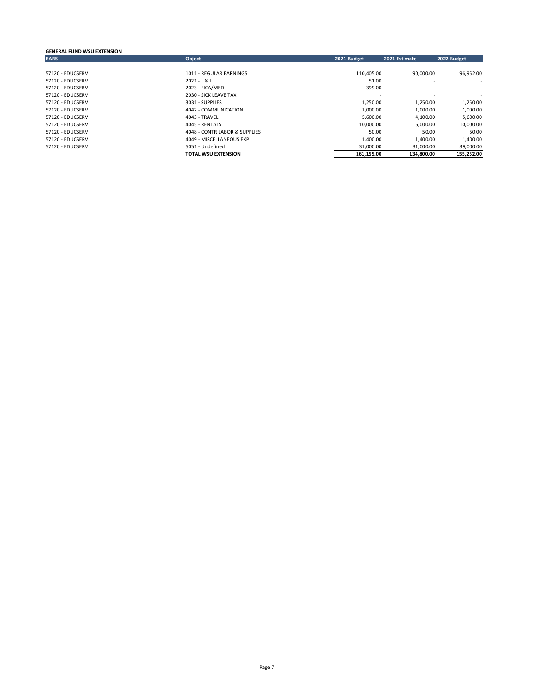# **GENERAL FUND WSU EXTENSION**

| <b>BARS</b>      | <b>Object</b>                 | 2021 Budget | 2021 Estimate | 2022 Budget              |
|------------------|-------------------------------|-------------|---------------|--------------------------|
|                  |                               |             |               |                          |
| 57120 - EDUCSERV | 1011 - REGULAR EARNINGS       | 110.405.00  | 90.000.00     | 96,952.00                |
| 57120 - EDUCSERV | $2021 - L & 1$                | 51.00       |               | $\overline{\phantom{a}}$ |
| 57120 - EDUCSERV | 2023 - FICA/MED               | 399.00      |               | $\overline{\phantom{a}}$ |
| 57120 - EDUCSERV | 2030 - SICK LEAVE TAX         |             |               | $\overline{\phantom{a}}$ |
| 57120 - EDUCSERV | 3031 - SUPPLIES               | 1.250.00    | 1.250.00      | 1,250.00                 |
| 57120 - EDUCSERV | 4042 - COMMUNICATION          | 1.000.00    | 1,000.00      | 1,000.00                 |
| 57120 - EDUCSERV | 4043 - TRAVEL                 | 5.600.00    | 4,100.00      | 5,600.00                 |
| 57120 - EDUCSERV | 4045 - RENTALS                | 10.000.00   | 6.000.00      | 10,000.00                |
| 57120 - EDUCSERV | 4048 - CONTR LABOR & SUPPLIES | 50.00       | 50.00         | 50.00                    |
| 57120 - EDUCSERV | 4049 - MISCELLANEOUS EXP      | 1,400.00    | 1,400.00      | 1,400.00                 |
| 57120 - EDUCSERV | 5051 - Undefined              | 31.000.00   | 31.000.00     | 39,000.00                |
|                  | <b>TOTAL WSU EXTENSION</b>    | 161.155.00  | 134,800.00    | 155,252.00               |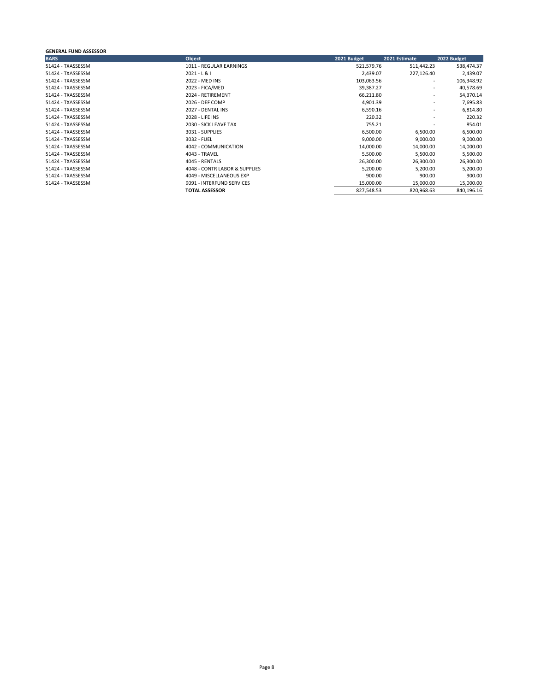## **GENERAL FUND ASSESSOR**

| <b>BARS</b>       | <b>Object</b>                 | 2021 Budget | 2021 Estimate | 2022 Budget |
|-------------------|-------------------------------|-------------|---------------|-------------|
| 51424 - TXASSESSM | 1011 - REGULAR EARNINGS       | 521,579.76  | 511,442.23    | 538,474.37  |
| 51424 - TXASSESSM | $2021 - L & 1$                | 2,439.07    | 227,126.40    | 2,439.07    |
| 51424 - TXASSESSM | 2022 - MED INS                | 103,063.56  | ۰             | 106,348.92  |
| 51424 - TXASSESSM | 2023 - FICA/MED               | 39,387.27   | ۰             | 40,578.69   |
| 51424 - TXASSESSM | 2024 - RETIREMENT             | 66,211.80   | ٠             | 54,370.14   |
| 51424 - TXASSESSM | 2026 - DEF COMP               | 4,901.39    | ۰             | 7,695.83    |
| 51424 - TXASSESSM | 2027 - DENTAL INS             | 6,590.16    | ٠             | 6,814.80    |
| 51424 - TXASSESSM | 2028 - LIFE INS               | 220.32      | ۰             | 220.32      |
| 51424 - TXASSESSM | 2030 - SICK LEAVE TAX         | 755.21      | ٠             | 854.01      |
| 51424 - TXASSESSM | 3031 - SUPPLIES               | 6,500.00    | 6,500.00      | 6,500.00    |
| 51424 - TXASSESSM | 3032 - FUEL                   | 9,000.00    | 9,000.00      | 9,000.00    |
| 51424 - TXASSESSM | 4042 - COMMUNICATION          | 14,000.00   | 14,000.00     | 14,000.00   |
| 51424 - TXASSESSM | 4043 - TRAVEL                 | 5,500.00    | 5,500.00      | 5,500.00    |
| 51424 - TXASSESSM | 4045 - RENTALS                | 26,300.00   | 26,300.00     | 26,300.00   |
| 51424 - TXASSESSM | 4048 - CONTR LABOR & SUPPLIES | 5,200.00    | 5,200.00      | 5,200.00    |
| 51424 - TXASSESSM | 4049 - MISCELLANEOUS EXP      | 900.00      | 900.00        | 900.00      |
| 51424 - TXASSESSM | 9091 - INTERFUND SERVICES     | 15,000.00   | 15,000.00     | 15,000.00   |
|                   | <b>TOTAL ASSESSOR</b>         | 827,548.53  | 820,968.63    | 840,196.16  |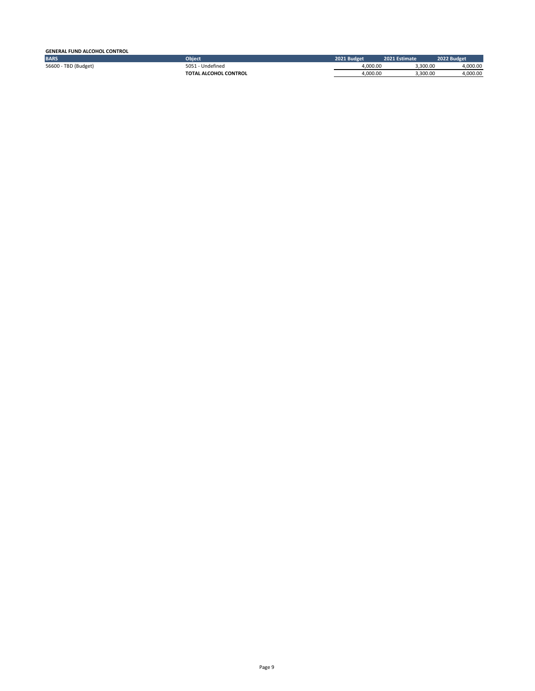| <b>GENERAL FUND ALCOHOL CONTROL</b> |                       |             |               |             |
|-------------------------------------|-----------------------|-------------|---------------|-------------|
| <b>BARS</b>                         | <b>Object</b>         | 2021 Budget | 2021 Estimate | 2022 Budget |
| 56600 - TBD (Budget)                | 5051 - Undefined      | 4.000.00    | 3.300.00      | .000.00     |
|                                     | TOTAL ALCOHOL CONTROL | 4.000.00    | 3.300.00      | .000.00     |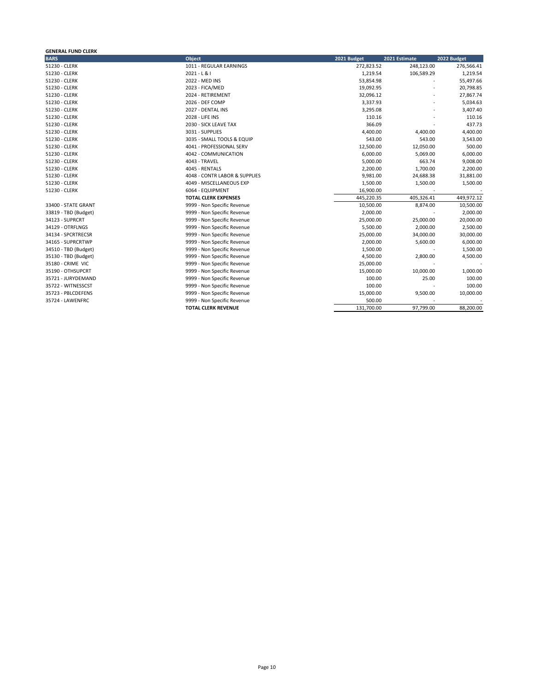| <b>GENERAL FUND CLERK</b> |                               |             |               |             |
|---------------------------|-------------------------------|-------------|---------------|-------------|
| <b>BARS</b>               | Object                        | 2021 Budget | 2021 Estimate | 2022 Budget |
| 51230 - CLERK             | 1011 - REGULAR EARNINGS       | 272,823.52  | 248,123.00    | 276,566.41  |
| 51230 - CLERK             | $2021 - L & 1$                | 1,219.54    | 106,589.29    | 1,219.54    |
| 51230 - CLERK             | 2022 - MED INS                | 53,854.98   |               | 55,497.66   |
| 51230 - CLERK             | 2023 - FICA/MED               | 19,092.95   |               | 20,798.85   |
| 51230 - CLERK             | 2024 - RETIREMENT             | 32,096.12   |               | 27,867.74   |
| 51230 - CLERK             | 2026 - DEF COMP               | 3,337.93    |               | 5,034.63    |
| 51230 - CLERK             | 2027 - DENTAL INS             | 3,295.08    |               | 3,407.40    |
| 51230 - CLERK             | 2028 - LIFE INS               | 110.16      |               | 110.16      |
| 51230 - CLERK             | 2030 - SICK LEAVE TAX         | 366.09      |               | 437.73      |
| 51230 - CLERK             | 3031 - SUPPLIES               | 4,400.00    | 4,400.00      | 4,400.00    |
| 51230 - CLERK             | 3035 - SMALL TOOLS & EQUIP    | 543.00      | 543.00        | 3,543.00    |
| 51230 - CLERK             | 4041 - PROFESSIONAL SERV      | 12,500.00   | 12,050.00     | 500.00      |
| 51230 - CLERK             | 4042 - COMMUNICATION          | 6,000.00    | 5,069.00      | 6,000.00    |
| 51230 - CLERK             | 4043 - TRAVEL                 | 5,000.00    | 663.74        | 9,008.00    |
| 51230 - CLERK             | 4045 - RENTALS                | 2,200.00    | 1,700.00      | 2,200.00    |
| 51230 - CLERK             | 4048 - CONTR LABOR & SUPPLIES | 9,981.00    | 24,688.38     | 31,881.00   |
| 51230 - CLERK             | 4049 - MISCELLANEOUS EXP      | 1,500.00    | 1,500.00      | 1,500.00    |
| 51230 - CLERK             | 6064 - EQUIPMENT              | 16,900.00   |               |             |
|                           | <b>TOTAL CLERK EXPENSES</b>   | 445,220.35  | 405,326.41    | 449,972.12  |
| 33400 - STATE GRANT       | 9999 - Non Specific Revenue   | 10,500.00   | 8,874.00      | 10,500.00   |
| 33819 - TBD (Budget)      | 9999 - Non Specific Revenue   | 2,000.00    |               | 2,000.00    |
| 34123 - SUPRCRT           | 9999 - Non Specific Revenue   | 25,000.00   | 25,000.00     | 20,000.00   |
| 34129 - OTRFLNGS          | 9999 - Non Specific Revenue   | 5,500.00    | 2,000.00      | 2,500.00    |
| 34134 - SPCRTRECSR        | 9999 - Non Specific Revenue   | 25,000.00   | 34,000.00     | 30,000.00   |
| 34165 - SUPRCRTWP         | 9999 - Non Specific Revenue   | 2,000.00    | 5,600.00      | 6,000.00    |
| 34510 - TBD (Budget)      | 9999 - Non Specific Revenue   | 1,500.00    |               | 1,500.00    |
| 35130 - TBD (Budget)      | 9999 - Non Specific Revenue   | 4,500.00    | 2,800.00      | 4,500.00    |
| 35180 - CRIME VIC         | 9999 - Non Specific Revenue   | 25,000.00   |               |             |
| 35190 - OTHSUPCRT         | 9999 - Non Specific Revenue   | 15,000.00   | 10,000.00     | 1,000.00    |
| 35721 - JURYDEMAND        | 9999 - Non Specific Revenue   | 100.00      | 25.00         | 100.00      |
| 35722 - WITNESSCST        | 9999 - Non Specific Revenue   | 100.00      |               | 100.00      |
| 35723 - PBLCDEFENS        | 9999 - Non Specific Revenue   | 15,000.00   | 9,500.00      | 10,000.00   |
| 35724 - LAWENFRC          | 9999 - Non Specific Revenue   | 500.00      |               |             |
|                           | <b>TOTAL CLERK REVENUE</b>    | 131,700.00  | 97,799.00     | 88,200.00   |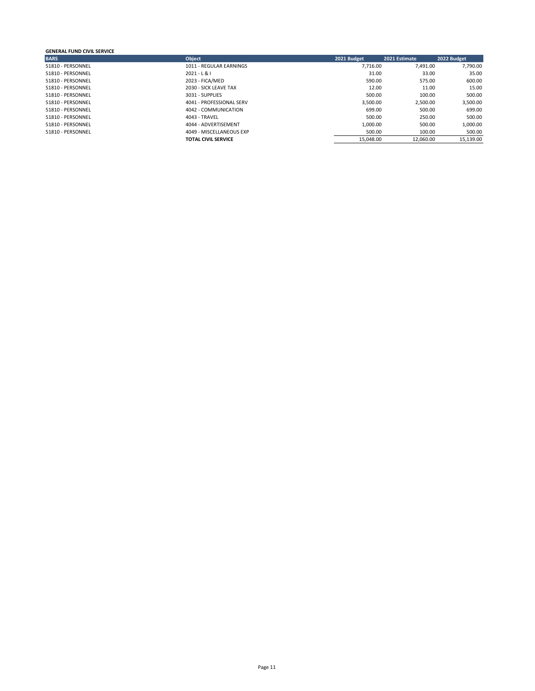# **GENERAL FUND CIVIL SERVICE**

| <b>BARS</b>       | Object                     | 2021 Budget | 2021 Estimate | 2022 Budget |
|-------------------|----------------------------|-------------|---------------|-------------|
| 51810 - PERSONNEL | 1011 - REGULAR EARNINGS    | 7.716.00    | 7.491.00      | 7,790.00    |
| 51810 - PERSONNEL | $2021 - 181$               | 31.00       | 33.00         | 35.00       |
| 51810 - PERSONNEL | 2023 - FICA/MED            | 590.00      | 575.00        | 600.00      |
| 51810 - PERSONNEL | 2030 - SICK LEAVE TAX      | 12.00       | 11.00         | 15.00       |
| 51810 - PERSONNEL | 3031 - SUPPLIES            | 500.00      | 100.00        | 500.00      |
| 51810 - PERSONNEL | 4041 - PROFESSIONAL SERV   | 3.500.00    | 2.500.00      | 3,500.00    |
| 51810 - PERSONNEL | 4042 - COMMUNICATION       | 699.00      | 500.00        | 699.00      |
| 51810 - PERSONNEL | 4043 - TRAVEL              | 500.00      | 250.00        | 500.00      |
| 51810 - PERSONNEL | 4044 - ADVERTISEMENT       | 1.000.00    | 500.00        | 1,000.00    |
| 51810 - PERSONNEL | 4049 - MISCELLANEOUS EXP   | 500.00      | 100.00        | 500.00      |
|                   | <b>TOTAL CIVIL SERVICE</b> | 15.048.00   | 12.060.00     | 15,139.00   |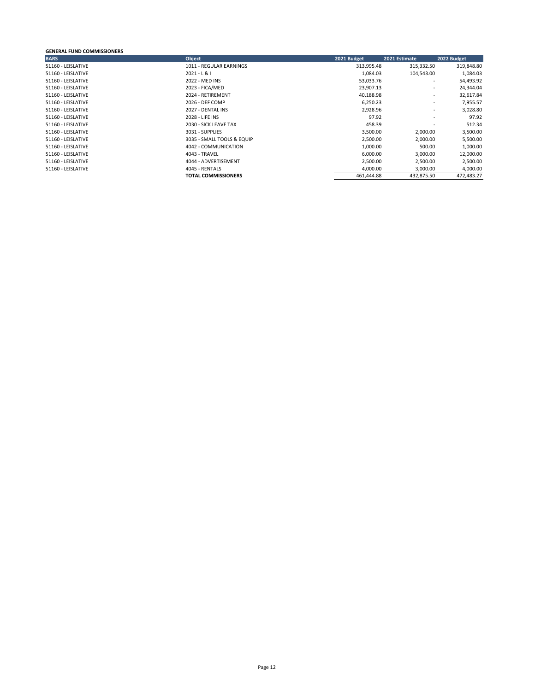### **GENERAL FUND COMMISSIONERS**

| <b>BARS</b>        | <b>Object</b>              | 2021 Budget | 2021 Estimate | 2022 Budget |
|--------------------|----------------------------|-------------|---------------|-------------|
| 51160 - LEISLATIVE | 1011 - REGULAR EARNINGS    | 313,995.48  | 315,332.50    | 319,848.80  |
| 51160 - LEISLATIVE | $2021 - L & 1$             | 1,084.03    | 104,543.00    | 1,084.03    |
| 51160 - LEISLATIVE | 2022 - MED INS             | 53,033.76   | ٠             | 54,493.92   |
| 51160 - LEISLATIVE | 2023 - FICA/MED            | 23,907.13   | ٠             | 24,344.04   |
| 51160 - LEISLATIVE | 2024 - RETIREMENT          | 40,188.98   | ٠             | 32,617.84   |
| 51160 - LEISLATIVE | 2026 - DEF COMP            | 6,250.23    | ٠             | 7,955.57    |
| 51160 - LEISLATIVE | 2027 - DENTAL INS          | 2,928.96    | ۰             | 3,028.80    |
| 51160 - LEISLATIVE | 2028 - LIFE INS            | 97.92       | ٠             | 97.92       |
| 51160 - LEISLATIVE | 2030 - SICK LEAVE TAX      | 458.39      |               | 512.34      |
| 51160 - LEISLATIVE | 3031 - SUPPLIES            | 3,500.00    | 2,000.00      | 3,500.00    |
| 51160 - LEISLATIVE | 3035 - SMALL TOOLS & EQUIP | 2,500.00    | 2,000.00      | 5,500.00    |
| 51160 - LEISLATIVE | 4042 - COMMUNICATION       | 1,000.00    | 500.00        | 1,000.00    |
| 51160 - LEISLATIVE | 4043 - TRAVEL              | 6,000.00    | 3,000.00      | 12,000.00   |
| 51160 - LEISLATIVE | 4044 - ADVERTISEMENT       | 2,500.00    | 2,500.00      | 2,500.00    |
| 51160 - LEISLATIVE | 4045 - RENTALS             | 4,000.00    | 3,000.00      | 4,000.00    |
|                    | <b>TOTAL COMMISSIONERS</b> | 461.444.88  | 432.875.50    | 472.483.27  |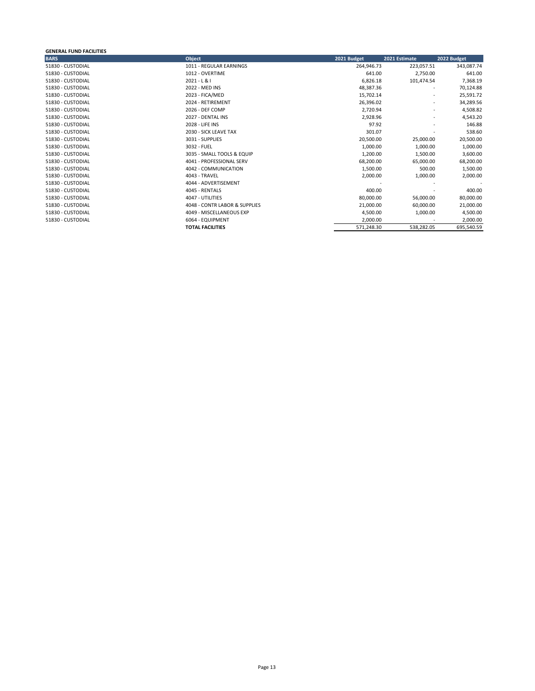## **GENERAL FUND FACILITIES**

| <b>BARS</b>       | Object                        | 2021 Budget | 2021 Estimate            | 2022 Budget |
|-------------------|-------------------------------|-------------|--------------------------|-------------|
| 51830 - CUSTODIAL | 1011 - REGULAR EARNINGS       | 264,946.73  | 223,057.51               | 343,087.74  |
| 51830 - CUSTODIAL | 1012 - OVERTIME               | 641.00      | 2,750.00                 | 641.00      |
| 51830 - CUSTODIAL | $2021 - L & 1$                | 6,826.18    | 101,474.54               | 7,368.19    |
| 51830 - CUSTODIAL | 2022 - MED INS                | 48,387.36   | $\overline{\phantom{a}}$ | 70,124.88   |
| 51830 - CUSTODIAL | 2023 - FICA/MED               | 15,702.14   | $\overline{\phantom{a}}$ | 25,591.72   |
| 51830 - CUSTODIAL | 2024 - RETIREMENT             | 26,396.02   | ٠                        | 34,289.56   |
| 51830 - CUSTODIAL | 2026 - DEF COMP               | 2,720.94    | ۰                        | 4,508.82    |
| 51830 - CUSTODIAL | 2027 - DENTAL INS             | 2,928.96    | ٠                        | 4,543.20    |
| 51830 - CUSTODIAL | 2028 - LIFE INS               | 97.92       |                          | 146.88      |
| 51830 - CUSTODIAL | 2030 - SICK LEAVE TAX         | 301.07      |                          | 538.60      |
| 51830 - CUSTODIAL | 3031 - SUPPLIES               | 20,500.00   | 25,000.00                | 20,500.00   |
| 51830 - CUSTODIAL | 3032 - FUEL                   | 1,000.00    | 1,000.00                 | 1,000.00    |
| 51830 - CUSTODIAL | 3035 - SMALL TOOLS & EQUIP    | 1,200.00    | 1,500.00                 | 3,600.00    |
| 51830 - CUSTODIAL | 4041 - PROFESSIONAL SERV      | 68,200.00   | 65,000.00                | 68,200.00   |
| 51830 - CUSTODIAL | 4042 - COMMUNICATION          | 1,500.00    | 500.00                   | 1,500.00    |
| 51830 - CUSTODIAL | 4043 - TRAVEL                 | 2,000.00    | 1,000.00                 | 2,000.00    |
| 51830 - CUSTODIAL | 4044 - ADVERTISEMENT          |             |                          |             |
| 51830 - CUSTODIAL | 4045 - RENTALS                | 400.00      | $\overline{\phantom{a}}$ | 400.00      |
| 51830 - CUSTODIAL | 4047 - UTILITIES              | 80,000.00   | 56,000.00                | 80,000.00   |
| 51830 - CUSTODIAL | 4048 - CONTR LABOR & SUPPLIES | 21,000.00   | 60,000.00                | 21,000.00   |
| 51830 - CUSTODIAL | 4049 - MISCELLANEOUS EXP      | 4,500.00    | 1,000.00                 | 4,500.00    |
| 51830 - CUSTODIAL | 6064 - EQUIPMENT              | 2,000.00    |                          | 2,000.00    |
|                   | <b>TOTAL FACILITIES</b>       | 571,248.30  | 538,282.05               | 695,540.59  |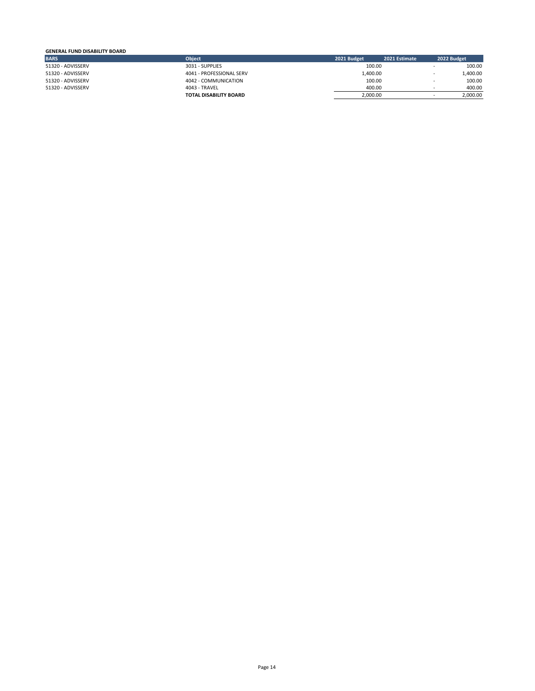# **GENERAL FUND DISABILITY BOARD**

| <b>BARS</b>       | <b>Object</b>                 | 2021 Budget | 2021 Estimate |                          | <b>2022 Budget</b> |
|-------------------|-------------------------------|-------------|---------------|--------------------------|--------------------|
| 51320 - ADVISSERV | 3031 - SUPPLIES               | 100.00      |               | . .                      | 100.00             |
| 51320 - ADVISSERV | 4041 - PROFESSIONAL SERV      | 1,400.00    |               | $\overline{\phantom{a}}$ | L.400.00           |
| 51320 - ADVISSERV | 4042 - COMMUNICATION          | 100.00      |               | . .                      | 100.00             |
| 51320 - ADVISSERV | 4043 - TRAVEL                 | 400.00      |               |                          | 400.00             |
|                   | <b>TOTAL DISABILITY BOARD</b> | 2.000.00    |               | $\overline{\phantom{a}}$ | 2.000.00           |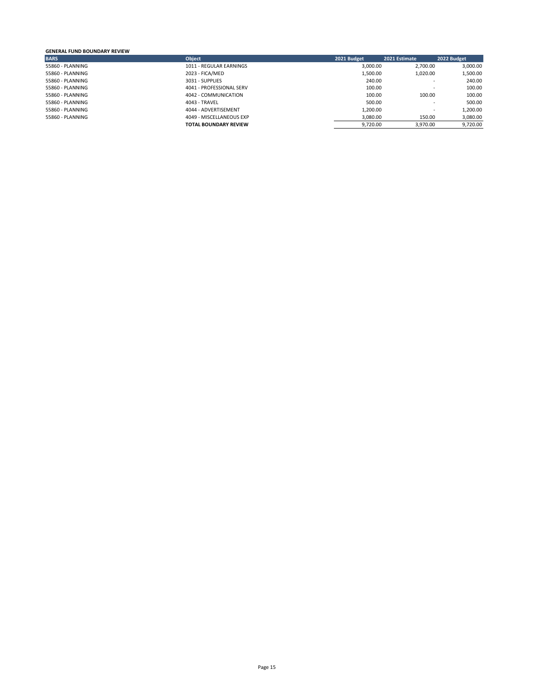# **GENERAL FUND BOUNDARY REVIEW**

| <b>BARS</b>      | <b>Object</b>                | 2021 Budget | 2021 Estimate            | 2022 Budget |
|------------------|------------------------------|-------------|--------------------------|-------------|
| 55860 - PLANNING | 1011 - REGULAR EARNINGS      | 3.000.00    | 2.700.00                 | 3,000.00    |
| 55860 - PLANNING | 2023 - FICA/MED              | 1,500.00    | 1,020.00                 | 1,500.00    |
| 55860 - PLANNING | 3031 - SUPPLIES              | 240.00      | $\overline{\phantom{a}}$ | 240.00      |
| 55860 - PLANNING | 4041 - PROFESSIONAL SERV     | 100.00      | $\overline{\phantom{a}}$ | 100.00      |
| 55860 - PLANNING | 4042 - COMMUNICATION         | 100.00      | 100.00                   | 100.00      |
| 55860 - PLANNING | 4043 - TRAVEL                | 500.00      | $\overline{\phantom{a}}$ | 500.00      |
| 55860 - PLANNING | 4044 - ADVERTISEMENT         | 1,200.00    | $\overline{\phantom{a}}$ | 1,200.00    |
| 55860 - PLANNING | 4049 - MISCELLANEOUS EXP     | 3,080.00    | 150.00                   | 3,080.00    |
|                  | <b>TOTAL BOUNDARY REVIEW</b> | 9.720.00    | 3.970.00                 | 9,720.00    |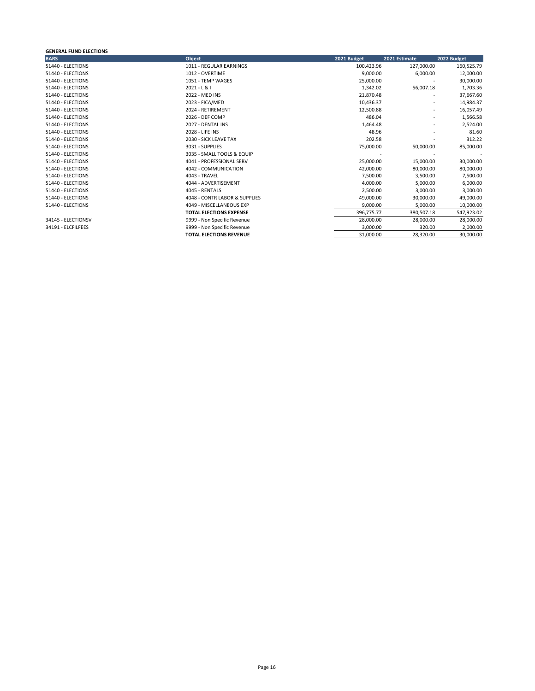### **GENERAL FUND ELECTIONS**

| <b>BARS</b>        | Object                         | 2021 Budget | 2021 Estimate | 2022 Budget |
|--------------------|--------------------------------|-------------|---------------|-------------|
| 51440 - ELECTIONS  | 1011 - REGULAR EARNINGS        | 100,423.96  | 127,000.00    | 160,525.79  |
| 51440 - ELECTIONS  | 1012 - OVERTIME                | 9,000.00    | 6,000.00      | 12,000.00   |
| 51440 - ELECTIONS  | 1051 - TEMP WAGES              | 25,000.00   |               | 30,000.00   |
| 51440 - ELECTIONS  | $2021 - L & 1$                 | 1,342.02    | 56,007.18     | 1,703.36    |
| 51440 - ELECTIONS  | 2022 - MED INS                 | 21,870.48   |               | 37,667.60   |
| 51440 - ELECTIONS  | 2023 - FICA/MED                | 10,436.37   |               | 14,984.37   |
| 51440 - ELECTIONS  | 2024 - RETIREMENT              | 12,500.88   |               | 16,057.49   |
| 51440 - ELECTIONS  | 2026 - DEF COMP                | 486.04      | ٠             | 1,566.58    |
| 51440 - ELECTIONS  | 2027 - DENTAL INS              | 1,464.48    |               | 2,524.00    |
| 51440 - ELECTIONS  | 2028 - LIFE INS                | 48.96       |               | 81.60       |
| 51440 - ELECTIONS  | 2030 - SICK LEAVE TAX          | 202.58      |               | 312.22      |
| 51440 - ELECTIONS  | 3031 - SUPPLIES                | 75,000.00   | 50,000.00     | 85,000.00   |
| 51440 - ELECTIONS  | 3035 - SMALL TOOLS & EQUIP     |             |               |             |
| 51440 - ELECTIONS  | 4041 - PROFESSIONAL SERV       | 25,000.00   | 15,000.00     | 30,000.00   |
| 51440 - ELECTIONS  | 4042 - COMMUNICATION           | 42,000.00   | 80,000.00     | 80,000.00   |
| 51440 - ELECTIONS  | 4043 - TRAVEL                  | 7,500.00    | 3,500.00      | 7,500.00    |
| 51440 - ELECTIONS  | 4044 - ADVERTISEMENT           | 4,000.00    | 5,000.00      | 6,000.00    |
| 51440 - ELECTIONS  | 4045 - RENTALS                 | 2,500.00    | 3,000.00      | 3,000.00    |
| 51440 - ELECTIONS  | 4048 - CONTR LABOR & SUPPLIES  | 49,000.00   | 30,000.00     | 49,000.00   |
| 51440 - ELECTIONS  | 4049 - MISCELLANEOUS EXP       | 9,000.00    | 5,000.00      | 10,000.00   |
|                    | <b>TOTAL ELECTIONS EXPENSE</b> | 396,775.77  | 380,507.18    | 547,923.02  |
| 34145 - ELECTIONSV | 9999 - Non Specific Revenue    | 28,000.00   | 28,000.00     | 28,000.00   |
| 34191 - ELCFILFEES | 9999 - Non Specific Revenue    | 3,000.00    | 320.00        | 2,000.00    |
|                    | <b>TOTAL ELECTIONS REVENUE</b> | 31,000.00   | 28,320.00     | 30,000.00   |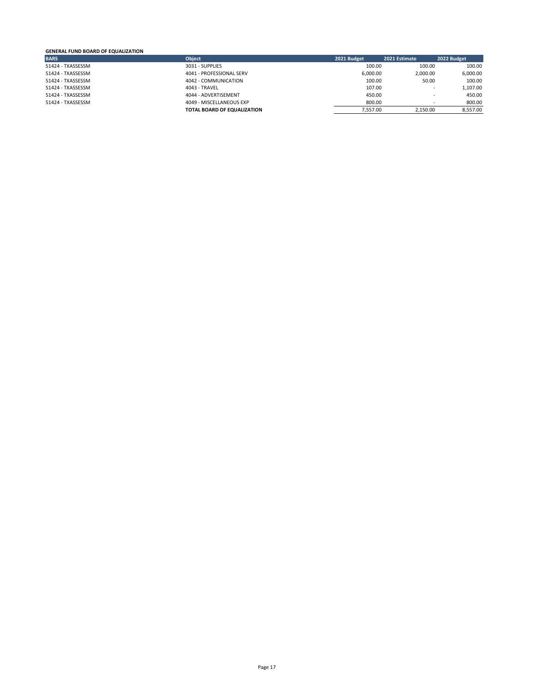# **GENERAL FUND BOARD OF EQUALIZATION**

| <b>BARS</b>       | <b>Object</b>               | 2021 Budget | 2021 Estimate            | 2022 Budget |
|-------------------|-----------------------------|-------------|--------------------------|-------------|
| 51424 - TXASSESSM | 3031 - SUPPLIES             | 100.00      | 100.00                   | 100.00      |
| 51424 - TXASSESSM | 4041 - PROFESSIONAL SERV    | 6.000.00    | 2.000.00                 | 6,000.00    |
| 51424 - TXASSESSM | 4042 - COMMUNICATION        | 100.00      | 50.00                    | 100.00      |
| 51424 - TXASSESSM | 4043 - TRAVEL               | 107.00      | $\overline{\phantom{a}}$ | 1,107.00    |
| 51424 - TXASSESSM | 4044 - ADVERTISEMENT        | 450.00      |                          | 450.00      |
| 51424 - TXASSESSM | 4049 - MISCELLANEOUS EXP    | 800.00      | $\overline{\phantom{a}}$ | 800.00      |
|                   | TOTAL BOARD OF EQUALIZATION | 7.557.00    | 2.150.00                 | 8.557.00    |
|                   |                             |             |                          |             |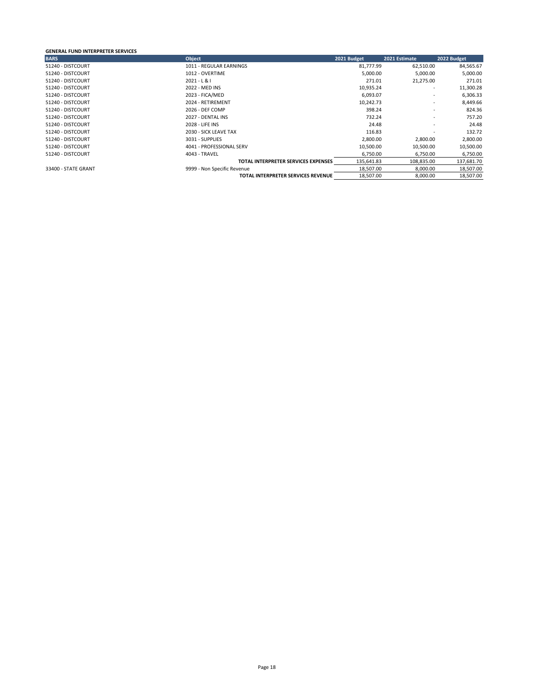### **GENERAL FUND INTERPRETER SERVICES**

| <b>BARS</b>         | Object                              | 2021 Budget | 2021 Estimate            | 2022 Budget |
|---------------------|-------------------------------------|-------------|--------------------------|-------------|
| 51240 - DISTCOURT   | 1011 - REGULAR EARNINGS             | 81,777.99   | 62,510.00                | 84,565.67   |
| 51240 - DISTCOURT   | 1012 - OVERTIME                     | 5,000.00    | 5,000.00                 | 5,000.00    |
| 51240 - DISTCOURT   | $2021 - L & 1$                      | 271.01      | 21,275.00                | 271.01      |
| 51240 - DISTCOURT   | 2022 - MED INS                      | 10,935.24   | $\overline{\phantom{a}}$ | 11,300.28   |
| 51240 - DISTCOURT   | 2023 - FICA/MED                     | 6,093.07    | ٠                        | 6,306.33    |
| 51240 - DISTCOURT   | 2024 - RETIREMENT                   | 10,242.73   | ٠                        | 8,449.66    |
| 51240 - DISTCOURT   | 2026 - DEF COMP                     | 398.24      | ۰                        | 824.36      |
| 51240 - DISTCOURT   | 2027 - DENTAL INS                   | 732.24      | ٠                        | 757.20      |
| 51240 - DISTCOURT   | 2028 - LIFE INS                     | 24.48       | ٠                        | 24.48       |
| 51240 - DISTCOURT   | 2030 - SICK LEAVE TAX               | 116.83      | ٠                        | 132.72      |
| 51240 - DISTCOURT   | 3031 - SUPPLIES                     | 2,800.00    | 2,800.00                 | 2,800.00    |
| 51240 - DISTCOURT   | 4041 - PROFESSIONAL SERV            | 10,500.00   | 10,500.00                | 10,500.00   |
| 51240 - DISTCOURT   | 4043 - TRAVEL                       | 6,750.00    | 6,750.00                 | 6,750.00    |
|                     | TOTAL INTERPRETER SERVICES EXPENSES | 135,641.83  | 108,835.00               | 137,681.70  |
| 33400 - STATE GRANT | 9999 - Non Specific Revenue         | 18,507.00   | 8,000.00                 | 18,507.00   |
|                     | TOTAL INTERPRETER SERVICES REVENUE  | 18,507.00   | 8,000.00                 | 18,507.00   |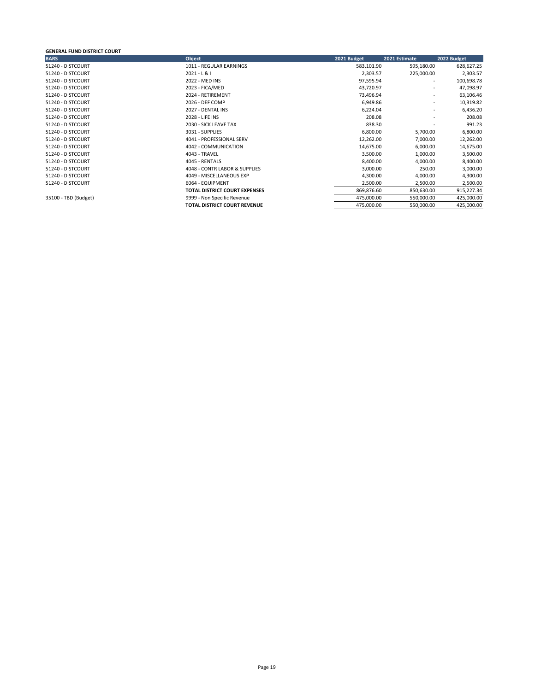# **GENERAL FUND DISTRICT COURT**

| <b>BARS</b>          | <b>Object</b>                        | 2021 Budget | 2021 Estimate            | 2022 Budget |
|----------------------|--------------------------------------|-------------|--------------------------|-------------|
| 51240 - DISTCOURT    | 1011 - REGULAR EARNINGS              | 583,101.90  | 595,180.00               | 628,627.25  |
| 51240 - DISTCOURT    | $2021 - L & 1$                       | 2,303.57    | 225,000.00               | 2,303.57    |
| 51240 - DISTCOURT    | 2022 - MED INS                       | 97,595.94   | $\overline{\phantom{a}}$ | 100,698.78  |
| 51240 - DISTCOURT    | 2023 - FICA/MED                      | 43,720.97   | ٠                        | 47,098.97   |
| 51240 - DISTCOURT    | 2024 - RETIREMENT                    | 73,496.94   | ٠                        | 63,106.46   |
| 51240 - DISTCOURT    | 2026 - DEF COMP                      | 6,949.86    | ٠                        | 10,319.82   |
| 51240 - DISTCOURT    | 2027 - DENTAL INS                    | 6,224.04    | ٠                        | 6,436.20    |
| 51240 - DISTCOURT    | 2028 - LIFE INS                      | 208.08      | ٠                        | 208.08      |
| 51240 - DISTCOURT    | 2030 - SICK LEAVE TAX                | 838.30      | $\overline{\phantom{a}}$ | 991.23      |
| 51240 - DISTCOURT    | 3031 - SUPPLIES                      | 6,800.00    | 5,700.00                 | 6,800.00    |
| 51240 - DISTCOURT    | 4041 - PROFESSIONAL SERV             | 12,262.00   | 7,000.00                 | 12,262.00   |
| 51240 - DISTCOURT    | 4042 - COMMUNICATION                 | 14,675.00   | 6,000.00                 | 14,675.00   |
| 51240 - DISTCOURT    | 4043 - TRAVEL                        | 3,500.00    | 1,000.00                 | 3,500.00    |
| 51240 - DISTCOURT    | 4045 - RENTALS                       | 8,400.00    | 4,000.00                 | 8,400.00    |
| 51240 - DISTCOURT    | 4048 - CONTR LABOR & SUPPLIES        | 3,000.00    | 250.00                   | 3,000.00    |
| 51240 - DISTCOURT    | 4049 - MISCELLANEOUS EXP             | 4,300.00    | 4,000.00                 | 4,300.00    |
| 51240 - DISTCOURT    | 6064 - EQUIPMENT                     | 2,500.00    | 2,500.00                 | 2,500.00    |
|                      | <b>TOTAL DISTRICT COURT EXPENSES</b> | 869,876.60  | 850,630.00               | 915,227.34  |
| 35100 - TBD (Budget) | 9999 - Non Specific Revenue          | 475,000.00  | 550,000.00               | 425,000.00  |
|                      | TOTAL DISTRICT COURT REVENUE         | 475,000.00  | 550,000.00               | 425,000.00  |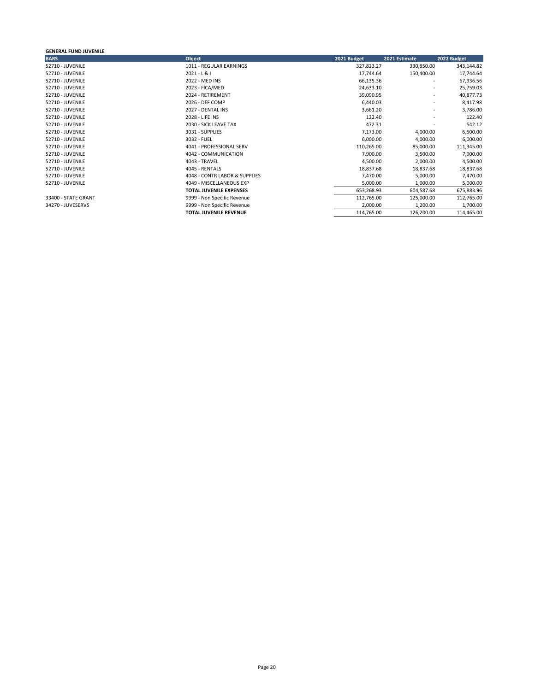### **GENERAL FUND JUVENILE**

| <b>BARS</b>         | <b>Object</b>                  | 2021 Budget | 2021 Estimate            | 2022 Budget |
|---------------------|--------------------------------|-------------|--------------------------|-------------|
| 52710 - JUVENILE    | 1011 - REGULAR EARNINGS        | 327,823.27  | 330,850.00               | 343,144.82  |
| 52710 - JUVENILE    | $2021 - L & 1$                 | 17,744.64   | 150,400.00               | 17,744.64   |
| 52710 - JUVENILE    | 2022 - MED INS                 | 66,135.36   | $\overline{\phantom{a}}$ | 67,936.56   |
| 52710 - JUVENILE    | 2023 - FICA/MED                | 24,633.10   | $\overline{\phantom{a}}$ | 25,759.03   |
| 52710 - JUVENILE    | 2024 - RETIREMENT              | 39,090.95   | $\overline{\phantom{a}}$ | 40,877.73   |
| 52710 - JUVENILE    | 2026 - DEF COMP                | 6,440.03    | $\overline{\phantom{a}}$ | 8,417.98    |
| 52710 - JUVENILE    | 2027 - DENTAL INS              | 3,661.20    | $\overline{\phantom{a}}$ | 3,786.00    |
| 52710 - JUVENILE    | 2028 - LIFE INS                | 122.40      |                          | 122.40      |
| 52710 - JUVENILE    | 2030 - SICK LEAVE TAX          | 472.31      |                          | 542.12      |
| 52710 - JUVENILE    | 3031 - SUPPLIES                | 7,173.00    | 4,000.00                 | 6,500.00    |
| 52710 - JUVENILE    | 3032 - FUEL                    | 6,000.00    | 4,000.00                 | 6,000.00    |
| 52710 - JUVENILE    | 4041 - PROFESSIONAL SERV       | 110,265.00  | 85,000.00                | 111,345.00  |
| 52710 - JUVENILE    | 4042 - COMMUNICATION           | 7,900.00    | 3,500.00                 | 7,900.00    |
| 52710 - JUVENILE    | 4043 - TRAVEL                  | 4,500.00    | 2,000.00                 | 4,500.00    |
| 52710 - JUVENILE    | 4045 - RENTALS                 | 18,837.68   | 18,837.68                | 18,837.68   |
| 52710 - JUVENILE    | 4048 - CONTR LABOR & SUPPLIES  | 7,470.00    | 5,000.00                 | 7,470.00    |
| 52710 - JUVENILE    | 4049 - MISCELLANEOUS EXP       | 5,000.00    | 1,000.00                 | 5,000.00    |
|                     | <b>TOTAL JUVENILE EXPENSES</b> | 653,268.93  | 604,587.68               | 675,883.96  |
| 33400 - STATE GRANT | 9999 - Non Specific Revenue    | 112,765.00  | 125,000.00               | 112,765.00  |
| 34270 - JUVESERVS   | 9999 - Non Specific Revenue    | 2,000.00    | 1,200.00                 | 1,700.00    |
|                     | <b>TOTAL JUVENILE REVENUE</b>  | 114,765.00  | 126,200.00               | 114,465.00  |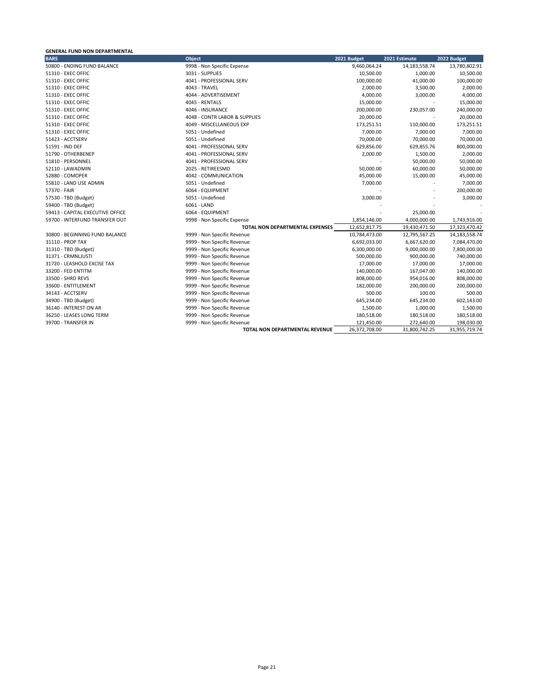# **GENERAL FUND NON DEPARTMENTAL**

| <b>BARS</b>                      | <b>Object</b>                   | 2021 Budget   | 2021 Estimate    | 2022 Budget   |
|----------------------------------|---------------------------------|---------------|------------------|---------------|
| 50800 - ENDING FUND BALANCE      | 9998 - Non Specific Expense     | 9,460,064.24  | 14, 183, 558. 74 | 13,780,802.91 |
| 51310 - EXEC OFFIC               | 3031 - SUPPLIES                 | 10,500.00     | 1,000.00         | 10,500.00     |
| 51310 - EXEC OFFIC               | 4041 - PROFESSIONAL SERV        | 100,000.00    | 41,000.00        | 100,000.00    |
| 51310 - EXEC OFFIC               | 4043 - TRAVEL                   | 2,000.00      | 3,500.00         | 2,000.00      |
| 51310 - EXEC OFFIC               | 4044 - ADVERTISEMENT            | 4,000.00      | 3,000.00         | 4,000.00      |
| 51310 - EXEC OFFIC               | 4045 - RENTALS                  | 15,000.00     |                  | 15,000.00     |
| 51310 - EXEC OFFIC               | 4046 - INSURANCE                | 200,000.00    | 230,057.00       | 240,000.00    |
| 51310 - EXEC OFFIC               | 4048 - CONTR LABOR & SUPPLIES   | 20,000.00     |                  | 20,000.00     |
| 51310 - EXEC OFFIC               | 4049 - MISCELLANEOUS EXP        | 173,251.51    | 110,000.00       | 173,251.51    |
| 51310 - EXEC OFFIC               | 5051 - Undefined                | 7,000.00      | 7,000.00         | 7,000.00      |
| 51423 - ACCTSERV                 | 5051 - Undefined                | 70,000.00     | 70,000.00        | 70,000.00     |
| 51591 - IND DEF                  | 4041 - PROFESSIONAL SERV        | 629,856.00    | 629,855.76       | 800,000.00    |
| 51790 - OTHERBENEP               | 4041 - PROFESSIONAL SERV        | 2,000.00      | 1,500.00         | 2,000.00      |
| 51810 - PERSONNEL                | 4041 - PROFESSIONAL SERV        |               | 50,000.00        | 50,000.00     |
| 52110 - LAWADMIN                 | 2025 - RETIREESMD               | 50,000.00     | 60,000.00        | 50,000.00     |
| 52880 - COMOPER                  | 4042 - COMMUNICATION            | 45,000.00     | 15,000.00        | 45,000.00     |
| 55810 - LAND USE ADMIN           | 5051 - Undefined                | 7,000.00      |                  | 7,000.00      |
| 57370 - FAIR                     | 6064 - EQUIPMENT                |               |                  | 200,000.00    |
| 57530 - TBD (Budget)             | 5051 - Undefined                | 3,000.00      |                  | 3,000.00      |
| 59400 - TBD (Budget)             | 6061 - LAND                     |               |                  |               |
| 59413 - CAPITAL EXECUTIVE OFFICE | 6064 - EQUIPMENT                |               | 25,000.00        |               |
| 59700 - INTERFUND TRANSFER OUT   | 9998 - Non Specific Expense     | 1,854,146.00  | 4,000,000.00     | 1,743,916.00  |
|                                  | TOTAL NON DEPARTMENTAL EXPENSES | 12,652,817.75 | 19,430,471.50    | 17,323,470.42 |
| 30800 - BEGINNING FUND BALANCE   | 9999 - Non Specific Revenue     | 10,784,473.00 | 12,795,567.25    | 14,183,558.74 |
| 31110 - PROP TAX                 | 9999 - Non Specific Revenue     | 6,692,033.00  | 6,667,620.00     | 7,084,470.00  |
| 31310 - TBD (Budget)             | 9999 - Non Specific Revenue     | 6,300,000.00  | 9,000,000.00     | 7,800,000.00  |
| 31371 - CRMNLJUSTI               | 9999 - Non Specific Revenue     | 500,000.00    | 900,000.00       | 740,000.00    |
| 31720 - LEASHOLD EXCISE TAX      | 9999 - Non Specific Revenue     | 17,000.00     | 17,000.00        | 17,000.00     |
| 33200 - FED ENTITM               | 9999 - Non Specific Revenue     | 140,000.00    | 167,047.00       | 140,000.00    |
| 33500 - SHRD REVS                | 9999 - Non Specific Revenue     | 808,000.00    | 954,016.00       | 808,000.00    |
| 33600 - ENTITLEMENT              | 9999 - Non Specific Revenue     | 182,000.00    | 200,000.00       | 200,000.00    |
| 34143 - ACCTSERV                 | 9999 - Non Specific Revenue     | 500.00        | 100.00           | 500.00        |
| 34900 - TBD (Budget)             | 9999 - Non Specific Revenue     | 645,234.00    | 645,234.00       | 602,143.00    |
| 36140 - INTEREST ON AR           | 9999 - Non Specific Revenue     | 1,500.00      | 1,000.00         | 1,500.00      |
| 36250 - LEASES LONG TERM         | 9999 - Non Specific Revenue     | 180,518.00    | 180,518.00       | 180,518.00    |
| 39700 - TRANSFER IN              | 9999 - Non Specific Revenue     | 121,450.00    | 272,640.00       | 198,030.00    |
|                                  | TOTAL NON DEPARTMENTAL REVENUE  | 26,372,708.00 | 31,800,742.25    | 31,955,719.74 |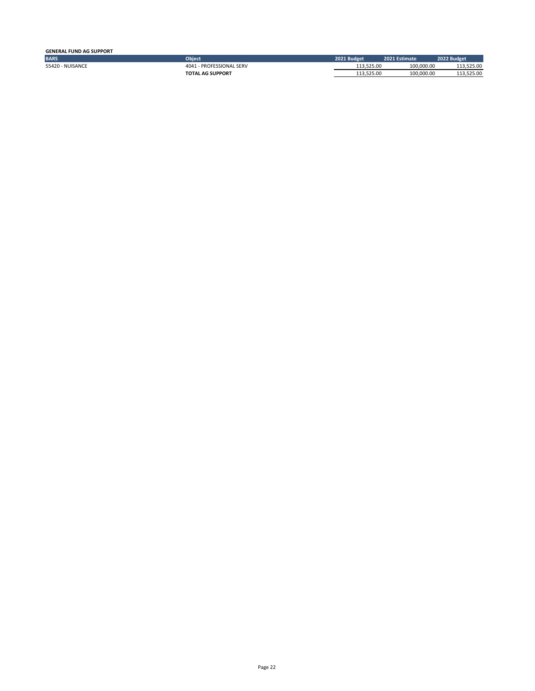| <b>GENERAL FUND AG SUPPORT</b> |                          |             |               |             |
|--------------------------------|--------------------------|-------------|---------------|-------------|
| <b>BARS</b>                    | <b>Object</b>            | 2021 Budget | 2021 Estimate | 2022 Budget |
| 55420 - NUISANCE               | 4041 - PROFESSIONAL SERV | 113.525.00  | 100.000.00    | 525.00      |
|                                | <b>TOTAL AG SUPPORT</b>  | 113.525.00  | 100.000.00    | 113.525.00  |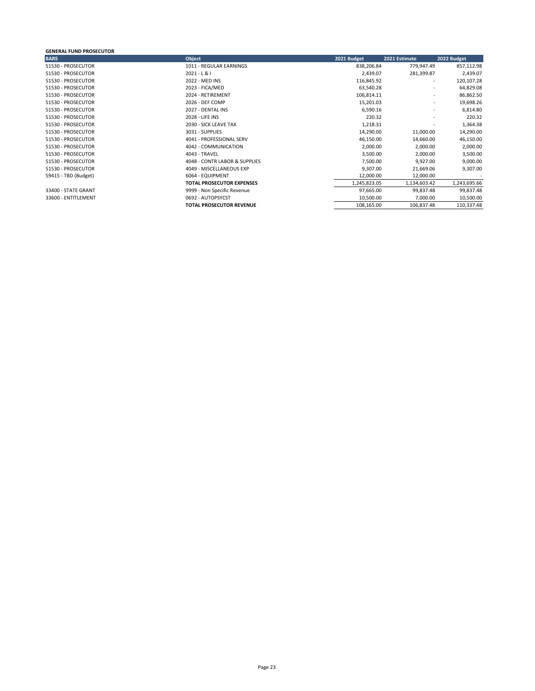# **GENERAL FUND PROSECUTOR**

| <b>BARS</b>          | <b>Object</b>                    | 2021 Budget  | 2021 Estimate            | 2022 Budget  |
|----------------------|----------------------------------|--------------|--------------------------|--------------|
| 51530 - PROSECUTOR   | 1011 - REGULAR EARNINGS          | 838,206.84   | 779,947.49               | 857,112.98   |
| 51530 - PROSECUTOR   | $2021 - L & 1$                   | 2,439.07     | 281,399.87               | 2,439.07     |
| 51530 - PROSECUTOR   | 2022 - MED INS                   | 116,845.92   | $\overline{\phantom{a}}$ | 120,107.28   |
| 51530 - PROSECUTOR   | 2023 - FICA/MED                  | 63,540.28    | ٠                        | 64,829.08    |
| 51530 - PROSECUTOR   | 2024 - RETIREMENT                | 106,814.11   | ٠                        | 86,862.50    |
| 51530 - PROSECUTOR   | 2026 - DEF COMP                  | 15,201.03    | ٠                        | 19,698.26    |
| 51530 - PROSECUTOR   | 2027 - DENTAL INS                | 6,590.16     | ٠                        | 6,814.80     |
| 51530 - PROSECUTOR   | 2028 - LIFE INS                  | 220.32       | ٠                        | 220.32       |
| 51530 - PROSECUTOR   | 2030 - SICK LEAVE TAX            | 1,218.31     |                          | 1,364.38     |
| 51530 - PROSECUTOR   | 3031 - SUPPLIES                  | 14,290.00    | 11,000.00                | 14,290.00    |
| 51530 - PROSECUTOR   | 4041 - PROFESSIONAL SERV         | 46,150.00    | 14,660.00                | 46,150.00    |
| 51530 - PROSECUTOR   | 4042 - COMMUNICATION             | 2,000.00     | 2,000.00                 | 2,000.00     |
| 51530 - PROSECUTOR   | 4043 - TRAVEL                    | 3,500.00     | 2,000.00                 | 3,500.00     |
| 51530 - PROSECUTOR   | 4048 - CONTR LABOR & SUPPLIES    | 7,500.00     | 9,927.00                 | 9,000.00     |
| 51530 - PROSECUTOR   | 4049 - MISCELLANEOUS EXP         | 9,307.00     | 21,669.06                | 9,307.00     |
| 59415 - TBD (Budget) | 6064 - EQUIPMENT                 | 12,000.00    | 12,000.00                |              |
|                      | <b>TOTAL PROSECUTOR EXPENSES</b> | 1,245,823.05 | 1,134,603.42             | 1,243,695.66 |
| 33400 - STATE GRANT  | 9999 - Non Specific Revenue      | 97,665.00    | 99,837.48                | 99,837.48    |
| 33600 - ENTITLEMENT  | 0692 - AUTOPSYCST                | 10,500.00    | 7,000.00                 | 10,500.00    |
|                      | <b>TOTAL PROSECUTOR REVENUE</b>  | 108,165.00   | 106,837.48               | 110,337.48   |
|                      |                                  |              |                          |              |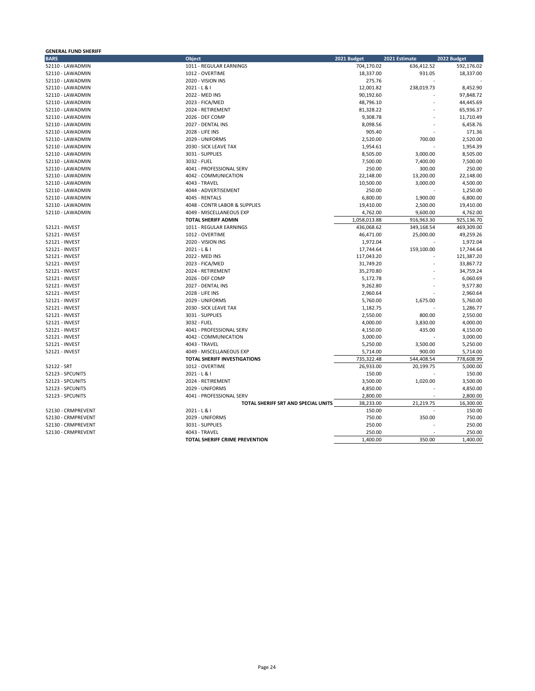| <b>GENERAL FUND SHERIFF</b> |                                      |              |               |             |
|-----------------------------|--------------------------------------|--------------|---------------|-------------|
| <b>BARS</b>                 | <b>Object</b>                        | 2021 Budget  | 2021 Estimate | 2022 Budget |
| 52110 - LAWADMIN            | 1011 - REGULAR EARNINGS              | 704,170.02   | 636,412.52    | 592,176.02  |
| 52110 - LAWADMIN            | 1012 - OVERTIME                      | 18,337.00    | 931.05        | 18,337.00   |
| 52110 - LAWADMIN            | 2020 - VISION INS                    | 275.76       |               |             |
| 52110 - LAWADMIN            | $2021 - L & 1$                       | 12,001.82    | 238,019.73    | 8,452.90    |
| 52110 - LAWADMIN            | 2022 - MED INS                       | 90,192.60    |               | 97,848.72   |
| 52110 - LAWADMIN            | 2023 - FICA/MED                      | 48,796.10    |               | 44,445.69   |
| 52110 - LAWADMIN            | 2024 - RETIREMENT                    | 81,328.22    |               | 65,936.37   |
| 52110 - LAWADMIN            | 2026 - DEF COMP                      | 9,308.78     |               | 11,710.49   |
| 52110 - LAWADMIN            | 2027 - DENTAL INS                    | 8,098.56     |               | 6,458.76    |
| 52110 - LAWADMIN            | 2028 - LIFE INS                      | 905.40       |               | 171.36      |
| 52110 - LAWADMIN            | 2029 - UNIFORMS                      | 2,520.00     | 700.00        | 2,520.00    |
| 52110 - LAWADMIN            | 2030 - SICK LEAVE TAX                | 1,954.61     |               | 1,954.39    |
| 52110 - LAWADMIN            | 3031 - SUPPLIES                      | 8,505.00     | 3,000.00      | 8,505.00    |
| 52110 - LAWADMIN            | 3032 - FUEL                          | 7,500.00     | 7,400.00      | 7,500.00    |
| 52110 - LAWADMIN            | 4041 - PROFESSIONAL SERV             | 250.00       | 300.00        | 250.00      |
| 52110 - LAWADMIN            | 4042 - COMMUNICATION                 | 22,148.00    | 13,200.00     | 22,148.00   |
| 52110 - LAWADMIN            | 4043 - TRAVEL                        | 10,500.00    | 3,000.00      | 4,500.00    |
| 52110 - LAWADMIN            | 4044 - ADVERTISEMENT                 | 250.00       |               | 1,250.00    |
| 52110 - LAWADMIN            | 4045 - RENTALS                       | 6,800.00     | 1,900.00      | 6,800.00    |
| 52110 - LAWADMIN            | 4048 - CONTR LABOR & SUPPLIES        | 19,410.00    | 2,500.00      | 19,410.00   |
| 52110 - LAWADMIN            | 4049 - MISCELLANEOUS EXP             | 4,762.00     | 9,600.00      | 4,762.00    |
|                             | <b>TOTAL SHERIFF ADMIN</b>           | 1,058,013.88 | 916,963.30    | 925,136.70  |
| 52121 - INVEST              | 1011 - REGULAR EARNINGS              | 436,068.62   | 349,168.54    | 469,309.00  |
| 52121 - INVEST              | 1012 - OVERTIME                      | 46,471.00    | 25,000.00     | 49,259.26   |
| 52121 - INVEST              | 2020 - VISION INS                    | 1,972.04     |               | 1,972.04    |
| 52121 - INVEST              | $2021 - L & 1$                       | 17,744.64    | 159,100.00    | 17,744.64   |
| 52121 - INVEST              | 2022 - MED INS                       | 117,043.20   |               | 121,387.20  |
|                             |                                      |              |               |             |
| 52121 - INVEST              | 2023 - FICA/MED<br>2024 - RETIREMENT | 31,749.20    |               | 33,867.72   |
| 52121 - INVEST              |                                      | 35,270.80    |               | 34,759.24   |
| 52121 - INVEST              | 2026 - DEF COMP                      | 5,172.78     |               | 6,060.69    |
| 52121 - INVEST              | 2027 - DENTAL INS                    | 9,262.80     |               | 9,577.80    |
| 52121 - INVEST              | 2028 - LIFE INS                      | 2,960.64     |               | 2,960.64    |
| 52121 - INVEST              | 2029 - UNIFORMS                      | 5,760.00     | 1,675.00      | 5,760.00    |
| 52121 - INVEST              | 2030 - SICK LEAVE TAX                | 1,182.75     |               | 1,286.77    |
| 52121 - INVEST              | 3031 - SUPPLIES                      | 2,550.00     | 800.00        | 2,550.00    |
| 52121 - INVEST              | 3032 - FUEL                          | 4,000.00     | 3,830.00      | 4,000.00    |
| 52121 - INVEST              | 4041 - PROFESSIONAL SERV             | 4,150.00     | 435.00        | 4,150.00    |
| 52121 - INVEST              | 4042 - COMMUNICATION                 | 3,000.00     |               | 3,000.00    |
| 52121 - INVEST              | 4043 - TRAVEL                        | 5,250.00     | 3,500.00      | 5,250.00    |
| 52121 - INVEST              | 4049 - MISCELLANEOUS EXP             | 5,714.00     | 900.00        | 5,714.00    |
|                             | <b>TOTAL SHERIFF INVESTIGATIONS</b>  | 735,322.48   | 544,408.54    | 778,608.99  |
| 52122 - SRT                 | 1012 - OVERTIME                      | 26,933.00    | 20,199.75     | 5,000.00    |
| 52123 - SPCUNITS            | $2021 - L & 1$                       | 150.00       |               | 150.00      |
| 52123 - SPCUNITS            | 2024 - RETIREMENT                    | 3,500.00     | 1,020.00      | 3,500.00    |
| 52123 - SPCUNITS            | 2029 - UNIFORMS                      | 4,850.00     |               | 4,850.00    |
| 52123 - SPCUNITS            | 4041 - PROFESSIONAL SERV             | 2,800.00     |               | 2,800.00    |
|                             | TOTAL SHERIFF SRT AND SPECIAL UNITS  | 38,233.00    | 21,219.75     | 16,300.00   |
| 52130 - CRMPREVENT          | $2021 - L & 1$                       | 150.00       |               | 150.00      |
| 52130 - CRMPREVENT          | 2029 - UNIFORMS                      | 750.00       | 350.00        | 750.00      |
| 52130 - CRMPREVENT          | 3031 - SUPPLIES                      | 250.00       |               | 250.00      |
| 52130 - CRMPREVENT          | 4043 - TRAVEL                        | 250.00       |               | 250.00      |
|                             | TOTAL SHERIFF CRIME PREVENTION       | 1,400.00     | 350.00        | 1.400.00    |
|                             |                                      |              |               |             |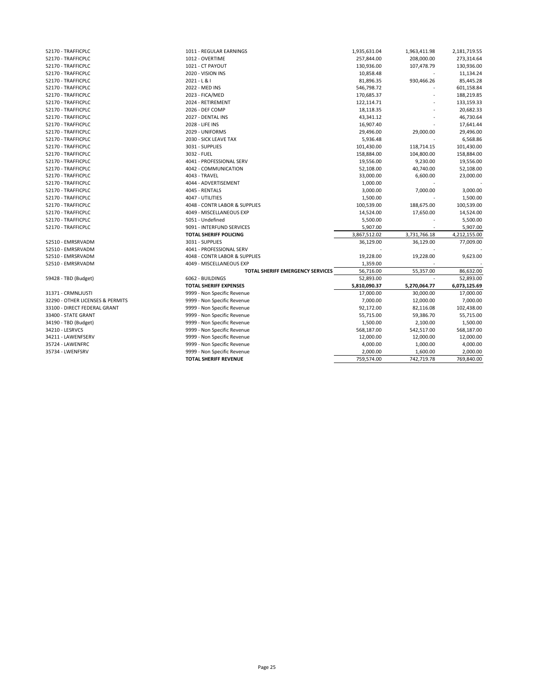| 52170 - TRAFFICPLC               | 1011 - REGULAR EARNINGS          | 1,935,631.04 | 1,963,411.98 | 2,181,719.55 |
|----------------------------------|----------------------------------|--------------|--------------|--------------|
| 52170 - TRAFFICPLC               | 1012 - OVERTIME                  | 257,844.00   | 208,000.00   | 273,314.64   |
| 52170 - TRAFFICPLC               | 1021 - CT PAYOUT                 | 130,936.00   | 107,478.79   | 130,936.00   |
| 52170 - TRAFFICPLC               | 2020 - VISION INS                | 10,858.48    |              | 11,134.24    |
| 52170 - TRAFFICPLC               | $2021 - L & 1$                   | 81,896.35    | 930,466.26   | 85,445.28    |
| 52170 - TRAFFICPLC               | 2022 - MED INS                   | 546,798.72   |              | 601,158.84   |
| 52170 - TRAFFICPLC               | 2023 - FICA/MED                  | 170,685.37   | ÷,           | 188,219.85   |
| 52170 - TRAFFICPLC               | 2024 - RETIREMENT                | 122,114.71   |              | 133,159.33   |
| 52170 - TRAFFICPLC               | 2026 - DEF COMP                  | 18,118.35    |              | 20,682.33    |
| 52170 - TRAFFICPLC               | 2027 - DENTAL INS                | 43,341.12    |              | 46,730.64    |
| 52170 - TRAFFICPLC               | 2028 - LIFE INS                  | 16,907.40    |              | 17,641.44    |
| 52170 - TRAFFICPLC               | 2029 - UNIFORMS                  | 29,496.00    | 29,000.00    | 29,496.00    |
| 52170 - TRAFFICPLC               | 2030 - SICK LEAVE TAX            | 5,936.48     |              | 6,568.86     |
| 52170 - TRAFFICPLC               | 3031 - SUPPLIES                  | 101,430.00   | 118,714.15   | 101,430.00   |
| 52170 - TRAFFICPLC               | 3032 - FUEL                      | 158,884.00   | 104,800.00   | 158,884.00   |
| 52170 - TRAFFICPLC               | 4041 - PROFESSIONAL SERV         | 19,556.00    | 9,230.00     | 19,556.00    |
| 52170 - TRAFFICPLC               | 4042 - COMMUNICATION             | 52,108.00    | 40,740.00    | 52,108.00    |
| 52170 - TRAFFICPLC               | 4043 - TRAVEL                    | 33,000.00    | 6,600.00     | 23,000.00    |
| 52170 - TRAFFICPLC               | 4044 - ADVERTISEMENT             | 1,000.00     |              |              |
| 52170 - TRAFFICPLC               | 4045 - RENTALS                   | 3,000.00     | 7,000.00     | 3,000.00     |
| 52170 - TRAFFICPLC               | 4047 - UTILITIES                 | 1,500.00     |              | 1,500.00     |
| 52170 - TRAFFICPLC               | 4048 - CONTR LABOR & SUPPLIES    | 100,539.00   | 188,675.00   | 100,539.00   |
| 52170 - TRAFFICPLC               | 4049 - MISCELLANEOUS EXP         | 14,524.00    | 17,650.00    | 14,524.00    |
| 52170 - TRAFFICPLC               | 5051 - Undefined                 | 5,500.00     |              | 5,500.00     |
| 52170 - TRAFFICPLC               | 9091 - INTERFUND SERVICES        | 5,907.00     |              | 5,907.00     |
|                                  | <b>TOTAL SHERIFF POLICING</b>    | 3,867,512.02 | 3,731,766.18 | 4,212,155.00 |
| 52510 - EMRSRVADM                | 3031 - SUPPLIES                  | 36,129.00    | 36,129.00    | 77,009.00    |
| 52510 - EMRSRVADM                | 4041 - PROFESSIONAL SERV         |              |              |              |
| 52510 - EMRSRVADM                | 4048 - CONTR LABOR & SUPPLIES    | 19,228.00    | 19,228.00    | 9,623.00     |
| 52510 - EMRSRVADM                | 4049 - MISCELLANEOUS EXP         | 1,359.00     |              |              |
|                                  | TOTAL SHERIFF EMERGENCY SERVICES | 56,716.00    | 55,357.00    | 86,632.00    |
| 59428 - TBD (Budget)             | 6062 - BUILDINGS                 | 52,893.00    |              | 52,893.00    |
|                                  | <b>TOTAL SHERIFF EXPENSES</b>    | 5,810,090.37 | 5,270,064.77 | 6,073,125.69 |
| 31371 - CRMNLJUSTI               | 9999 - Non Specific Revenue      | 17,000.00    | 30,000.00    | 17,000.00    |
| 32290 - OTHER LICENSES & PERMITS | 9999 - Non Specific Revenue      | 7,000.00     | 12,000.00    | 7,000.00     |
| 33100 - DIRECT FEDERAL GRANT     | 9999 - Non Specific Revenue      | 92,172.00    | 82,116.08    | 102,438.00   |
| 33400 - STATE GRANT              | 9999 - Non Specific Revenue      | 55,715.00    | 59,386.70    | 55,715.00    |
| 34190 - TBD (Budget)             | 9999 - Non Specific Revenue      | 1,500.00     | 2,100.00     | 1,500.00     |
| 34210 - LESRVCS                  | 9999 - Non Specific Revenue      | 568,187.00   | 542,517.00   | 568,187.00   |
| 34211 - LAWENFSERV               | 9999 - Non Specific Revenue      | 12,000.00    | 12,000.00    | 12,000.00    |
| 35724 - LAWENFRC                 | 9999 - Non Specific Revenue      | 4,000.00     | 1,000.00     | 4,000.00     |
| 35734 - LWENFSRV                 | 9999 - Non Specific Revenue      | 2,000.00     | 1,600.00     | 2,000.00     |
|                                  | <b>TOTAL SHERIFF REVENUE</b>     | 759,574.00   | 742,719.78   | 769,840.00   |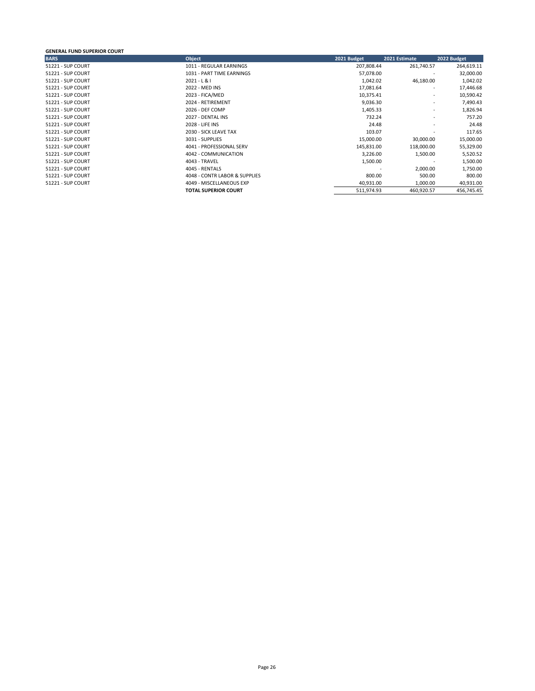### **GENERAL FUND SUPERIOR COURT**

| <b>BARS</b>       | <b>Object</b>                 | 2021 Budget | 2021 Estimate            | 2022 Budget |
|-------------------|-------------------------------|-------------|--------------------------|-------------|
| 51221 - SUP COURT | 1011 - REGULAR EARNINGS       | 207,808.44  | 261,740.57               | 264,619.11  |
| 51221 - SUP COURT | 1031 - PART TIME EARNINGS     | 57,078.00   | $\overline{\phantom{a}}$ | 32,000.00   |
| 51221 - SUP COURT | $2021 - L & 1$                | 1,042.02    | 46,180.00                | 1,042.02    |
| 51221 - SUP COURT | 2022 - MED INS                | 17,081.64   | $\overline{\phantom{a}}$ | 17,446.68   |
| 51221 - SUP COURT | 2023 - FICA/MED               | 10,375.41   | $\overline{\phantom{a}}$ | 10,590.42   |
| 51221 - SUP COURT | 2024 - RETIREMENT             | 9,036.30    | $\overline{\phantom{a}}$ | 7,490.43    |
| 51221 - SUP COURT | 2026 - DEF COMP               | 1,405.33    | $\overline{\phantom{a}}$ | 1,826.94    |
| 51221 - SUP COURT | 2027 - DENTAL INS             | 732.24      | $\overline{\phantom{a}}$ | 757.20      |
| 51221 - SUP COURT | 2028 - LIFE INS               | 24.48       | $\overline{\phantom{a}}$ | 24.48       |
| 51221 - SUP COURT | 2030 - SICK LEAVE TAX         | 103.07      |                          | 117.65      |
| 51221 - SUP COURT | 3031 - SUPPLIES               | 15,000.00   | 30,000.00                | 15,000.00   |
| 51221 - SUP COURT | 4041 - PROFESSIONAL SERV      | 145,831.00  | 118,000.00               | 55,329.00   |
| 51221 - SUP COURT | 4042 - COMMUNICATION          | 3,226.00    | 1,500.00                 | 5,520.52    |
| 51221 - SUP COURT | 4043 - TRAVEL                 | 1,500.00    | $\overline{\phantom{a}}$ | 1,500.00    |
| 51221 - SUP COURT | 4045 - RENTALS                |             | 2,000.00                 | 1,750.00    |
| 51221 - SUP COURT | 4048 - CONTR LABOR & SUPPLIES | 800.00      | 500.00                   | 800.00      |
| 51221 - SUP COURT | 4049 - MISCELLANEOUS EXP      | 40,931.00   | 1,000.00                 | 40,931.00   |
|                   | <b>TOTAL SUPERIOR COURT</b>   | 511,974.93  | 460.920.57               | 456.745.45  |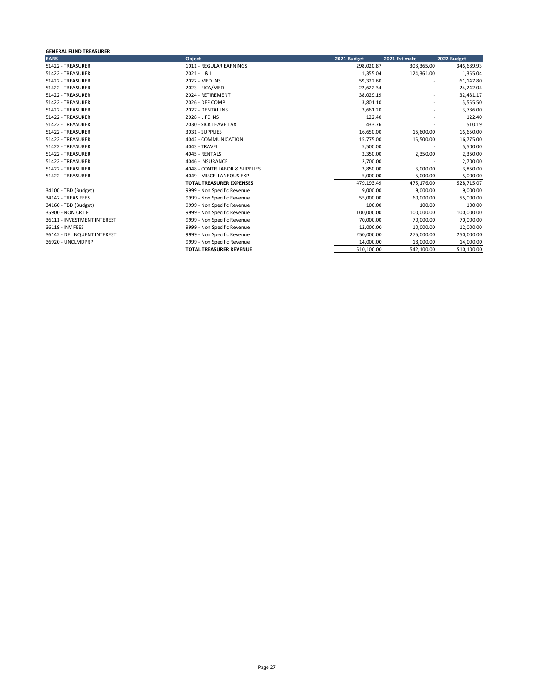#### **GENERAL FUND TREASURER BARS Object 2021 Budget 2021 Estimate 2022 Budget** 51422 - TREASURER 1011 - TREASURER 1011 - REGULAR EARNINGS 298,020.87 308,365.00 346,689.93<br>51422 - TREASURER 2021 - L&I 2021 - L&I 2021 - L&I 355.04 1,355.04 124,361.00 1,355.04 51422 - TREASURER 2021 - L & I 1,355.04 124,361.00 1,355.04 51422 - TREASURER 2022 - MED INS 59,322.60 - 61,147.80 51422 - TREASURER 2023 - FICA/MED 22,622.34 - 24,242.04 51422 - TREASURER 2024 - RETIREMENT 38,029.19 - 32,481.17 51422 - TREASURER 2026 - DEF COMP 3,801.10 - 5,555.50 51422 - TREASURER 2027 - DENTAL INS 3,661.20 - 3,786.00 51422 - TREASURER 2028 - LIFE INS 122.40 - 122.40 51422 - TREASURER 2030 - SICK LEAVE TAX 433.76 - 510.19 51422 - TREASURER 3031 - SUPPLIES 16,650.00 16,600.00 16,650.00 51422 - TREASURER 4042 - COMMUNICATION 15,775.00 15,500.00 16,775.00 51422 - TREASURER 4043 - TRAVEL 5,500.00 - 5,500.00 51422 - TREASURER 4045 - RENTALS 2,350.00 2,350.00 2,350.00 51422 - TREASURER 4046 - INSURANCE 2,700.00 - 2,700.00 51422 - TREASURER 1980 1991 - 20048 - 2005 1000 1000 10000 100000 100000 3,850.00 3,850.00 3,850.00 3,850.00<br>1999 - MISCELLANEOUS EXP 1999 - 2009 19,000.00 5,000.00 5,000.00 5,000.00 5,000.00 5,000.00 5,000.00 5,000.00 1049 - MISCELLANEOUS EXP<br>
1014 1999 - TOTAL TREASURER EXPENSES<br>
1479.193.49 578.715.00 528.715.07 **TOTAL TREASURER EXPENSES**<br>  $\begin{array}{|c|c|c|c|c|c|}\n\hline\n\textbf{479,193.49} & \textbf{475,176.00} & \textbf{528,715.07} \\
\hline\n\textbf{999 - Non Specific Revenue} & \textbf{9,000.00} & \textbf{9,000.00} \\
\hline\n\end{array}$ 34100 - TBD (Budget) و990 - South of the Superior of the Superior of the Superior of the Superior of the Superior of the Superior of the Superior of the Superior of the Superior of the Superior of the Superior of the Supe 34142 - TREAS FEES 9999 - Non Specific Revenue 55,000.00 60,000.00 55,000.00 34160 - TBD (Budget) 9999 - Non Specific Revenue 100.00 100.00 100.00 35900 - NON CRT FI 9999 - Non Specific Revenue 100,000.00 100,000.00 100,000.00 36111 - INVESTMENT INTEREST 9999 - Non Specific Revenue 70,000.00 70,000.00 70,000.00 36119 - INV FEES 9999 - Non Specific Revenue 12,000.00 10,000.00 12,000.00 36142 - DELINQUENT INTEREST 9999 - Non Specific Revenue 250,000.00 275,000.00 250,000.00 36999 - Non Specific Revenue 2012 14,000.00 16,000.00 16,000.00 14,000.00 14,000.00 1510,100.00 1510,100.00 **TOTAL TREASURER REVENUE**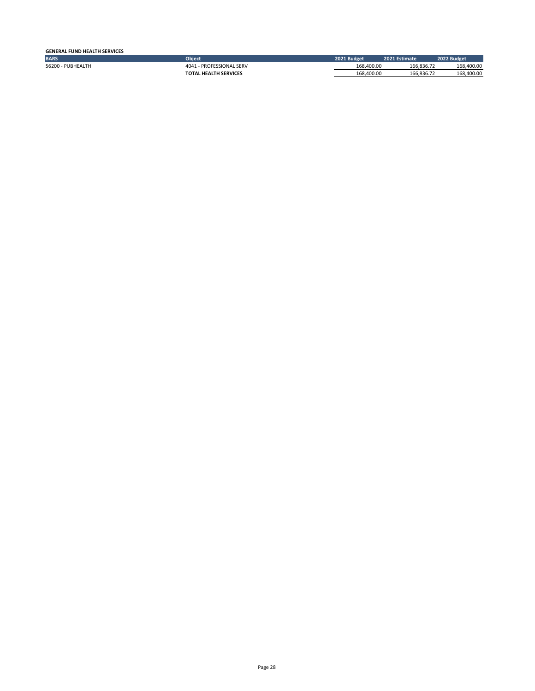| <b>GENERAL FUND HEALTH SERVICES</b> |                              |             |               |             |
|-------------------------------------|------------------------------|-------------|---------------|-------------|
| <b>BARS</b>                         | <b>Obiect</b>                | 2021 Budget | 2021 Estimate | 2022 Budget |
| 56200 - PUBHEALTH                   | 4041 - PROFESSIONAL SERV     | 168.400.00  | 166.836.72    | 168,400.00  |
|                                     | <b>TOTAL HEALTH SERVICES</b> | 168.400.00  | 166.836.72    | 168.400.00  |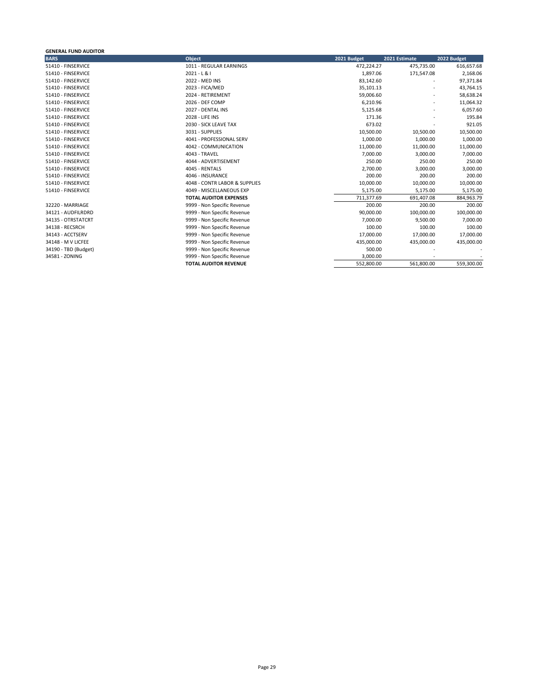#### **GENERAL FUND AUDITOR BARS Object 2021 Budget 2021 Estimate 2022 Budget** أية 1011 - FINSERVICE بالمستخدم المستخدم المستخدم المستخدم المستخدم المستخدم المستخدم المستخدم المستخدم المستخدم<br>1,897.06 171,547.08 2,168.06 2,168.06 2,168.06 2,168.06 2,168.06 2,168.06 2,168.06 2,168.06 2,168.06 2,168.0 51410 - FINSERVICE 2021 - L & I 1,897.06 171,547.08 2,168.06 51410 - FINSERVICE 2022 - MED INS 83,142.60 - 97,371.84 51410 - FINSERVICE 2023 - FICA/MED 35,101.13 - 43,764.15 51410 - FINSERVICE 2024 - RETIREMENT 59,006.60 - 58,638.24 51410 - FINSERVICE 2026 - DEF COMP 6,210.96 - 11,064.32 51410 - FINSERVICE 2027 - DENTAL INS 5,125.68 - 6,057.60 51410 - FINSERVICE 2028 - LIFE INS 171.36 - 195.84 51410 - FINSERVICE 2030 - SICK LEAVE TAX 673.02 - 921.05 51410 - FINSERVICE 3031 - SUPPLIES 10,500.00 10,500.00 10,500.00 51410 - FINSERVICE 4041 - PROFESSIONAL SERV 1,000.00 1,000.00 1,000.00 51410 - FINSERVICE 4042 - COMMUNICATION 11,000.00 11,000.00 11,000.00 51410 - FINSERVICE 4043 - TRAVEL 7,000.00 3,000.00 7,000.00 51410 - FINSERVICE 4044 - ADVERTISEMENT 250.00 250.00 250.00 51410 - FINSERVICE 4045 - RENTALS 2,700.00 3,000.00 3,000.00 51410 - FINSERVICE 4046 - INSURANCE 200.00 200.00 200.00 51410 - FINSERVICE 4048 - CONTR LABOR & SUPPLIES 10,000.00 10,000.00 10,000.00 51410 - FINSERVICE 4049 - MISCELLANEOUS EXP 5,175.00 5,175.00 5,175.00 **TOTAL AUDITOR EXPENSES**<br> **TOTAL AUDITOR EXPENSES**<br> **TOTAL AUDITOR EXPENSES**<br> **200.00 200.00 200.00 200.00 200.00 200.00** 32220 - MARRIAGE 9999 - Non Specific Revenue 200.00 200.00 200.00 34121 - AUDFILRDRD 9999 - Non Specific Revenue 90,000.00 100,000.00 100,000.00 34135 - OTRSTATCRT 9999 - Non Specific Revenue 7,000.00 9,500.00 7,000.00 34138 - RECSRCH 9999 - Non Specific Revenue 100.00 100.00 100.00 34143 - ACCTSERV 9999 - Non Specific Revenue 17,000.00 17,000.00 17,000.00 34148 - M V LICFEE 2000.00<br>34190 - TBD (Budget) 435,000.00<br>9999 - Non Specific Revenue 435,000 435,000.00 4350.00 435,000.00 34190 - TBD (Budget) 9999 - Non Specific Revenue 500.00 - - 34581 - ZONING 9999 - Non Specific Revenue 3,000.00 - - **TOTAL AUDITOR REVENUE**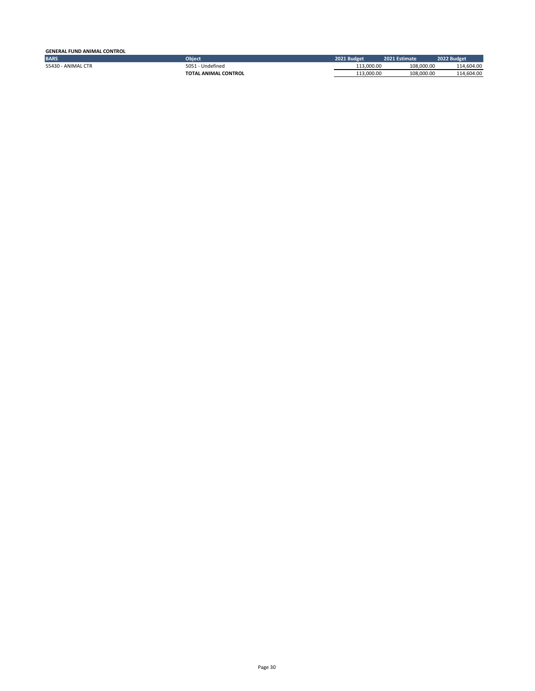| <b>GENERAL FUND ANIMAL CONTROL</b> |                      |             |               |             |
|------------------------------------|----------------------|-------------|---------------|-------------|
| <b>BARS</b>                        | <b>Obiect</b>        | 2021 Budget | 2021 Estimate | 2022 Budget |
| 55430 - ANIMAL CTR                 | 5051 - Undefined     | 113.000.00  | 108.000.00    | 114.604.00  |
|                                    | TOTAL ANIMAL CONTROL | 113.000.00  | 108.000.00    | 114.604.00  |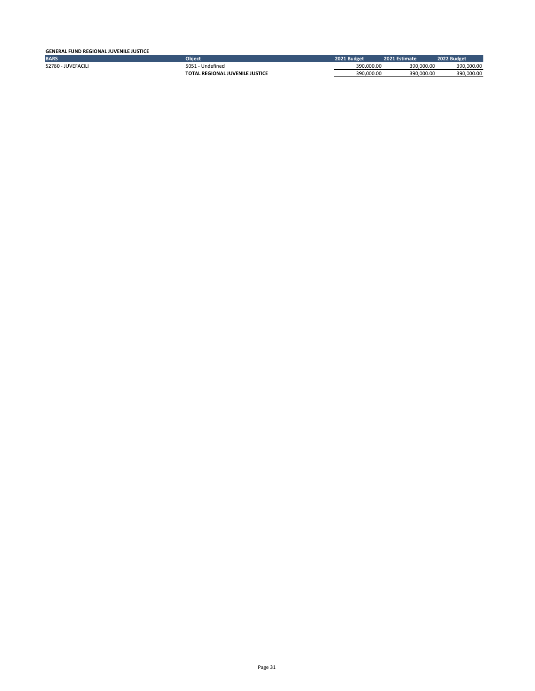#### **GENERAL FUND REGIONAL JUVENILE JUSTICE**

| <b>BARS</b>           | Object                                      | 2021 Budget | 2021 Estimate | 2022 Budget |
|-----------------------|---------------------------------------------|-------------|---------------|-------------|
| 52780 -<br>JUVEFACIL! | Undefined<br>505                            | 390.000.00  | 390.000.00    | 390.000.00  |
|                       | <b>TOTAL</b><br>L REGIONAL JUVENILE JUSTICE | 390.000.00  | 390.000.00    | 390.000.00  |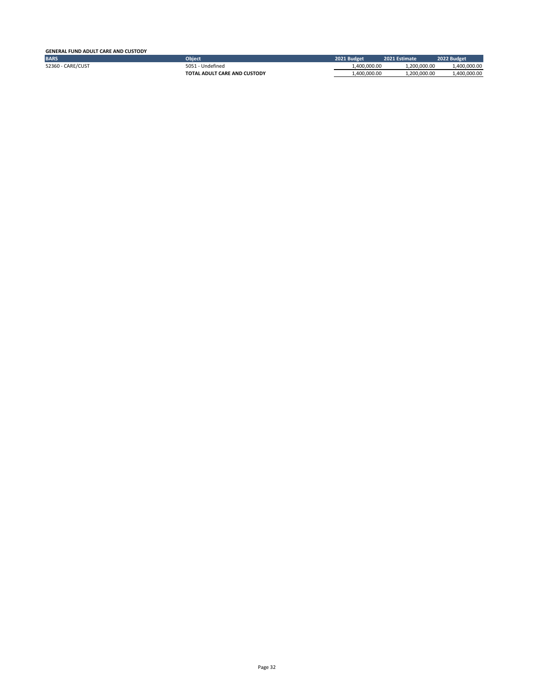### **GENERAL FUND ADULT CARE AND CUSTODY**

| <b>BARS</b>            | <b>Obiect</b>                | 2021 Budget  | 2021 Estimate | 2022 Budget  |
|------------------------|------------------------------|--------------|---------------|--------------|
| CARE/CUST<br>$52360 -$ | Undefined<br>5051            | 1.400.000.00 | 1.200.000.00  | 1,400,000.00 |
|                        | TOTAL ADULT CARE AND CUSTODY | 1.400.000.00 | 1.200.000.00  | 1.400.000.00 |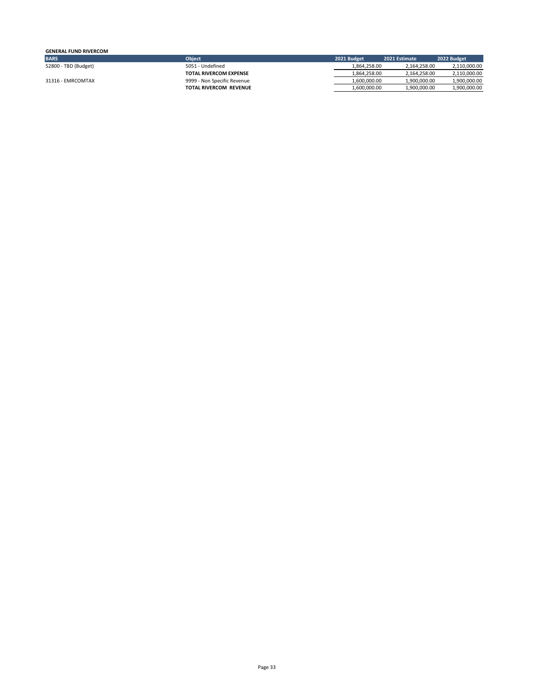#### **GENERAL FUND RIVERCOM BARS Object 2021 Budget 2021 Estimate 2022 Budget** 52800 - TBD (Budget) 5051 - Undefined 5051 - Undefined 1,864,258.00 2,164,258.00 2,110,000.00 2,110,000.00 1,164,258.00 2,110,000.00 1,164,258.00 2,110,000.00 1,164,258.00 2,110,000.00 1,164,258.00 2,110,000.00 1,164,258.0 **TOTAL RIVERCOM EXPENSE** 1,864,258.00 2,164,258.00 2,110,000.00<br>
9999 - Non Specific Revenue<br> **TOTAL RIVERCOM REVENUE** 1,600,000.00 1,900,000.00 1,900,000.00 1,900,000.00 31316 - EMRCOMTAX 9999 - Non Specific Revenue 1,600,000.00 1,900,000.00 1,900,000.00 **TOTAL RIVERCOM REVENUE** 1,600,000.00 1,900,000.00 1,900,000.00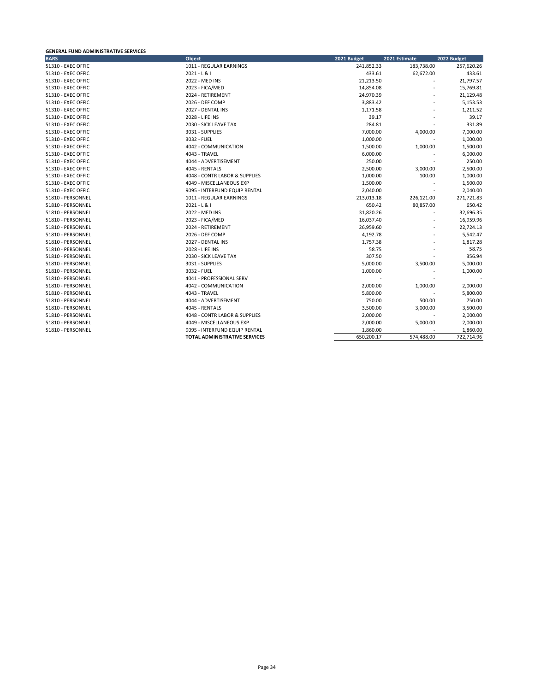#### **GENERAL FUND ADMINISTRATIVE SERVICES**

| <b>BARS</b>        | <b>Object</b>                        | 2021 Budget | 2021 Estimate            | 2022 Budget |
|--------------------|--------------------------------------|-------------|--------------------------|-------------|
| 51310 - EXEC OFFIC | 1011 - REGULAR EARNINGS              | 241,852.33  | 183,738.00               | 257,620.26  |
| 51310 - EXEC OFFIC | $2021 - L & 1$                       | 433.61      | 62,672.00                | 433.61      |
| 51310 - EXEC OFFIC | 2022 - MED INS                       | 21,213.50   |                          | 21,797.57   |
| 51310 - EXEC OFFIC | 2023 - FICA/MED                      | 14,854.08   |                          | 15,769.81   |
| 51310 - EXEC OFFIC | 2024 - RETIREMENT                    | 24,970.39   |                          | 21,129.48   |
| 51310 - EXEC OFFIC | 2026 - DEF COMP                      | 3,883.42    |                          | 5,153.53    |
| 51310 - EXEC OFFIC | 2027 - DENTAL INS                    | 1,171.58    |                          | 1,211.52    |
| 51310 - EXEC OFFIC | 2028 - LIFE INS                      | 39.17       |                          | 39.17       |
| 51310 - EXEC OFFIC | 2030 - SICK LEAVE TAX                | 284.81      |                          | 331.89      |
| 51310 - EXEC OFFIC | 3031 - SUPPLIES                      | 7,000.00    | 4,000.00                 | 7,000.00    |
| 51310 - EXEC OFFIC | 3032 - FUEL                          | 1,000.00    |                          | 1,000.00    |
| 51310 - EXEC OFFIC | 4042 - COMMUNICATION                 | 1,500.00    | 1,000.00                 | 1,500.00    |
| 51310 - EXEC OFFIC | 4043 - TRAVEL                        | 6,000.00    |                          | 6,000.00    |
| 51310 - EXEC OFFIC | 4044 - ADVERTISEMENT                 | 250.00      |                          | 250.00      |
| 51310 - EXEC OFFIC | 4045 - RENTALS                       | 2,500.00    | 3,000.00                 | 2,500.00    |
| 51310 - EXEC OFFIC | 4048 - CONTR LABOR & SUPPLIES        | 1,000.00    | 100.00                   | 1,000.00    |
| 51310 - EXEC OFFIC | 4049 - MISCELLANEOUS EXP             | 1,500.00    |                          | 1,500.00    |
| 51310 - EXEC OFFIC | 9095 - INTERFUND EQUIP RENTAL        | 2,040.00    |                          | 2,040.00    |
| 51810 - PERSONNEL  | 1011 - REGULAR EARNINGS              | 213,013.18  | 226,121.00               | 271,721.83  |
| 51810 - PERSONNEL  | $2021 - L & 1$                       | 650.42      | 80,857.00                | 650.42      |
| 51810 - PERSONNEL  | 2022 - MED INS                       | 31,820.26   |                          | 32,696.35   |
| 51810 - PERSONNEL  | 2023 - FICA/MED                      | 16,037.40   |                          | 16,959.96   |
| 51810 - PERSONNEL  | 2024 - RETIREMENT                    | 26,959.60   |                          | 22,724.13   |
| 51810 - PERSONNEL  | 2026 - DEF COMP                      | 4,192.78    |                          | 5,542.47    |
| 51810 - PERSONNEL  | 2027 - DENTAL INS                    | 1,757.38    |                          | 1,817.28    |
| 51810 - PERSONNEL  | 2028 - LIFE INS                      | 58.75       |                          | 58.75       |
| 51810 - PERSONNEL  | 2030 - SICK LEAVE TAX                | 307.50      |                          | 356.94      |
| 51810 - PERSONNEL  | 3031 - SUPPLIES                      | 5,000.00    | 3,500.00                 | 5,000.00    |
| 51810 - PERSONNEL  | 3032 - FUEL                          | 1,000.00    |                          | 1,000.00    |
| 51810 - PERSONNEL  | 4041 - PROFESSIONAL SERV             |             |                          |             |
| 51810 - PERSONNEL  | 4042 - COMMUNICATION                 | 2,000.00    | 1,000.00                 | 2,000.00    |
| 51810 - PERSONNEL  | 4043 - TRAVEL                        | 5,800.00    |                          | 5,800.00    |
| 51810 - PERSONNEL  | 4044 - ADVERTISEMENT                 | 750.00      | 500.00                   | 750.00      |
| 51810 - PERSONNEL  | 4045 - RENTALS                       | 3,500.00    | 3,000.00                 | 3,500.00    |
| 51810 - PERSONNEL  | 4048 - CONTR LABOR & SUPPLIES        | 2,000.00    | $\overline{\phantom{a}}$ | 2,000.00    |
| 51810 - PERSONNEL  | 4049 - MISCELLANEOUS EXP             | 2,000.00    | 5,000.00                 | 2,000.00    |
| 51810 - PERSONNEL  | 9095 - INTERFUND EQUIP RENTAL        | 1,860.00    |                          | 1,860.00    |
|                    | <b>TOTAL ADMINISTRATIVE SERVICES</b> | 650,200.17  | 574,488.00               | 722,714.96  |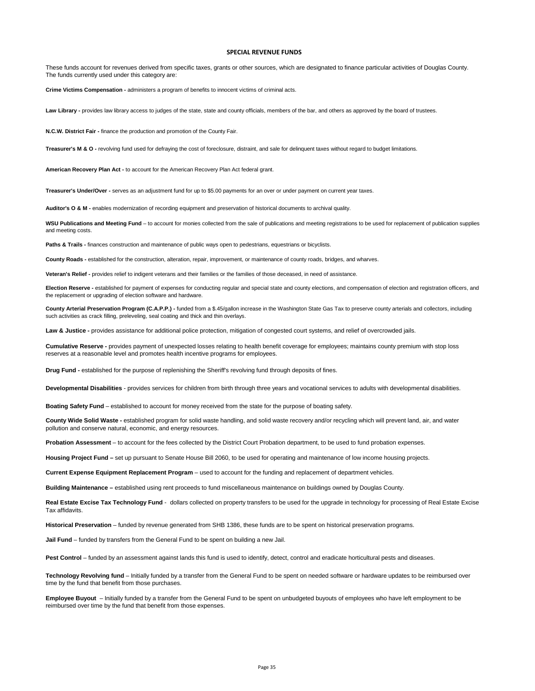#### **SPECIAL REVENUE FUNDS**

These funds account for revenues derived from specific taxes, grants or other sources, which are designated to finance particular activities of Douglas County. The funds currently used under this category are:

**Crime Victims Compensation -** administers a program of benefits to innocent victims of criminal acts.

Law Library - provides law library access to judges of the state, state and county officials, members of the bar, and others as approved by the board of trustees.

**N.C.W. District Fair -** finance the production and promotion of the County Fair.

Treasurer's M & O - revolving fund used for defraying the cost of foreclosure, distraint, and sale for delinquent taxes without regard to budget limitations.

**American Recovery Plan Act -** to account for the American Recovery Plan Act federal grant.

**Treasurer's Under/Over -** serves as an adjustment fund for up to \$5.00 payments for an over or under payment on current year taxes.

**Auditor's O & M -** enables modernization of recording equipment and preservation of historical documents to archival quality.

**WSU Publications and Meeting Fund** – to account for monies collected from the sale of publications and meeting registrations to be used for replacement of publication supplies and meeting costs.

**Paths & Trails -** finances construction and maintenance of public ways open to pedestrians, equestrians or bicyclists.

**County Roads -** established for the construction, alteration, repair, improvement, or maintenance of county roads, bridges, and wharves.

**Veteran's Relief -** provides relief to indigent veterans and their families or the families of those deceased, in need of assistance.

Election Reserve - established for payment of expenses for conducting regular and special state and county elections, and compensation of election and registration officers, and the replacement or upgrading of election software and hardware.

**County Arterial Preservation Program (C.A.P.P.) -** funded from a \$.45/gallon increase in the Washington State Gas Tax to preserve county arterials and collectors, including such activities as crack filling, preleveling, seal coating and thick and thin overlays.

Law & Justice - provides assistance for additional police protection, mitigation of congested court systems, and relief of overcrowded jails.

**Cumulative Reserve -** provides payment of unexpected losses relating to health benefit coverage for employees; maintains county premium with stop loss reserves at a reasonable level and promotes health incentive programs for employees.

**Drug Fund -** established for the purpose of replenishing the Sheriff's revolving fund through deposits of fines.

**Developmental Disabilities** - provides services for children from birth through three years and vocational services to adults with developmental disabilities.

**Boating Safety Fund** – established to account for money received from the state for the purpose of boating safety.

**County Wide Solid Waste -** established program for solid waste handling, and solid waste recovery and/or recycling which will prevent land, air, and water pollution and conserve natural, economic, and energy resources.

**Probation Assessment** – to account for the fees collected by the District Court Probation department, to be used to fund probation expenses.

**Housing Project Fund –** set up pursuant to Senate House Bill 2060, to be used for operating and maintenance of low income housing projects.

**Current Expense Equipment Replacement Program** – used to account for the funding and replacement of department vehicles.

**Building Maintenance –** established using rent proceeds to fund miscellaneous maintenance on buildings owned by Douglas County.

**Real Estate Excise Tax Technology Fund** - dollars collected on property transfers to be used for the upgrade in technology for processing of Real Estate Excise Tax affidavits.

**Historical Preservation** – funded by revenue generated from SHB 1386, these funds are to be spent on historical preservation programs.

**Jail Fund** – funded by transfers from the General Fund to be spent on building a new Jail.

Pest Control - funded by an assessment against lands this fund is used to identify, detect, control and eradicate horticultural pests and diseases.

Technology Revolving fund – Initially funded by a transfer from the General Fund to be spent on needed software or hardware updates to be reimbursed over time by the fund that benefit from those purchases.

**Employee Buyout** – Initially funded by a transfer from the General Fund to be spent on unbudgeted buyouts of employees who have left employment to be reimbursed over time by the fund that benefit from those expenses.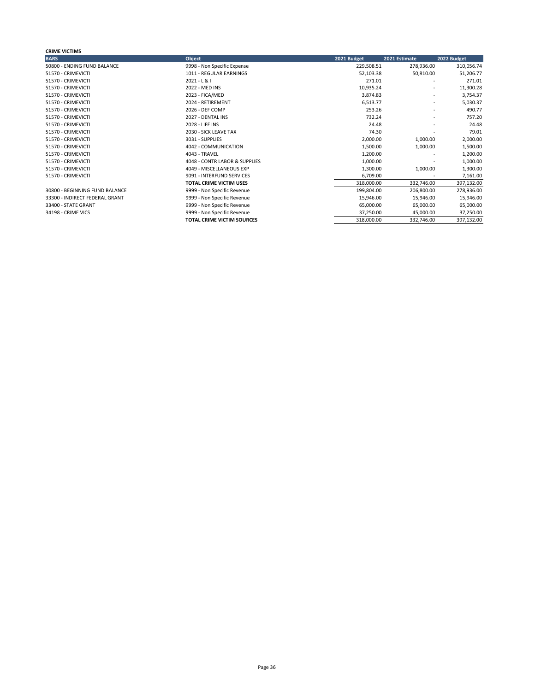# **CRIME VICTIMS**

| <b>BARS</b>                    | Object                            | 2021 Budget | 2021 Estimate            | 2022 Budget |
|--------------------------------|-----------------------------------|-------------|--------------------------|-------------|
| 50800 - ENDING FUND BALANCE    | 9998 - Non Specific Expense       | 229,508.51  | 278,936.00               | 310,056.74  |
| 51570 - CRIMEVICTI             | 1011 - REGULAR EARNINGS           | 52,103.38   | 50,810.00                | 51,206.77   |
| 51570 - CRIMEVICTI             | $2021 - L & 1$                    | 271.01      |                          | 271.01      |
| 51570 - CRIMEVICTI             | 2022 - MED INS                    | 10,935.24   | $\overline{\phantom{a}}$ | 11,300.28   |
| 51570 - CRIMEVICTI             | 2023 - FICA/MED                   | 3,874.83    | $\overline{\phantom{a}}$ | 3,754.37    |
| 51570 - CRIMEVICTI             | 2024 - RETIREMENT                 | 6,513.77    | $\overline{\phantom{a}}$ | 5,030.37    |
| 51570 - CRIMEVICTI             | 2026 - DEF COMP                   | 253.26      |                          | 490.77      |
| 51570 - CRIMEVICTI             | 2027 - DENTAL INS                 | 732.24      |                          | 757.20      |
| 51570 - CRIMEVICTI             | 2028 - LIFE INS                   | 24.48       |                          | 24.48       |
| 51570 - CRIMEVICTI             | 2030 - SICK LEAVE TAX             | 74.30       |                          | 79.01       |
| 51570 - CRIMEVICTI             | 3031 - SUPPLIES                   | 2,000.00    | 1,000.00                 | 2,000.00    |
| 51570 - CRIMEVICTI             | 4042 - COMMUNICATION              | 1,500.00    | 1,000.00                 | 1,500.00    |
| 51570 - CRIMEVICTI             | 4043 - TRAVEL                     | 1,200.00    |                          | 1,200.00    |
| 51570 - CRIMEVICTI             | 4048 - CONTR LABOR & SUPPLIES     | 1,000.00    |                          | 1,000.00    |
| 51570 - CRIMEVICTI             | 4049 - MISCELLANEOUS EXP          | 1,300.00    | 1,000.00                 | 1,300.00    |
| 51570 - CRIMEVICTI             | 9091 - INTERFUND SERVICES         | 6,709.00    |                          | 7,161.00    |
|                                | <b>TOTAL CRIME VICTIM USES</b>    | 318,000.00  | 332,746.00               | 397,132.00  |
| 30800 - BEGINNING FUND BALANCE | 9999 - Non Specific Revenue       | 199,804.00  | 206.800.00               | 278,936.00  |
| 33300 - INDIRECT FEDERAL GRANT | 9999 - Non Specific Revenue       | 15,946.00   | 15,946.00                | 15,946.00   |
| 33400 - STATE GRANT            | 9999 - Non Specific Revenue       | 65,000.00   | 65,000.00                | 65,000.00   |
| 34198 - CRIME VICS             | 9999 - Non Specific Revenue       | 37,250.00   | 45,000.00                | 37,250.00   |
|                                | <b>TOTAL CRIME VICTIM SOURCES</b> | 318,000.00  | 332,746.00               | 397,132.00  |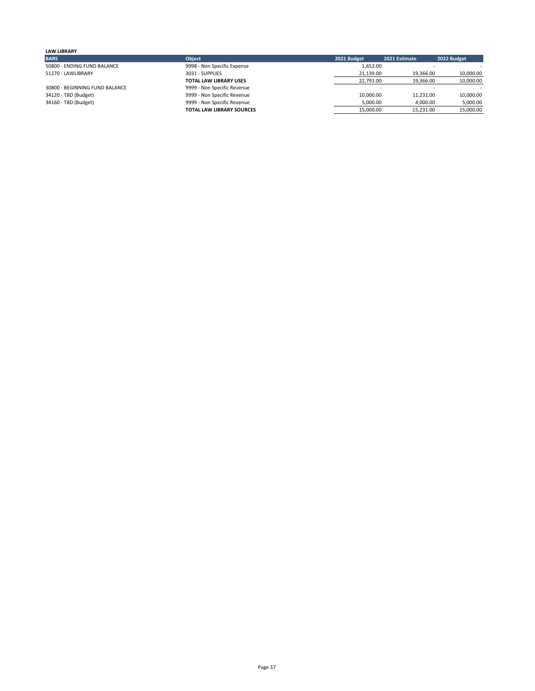| <b>LAW LIBRARY</b>             |                                  |             |               |             |
|--------------------------------|----------------------------------|-------------|---------------|-------------|
| <b>BARS</b>                    | <b>Object</b>                    | 2021 Budget | 2021 Estimate | 2022 Budget |
| 50800 - ENDING FUND BALANCE    | 9998 - Non Specific Expense      | 1,652.00    |               |             |
| 51270 - LAWLIBRARY             | 3031 - SUPPLIES                  | 21,139.00   | 19.366.00     | 10,000.00   |
|                                | TOTAL LAW LIBRARY USES           | 22.791.00   | 19.366.00     | 10,000.00   |
| 30800 - BEGINNING FUND BALANCE | 9999 - Non Specific Revenue      |             |               |             |
| 34120 - TBD (Budget)           | 9999 - Non Specific Revenue      | 10,000.00   | 11.231.00     | 10,000.00   |
| 34160 - TBD (Budget)           | 9999 - Non Specific Revenue      | 5.000.00    | 4.000.00      | 5,000.00    |
|                                | <b>TOTAL LAW LIBRARY SOURCES</b> | 15,000.00   | 15,231.00     | 15,000.00   |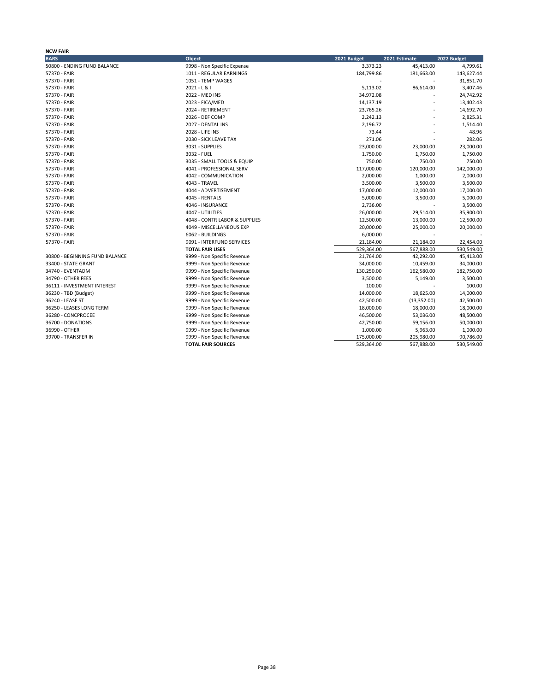| <b>BARS</b><br><b>Object</b><br>2021 Budget<br>2022 Budget<br>2021 Estimate<br>3,373.23<br>45,413.00<br>50800 - ENDING FUND BALANCE<br>9998 - Non Specific Expense<br>4,799.61<br>57370 - FAIR<br>1011 - REGULAR EARNINGS<br>184,799.86<br>181,663.00<br>143,627.44<br>57370 - FAIR<br>1051 - TEMP WAGES<br>31,851.70<br>57370 - FAIR<br>$2021 - L & 1$<br>86,614.00<br>3,407.46<br>5,113.02<br>2022 - MED INS<br>24,742.92<br>57370 - FAIR<br>34,972.08<br>57370 - FAIR<br>2023 - FICA/MED<br>13,402.43<br>14,137.19<br>57370 - FAIR<br>23,765.26<br>14,692.70<br>2024 - RETIREMENT<br>2,825.31<br>57370 - FAIR<br>2026 - DEF COMP<br>2,242.13<br>57370 - FAIR<br>2027 - DENTAL INS<br>2,196.72<br>1,514.40<br>48.96<br>57370 - FAIR<br>2028 - LIFE INS<br>73.44<br>271.06<br>282.06<br>57370 - FAIR<br>2030 - SICK LEAVE TAX<br>3031 - SUPPLIES<br>23,000.00<br>57370 - FAIR<br>23,000.00<br>23,000.00<br>1,750.00<br>57370 - FAIR<br>3032 - FUEL<br>1,750.00<br>1,750.00<br>57370 - FAIR<br>3035 - SMALL TOOLS & EQUIP<br>750.00<br>750.00<br>750.00<br>117,000.00<br>142,000.00<br>57370 - FAIR<br>4041 - PROFESSIONAL SERV<br>120,000.00<br>57370 - FAIR<br>4042 - COMMUNICATION<br>2,000.00<br>1,000.00<br>2,000.00<br>57370 - FAIR<br>4043 - TRAVEL<br>3,500.00<br>3,500.00<br>3,500.00<br>57370 - FAIR<br>4044 - ADVERTISEMENT<br>17,000.00<br>17,000.00<br>12,000.00<br>5,000.00<br>57370 - FAIR<br>4045 - RENTALS<br>5,000.00<br>3,500.00<br>57370 - FAIR<br>4046 - INSURANCE<br>2,736.00<br>3,500.00<br>57370 - FAIR<br>4047 - UTILITIES<br>26,000.00<br>29,514.00<br>35,900.00<br>57370 - FAIR<br>12,500.00<br>4048 - CONTR LABOR & SUPPLIES<br>13,000.00<br>12,500.00<br>57370 - FAIR<br>4049 - MISCELLANEOUS EXP<br>20,000.00<br>25,000.00<br>20,000.00<br>57370 - FAIR<br>6062 - BUILDINGS<br>6,000.00<br>57370 - FAIR<br>9091 - INTERFUND SERVICES<br>21,184.00<br>21,184.00<br>22,454.00<br><b>TOTAL FAIR USES</b><br>529,364.00<br>567,888.00<br>530,549.00<br>30800 - BEGINNING FUND BALANCE<br>9999 - Non Specific Revenue<br>21,764.00<br>42,292.00<br>45,413.00<br>34,000.00<br>10,459.00<br>34,000.00<br>33400 - STATE GRANT<br>9999 - Non Specific Revenue<br>9999 - Non Specific Revenue<br>182,750.00<br>34740 - EVENTADM<br>130,250.00<br>162,580.00<br>34790 - OTHER FEES<br>9999 - Non Specific Revenue<br>3,500.00<br>5,149.00<br>3,500.00<br>9999 - Non Specific Revenue<br>100.00<br>100.00<br>36111 - INVESTMENT INTEREST<br>14,000.00<br>18,625.00<br>14,000.00<br>36230 - TBD (Budget)<br>9999 - Non Specific Revenue<br>42,500.00<br>36240 - LEASE ST<br>9999 - Non Specific Revenue<br>42,500.00<br>(13, 352.00)<br>36250 - LEASES LONG TERM<br>9999 - Non Specific Revenue<br>18,000.00<br>18,000.00<br>18,000.00<br>36280 - CONCPROCEE<br>9999 - Non Specific Revenue<br>46,500.00<br>53,036.00<br>48,500.00<br>36700 - DONATIONS<br>9999 - Non Specific Revenue<br>42,750.00<br>59,156.00<br>50,000.00<br>36990 - OTHER<br>9999 - Non Specific Revenue<br>1,000.00<br>5,963.00<br>1,000.00<br>39700 - TRANSFER IN<br>9999 - Non Specific Revenue<br>175,000.00<br>205,980.00<br>90,786.00<br><b>TOTAL FAIR SOURCES</b><br>530,549.00<br>529,364.00<br>567,888.00 | <b>NCW FAIR</b> |  |  |
|----------------------------------------------------------------------------------------------------------------------------------------------------------------------------------------------------------------------------------------------------------------------------------------------------------------------------------------------------------------------------------------------------------------------------------------------------------------------------------------------------------------------------------------------------------------------------------------------------------------------------------------------------------------------------------------------------------------------------------------------------------------------------------------------------------------------------------------------------------------------------------------------------------------------------------------------------------------------------------------------------------------------------------------------------------------------------------------------------------------------------------------------------------------------------------------------------------------------------------------------------------------------------------------------------------------------------------------------------------------------------------------------------------------------------------------------------------------------------------------------------------------------------------------------------------------------------------------------------------------------------------------------------------------------------------------------------------------------------------------------------------------------------------------------------------------------------------------------------------------------------------------------------------------------------------------------------------------------------------------------------------------------------------------------------------------------------------------------------------------------------------------------------------------------------------------------------------------------------------------------------------------------------------------------------------------------------------------------------------------------------------------------------------------------------------------------------------------------------------------------------------------------------------------------------------------------------------------------------------------------------------------------------------------------------------------------------------------------------------------------------------------------------------------------------------------------------------------------------------------------------------------------------------------------------------------------------------------------------------------------------------------------------------------------------------------------------------------------------------------------------------------------------------------------------------------------------------|-----------------|--|--|
|                                                                                                                                                                                                                                                                                                                                                                                                                                                                                                                                                                                                                                                                                                                                                                                                                                                                                                                                                                                                                                                                                                                                                                                                                                                                                                                                                                                                                                                                                                                                                                                                                                                                                                                                                                                                                                                                                                                                                                                                                                                                                                                                                                                                                                                                                                                                                                                                                                                                                                                                                                                                                                                                                                                                                                                                                                                                                                                                                                                                                                                                                                                                                                                                          |                 |  |  |
|                                                                                                                                                                                                                                                                                                                                                                                                                                                                                                                                                                                                                                                                                                                                                                                                                                                                                                                                                                                                                                                                                                                                                                                                                                                                                                                                                                                                                                                                                                                                                                                                                                                                                                                                                                                                                                                                                                                                                                                                                                                                                                                                                                                                                                                                                                                                                                                                                                                                                                                                                                                                                                                                                                                                                                                                                                                                                                                                                                                                                                                                                                                                                                                                          |                 |  |  |
|                                                                                                                                                                                                                                                                                                                                                                                                                                                                                                                                                                                                                                                                                                                                                                                                                                                                                                                                                                                                                                                                                                                                                                                                                                                                                                                                                                                                                                                                                                                                                                                                                                                                                                                                                                                                                                                                                                                                                                                                                                                                                                                                                                                                                                                                                                                                                                                                                                                                                                                                                                                                                                                                                                                                                                                                                                                                                                                                                                                                                                                                                                                                                                                                          |                 |  |  |
|                                                                                                                                                                                                                                                                                                                                                                                                                                                                                                                                                                                                                                                                                                                                                                                                                                                                                                                                                                                                                                                                                                                                                                                                                                                                                                                                                                                                                                                                                                                                                                                                                                                                                                                                                                                                                                                                                                                                                                                                                                                                                                                                                                                                                                                                                                                                                                                                                                                                                                                                                                                                                                                                                                                                                                                                                                                                                                                                                                                                                                                                                                                                                                                                          |                 |  |  |
|                                                                                                                                                                                                                                                                                                                                                                                                                                                                                                                                                                                                                                                                                                                                                                                                                                                                                                                                                                                                                                                                                                                                                                                                                                                                                                                                                                                                                                                                                                                                                                                                                                                                                                                                                                                                                                                                                                                                                                                                                                                                                                                                                                                                                                                                                                                                                                                                                                                                                                                                                                                                                                                                                                                                                                                                                                                                                                                                                                                                                                                                                                                                                                                                          |                 |  |  |
|                                                                                                                                                                                                                                                                                                                                                                                                                                                                                                                                                                                                                                                                                                                                                                                                                                                                                                                                                                                                                                                                                                                                                                                                                                                                                                                                                                                                                                                                                                                                                                                                                                                                                                                                                                                                                                                                                                                                                                                                                                                                                                                                                                                                                                                                                                                                                                                                                                                                                                                                                                                                                                                                                                                                                                                                                                                                                                                                                                                                                                                                                                                                                                                                          |                 |  |  |
|                                                                                                                                                                                                                                                                                                                                                                                                                                                                                                                                                                                                                                                                                                                                                                                                                                                                                                                                                                                                                                                                                                                                                                                                                                                                                                                                                                                                                                                                                                                                                                                                                                                                                                                                                                                                                                                                                                                                                                                                                                                                                                                                                                                                                                                                                                                                                                                                                                                                                                                                                                                                                                                                                                                                                                                                                                                                                                                                                                                                                                                                                                                                                                                                          |                 |  |  |
|                                                                                                                                                                                                                                                                                                                                                                                                                                                                                                                                                                                                                                                                                                                                                                                                                                                                                                                                                                                                                                                                                                                                                                                                                                                                                                                                                                                                                                                                                                                                                                                                                                                                                                                                                                                                                                                                                                                                                                                                                                                                                                                                                                                                                                                                                                                                                                                                                                                                                                                                                                                                                                                                                                                                                                                                                                                                                                                                                                                                                                                                                                                                                                                                          |                 |  |  |
|                                                                                                                                                                                                                                                                                                                                                                                                                                                                                                                                                                                                                                                                                                                                                                                                                                                                                                                                                                                                                                                                                                                                                                                                                                                                                                                                                                                                                                                                                                                                                                                                                                                                                                                                                                                                                                                                                                                                                                                                                                                                                                                                                                                                                                                                                                                                                                                                                                                                                                                                                                                                                                                                                                                                                                                                                                                                                                                                                                                                                                                                                                                                                                                                          |                 |  |  |
|                                                                                                                                                                                                                                                                                                                                                                                                                                                                                                                                                                                                                                                                                                                                                                                                                                                                                                                                                                                                                                                                                                                                                                                                                                                                                                                                                                                                                                                                                                                                                                                                                                                                                                                                                                                                                                                                                                                                                                                                                                                                                                                                                                                                                                                                                                                                                                                                                                                                                                                                                                                                                                                                                                                                                                                                                                                                                                                                                                                                                                                                                                                                                                                                          |                 |  |  |
|                                                                                                                                                                                                                                                                                                                                                                                                                                                                                                                                                                                                                                                                                                                                                                                                                                                                                                                                                                                                                                                                                                                                                                                                                                                                                                                                                                                                                                                                                                                                                                                                                                                                                                                                                                                                                                                                                                                                                                                                                                                                                                                                                                                                                                                                                                                                                                                                                                                                                                                                                                                                                                                                                                                                                                                                                                                                                                                                                                                                                                                                                                                                                                                                          |                 |  |  |
|                                                                                                                                                                                                                                                                                                                                                                                                                                                                                                                                                                                                                                                                                                                                                                                                                                                                                                                                                                                                                                                                                                                                                                                                                                                                                                                                                                                                                                                                                                                                                                                                                                                                                                                                                                                                                                                                                                                                                                                                                                                                                                                                                                                                                                                                                                                                                                                                                                                                                                                                                                                                                                                                                                                                                                                                                                                                                                                                                                                                                                                                                                                                                                                                          |                 |  |  |
|                                                                                                                                                                                                                                                                                                                                                                                                                                                                                                                                                                                                                                                                                                                                                                                                                                                                                                                                                                                                                                                                                                                                                                                                                                                                                                                                                                                                                                                                                                                                                                                                                                                                                                                                                                                                                                                                                                                                                                                                                                                                                                                                                                                                                                                                                                                                                                                                                                                                                                                                                                                                                                                                                                                                                                                                                                                                                                                                                                                                                                                                                                                                                                                                          |                 |  |  |
|                                                                                                                                                                                                                                                                                                                                                                                                                                                                                                                                                                                                                                                                                                                                                                                                                                                                                                                                                                                                                                                                                                                                                                                                                                                                                                                                                                                                                                                                                                                                                                                                                                                                                                                                                                                                                                                                                                                                                                                                                                                                                                                                                                                                                                                                                                                                                                                                                                                                                                                                                                                                                                                                                                                                                                                                                                                                                                                                                                                                                                                                                                                                                                                                          |                 |  |  |
|                                                                                                                                                                                                                                                                                                                                                                                                                                                                                                                                                                                                                                                                                                                                                                                                                                                                                                                                                                                                                                                                                                                                                                                                                                                                                                                                                                                                                                                                                                                                                                                                                                                                                                                                                                                                                                                                                                                                                                                                                                                                                                                                                                                                                                                                                                                                                                                                                                                                                                                                                                                                                                                                                                                                                                                                                                                                                                                                                                                                                                                                                                                                                                                                          |                 |  |  |
|                                                                                                                                                                                                                                                                                                                                                                                                                                                                                                                                                                                                                                                                                                                                                                                                                                                                                                                                                                                                                                                                                                                                                                                                                                                                                                                                                                                                                                                                                                                                                                                                                                                                                                                                                                                                                                                                                                                                                                                                                                                                                                                                                                                                                                                                                                                                                                                                                                                                                                                                                                                                                                                                                                                                                                                                                                                                                                                                                                                                                                                                                                                                                                                                          |                 |  |  |
|                                                                                                                                                                                                                                                                                                                                                                                                                                                                                                                                                                                                                                                                                                                                                                                                                                                                                                                                                                                                                                                                                                                                                                                                                                                                                                                                                                                                                                                                                                                                                                                                                                                                                                                                                                                                                                                                                                                                                                                                                                                                                                                                                                                                                                                                                                                                                                                                                                                                                                                                                                                                                                                                                                                                                                                                                                                                                                                                                                                                                                                                                                                                                                                                          |                 |  |  |
|                                                                                                                                                                                                                                                                                                                                                                                                                                                                                                                                                                                                                                                                                                                                                                                                                                                                                                                                                                                                                                                                                                                                                                                                                                                                                                                                                                                                                                                                                                                                                                                                                                                                                                                                                                                                                                                                                                                                                                                                                                                                                                                                                                                                                                                                                                                                                                                                                                                                                                                                                                                                                                                                                                                                                                                                                                                                                                                                                                                                                                                                                                                                                                                                          |                 |  |  |
|                                                                                                                                                                                                                                                                                                                                                                                                                                                                                                                                                                                                                                                                                                                                                                                                                                                                                                                                                                                                                                                                                                                                                                                                                                                                                                                                                                                                                                                                                                                                                                                                                                                                                                                                                                                                                                                                                                                                                                                                                                                                                                                                                                                                                                                                                                                                                                                                                                                                                                                                                                                                                                                                                                                                                                                                                                                                                                                                                                                                                                                                                                                                                                                                          |                 |  |  |
|                                                                                                                                                                                                                                                                                                                                                                                                                                                                                                                                                                                                                                                                                                                                                                                                                                                                                                                                                                                                                                                                                                                                                                                                                                                                                                                                                                                                                                                                                                                                                                                                                                                                                                                                                                                                                                                                                                                                                                                                                                                                                                                                                                                                                                                                                                                                                                                                                                                                                                                                                                                                                                                                                                                                                                                                                                                                                                                                                                                                                                                                                                                                                                                                          |                 |  |  |
|                                                                                                                                                                                                                                                                                                                                                                                                                                                                                                                                                                                                                                                                                                                                                                                                                                                                                                                                                                                                                                                                                                                                                                                                                                                                                                                                                                                                                                                                                                                                                                                                                                                                                                                                                                                                                                                                                                                                                                                                                                                                                                                                                                                                                                                                                                                                                                                                                                                                                                                                                                                                                                                                                                                                                                                                                                                                                                                                                                                                                                                                                                                                                                                                          |                 |  |  |
|                                                                                                                                                                                                                                                                                                                                                                                                                                                                                                                                                                                                                                                                                                                                                                                                                                                                                                                                                                                                                                                                                                                                                                                                                                                                                                                                                                                                                                                                                                                                                                                                                                                                                                                                                                                                                                                                                                                                                                                                                                                                                                                                                                                                                                                                                                                                                                                                                                                                                                                                                                                                                                                                                                                                                                                                                                                                                                                                                                                                                                                                                                                                                                                                          |                 |  |  |
|                                                                                                                                                                                                                                                                                                                                                                                                                                                                                                                                                                                                                                                                                                                                                                                                                                                                                                                                                                                                                                                                                                                                                                                                                                                                                                                                                                                                                                                                                                                                                                                                                                                                                                                                                                                                                                                                                                                                                                                                                                                                                                                                                                                                                                                                                                                                                                                                                                                                                                                                                                                                                                                                                                                                                                                                                                                                                                                                                                                                                                                                                                                                                                                                          |                 |  |  |
|                                                                                                                                                                                                                                                                                                                                                                                                                                                                                                                                                                                                                                                                                                                                                                                                                                                                                                                                                                                                                                                                                                                                                                                                                                                                                                                                                                                                                                                                                                                                                                                                                                                                                                                                                                                                                                                                                                                                                                                                                                                                                                                                                                                                                                                                                                                                                                                                                                                                                                                                                                                                                                                                                                                                                                                                                                                                                                                                                                                                                                                                                                                                                                                                          |                 |  |  |
|                                                                                                                                                                                                                                                                                                                                                                                                                                                                                                                                                                                                                                                                                                                                                                                                                                                                                                                                                                                                                                                                                                                                                                                                                                                                                                                                                                                                                                                                                                                                                                                                                                                                                                                                                                                                                                                                                                                                                                                                                                                                                                                                                                                                                                                                                                                                                                                                                                                                                                                                                                                                                                                                                                                                                                                                                                                                                                                                                                                                                                                                                                                                                                                                          |                 |  |  |
|                                                                                                                                                                                                                                                                                                                                                                                                                                                                                                                                                                                                                                                                                                                                                                                                                                                                                                                                                                                                                                                                                                                                                                                                                                                                                                                                                                                                                                                                                                                                                                                                                                                                                                                                                                                                                                                                                                                                                                                                                                                                                                                                                                                                                                                                                                                                                                                                                                                                                                                                                                                                                                                                                                                                                                                                                                                                                                                                                                                                                                                                                                                                                                                                          |                 |  |  |
|                                                                                                                                                                                                                                                                                                                                                                                                                                                                                                                                                                                                                                                                                                                                                                                                                                                                                                                                                                                                                                                                                                                                                                                                                                                                                                                                                                                                                                                                                                                                                                                                                                                                                                                                                                                                                                                                                                                                                                                                                                                                                                                                                                                                                                                                                                                                                                                                                                                                                                                                                                                                                                                                                                                                                                                                                                                                                                                                                                                                                                                                                                                                                                                                          |                 |  |  |
|                                                                                                                                                                                                                                                                                                                                                                                                                                                                                                                                                                                                                                                                                                                                                                                                                                                                                                                                                                                                                                                                                                                                                                                                                                                                                                                                                                                                                                                                                                                                                                                                                                                                                                                                                                                                                                                                                                                                                                                                                                                                                                                                                                                                                                                                                                                                                                                                                                                                                                                                                                                                                                                                                                                                                                                                                                                                                                                                                                                                                                                                                                                                                                                                          |                 |  |  |
|                                                                                                                                                                                                                                                                                                                                                                                                                                                                                                                                                                                                                                                                                                                                                                                                                                                                                                                                                                                                                                                                                                                                                                                                                                                                                                                                                                                                                                                                                                                                                                                                                                                                                                                                                                                                                                                                                                                                                                                                                                                                                                                                                                                                                                                                                                                                                                                                                                                                                                                                                                                                                                                                                                                                                                                                                                                                                                                                                                                                                                                                                                                                                                                                          |                 |  |  |
|                                                                                                                                                                                                                                                                                                                                                                                                                                                                                                                                                                                                                                                                                                                                                                                                                                                                                                                                                                                                                                                                                                                                                                                                                                                                                                                                                                                                                                                                                                                                                                                                                                                                                                                                                                                                                                                                                                                                                                                                                                                                                                                                                                                                                                                                                                                                                                                                                                                                                                                                                                                                                                                                                                                                                                                                                                                                                                                                                                                                                                                                                                                                                                                                          |                 |  |  |
|                                                                                                                                                                                                                                                                                                                                                                                                                                                                                                                                                                                                                                                                                                                                                                                                                                                                                                                                                                                                                                                                                                                                                                                                                                                                                                                                                                                                                                                                                                                                                                                                                                                                                                                                                                                                                                                                                                                                                                                                                                                                                                                                                                                                                                                                                                                                                                                                                                                                                                                                                                                                                                                                                                                                                                                                                                                                                                                                                                                                                                                                                                                                                                                                          |                 |  |  |
|                                                                                                                                                                                                                                                                                                                                                                                                                                                                                                                                                                                                                                                                                                                                                                                                                                                                                                                                                                                                                                                                                                                                                                                                                                                                                                                                                                                                                                                                                                                                                                                                                                                                                                                                                                                                                                                                                                                                                                                                                                                                                                                                                                                                                                                                                                                                                                                                                                                                                                                                                                                                                                                                                                                                                                                                                                                                                                                                                                                                                                                                                                                                                                                                          |                 |  |  |
|                                                                                                                                                                                                                                                                                                                                                                                                                                                                                                                                                                                                                                                                                                                                                                                                                                                                                                                                                                                                                                                                                                                                                                                                                                                                                                                                                                                                                                                                                                                                                                                                                                                                                                                                                                                                                                                                                                                                                                                                                                                                                                                                                                                                                                                                                                                                                                                                                                                                                                                                                                                                                                                                                                                                                                                                                                                                                                                                                                                                                                                                                                                                                                                                          |                 |  |  |
|                                                                                                                                                                                                                                                                                                                                                                                                                                                                                                                                                                                                                                                                                                                                                                                                                                                                                                                                                                                                                                                                                                                                                                                                                                                                                                                                                                                                                                                                                                                                                                                                                                                                                                                                                                                                                                                                                                                                                                                                                                                                                                                                                                                                                                                                                                                                                                                                                                                                                                                                                                                                                                                                                                                                                                                                                                                                                                                                                                                                                                                                                                                                                                                                          |                 |  |  |
|                                                                                                                                                                                                                                                                                                                                                                                                                                                                                                                                                                                                                                                                                                                                                                                                                                                                                                                                                                                                                                                                                                                                                                                                                                                                                                                                                                                                                                                                                                                                                                                                                                                                                                                                                                                                                                                                                                                                                                                                                                                                                                                                                                                                                                                                                                                                                                                                                                                                                                                                                                                                                                                                                                                                                                                                                                                                                                                                                                                                                                                                                                                                                                                                          |                 |  |  |
|                                                                                                                                                                                                                                                                                                                                                                                                                                                                                                                                                                                                                                                                                                                                                                                                                                                                                                                                                                                                                                                                                                                                                                                                                                                                                                                                                                                                                                                                                                                                                                                                                                                                                                                                                                                                                                                                                                                                                                                                                                                                                                                                                                                                                                                                                                                                                                                                                                                                                                                                                                                                                                                                                                                                                                                                                                                                                                                                                                                                                                                                                                                                                                                                          |                 |  |  |
|                                                                                                                                                                                                                                                                                                                                                                                                                                                                                                                                                                                                                                                                                                                                                                                                                                                                                                                                                                                                                                                                                                                                                                                                                                                                                                                                                                                                                                                                                                                                                                                                                                                                                                                                                                                                                                                                                                                                                                                                                                                                                                                                                                                                                                                                                                                                                                                                                                                                                                                                                                                                                                                                                                                                                                                                                                                                                                                                                                                                                                                                                                                                                                                                          |                 |  |  |
|                                                                                                                                                                                                                                                                                                                                                                                                                                                                                                                                                                                                                                                                                                                                                                                                                                                                                                                                                                                                                                                                                                                                                                                                                                                                                                                                                                                                                                                                                                                                                                                                                                                                                                                                                                                                                                                                                                                                                                                                                                                                                                                                                                                                                                                                                                                                                                                                                                                                                                                                                                                                                                                                                                                                                                                                                                                                                                                                                                                                                                                                                                                                                                                                          |                 |  |  |
|                                                                                                                                                                                                                                                                                                                                                                                                                                                                                                                                                                                                                                                                                                                                                                                                                                                                                                                                                                                                                                                                                                                                                                                                                                                                                                                                                                                                                                                                                                                                                                                                                                                                                                                                                                                                                                                                                                                                                                                                                                                                                                                                                                                                                                                                                                                                                                                                                                                                                                                                                                                                                                                                                                                                                                                                                                                                                                                                                                                                                                                                                                                                                                                                          |                 |  |  |
|                                                                                                                                                                                                                                                                                                                                                                                                                                                                                                                                                                                                                                                                                                                                                                                                                                                                                                                                                                                                                                                                                                                                                                                                                                                                                                                                                                                                                                                                                                                                                                                                                                                                                                                                                                                                                                                                                                                                                                                                                                                                                                                                                                                                                                                                                                                                                                                                                                                                                                                                                                                                                                                                                                                                                                                                                                                                                                                                                                                                                                                                                                                                                                                                          |                 |  |  |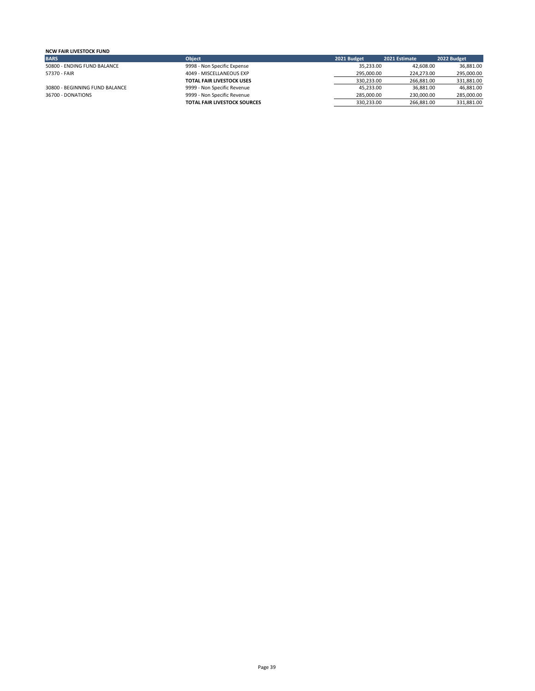| <b>Object</b>                       | 2021 Budget | 2022 Budget                                                                                                                                                                       |
|-------------------------------------|-------------|-----------------------------------------------------------------------------------------------------------------------------------------------------------------------------------|
| 9998 - Non Specific Expense         |             | 36,881.00                                                                                                                                                                         |
| 4049 - MISCELLANEOUS EXP            |             | 295,000.00                                                                                                                                                                        |
| <b>TOTAL FAIR LIVESTOCK USES</b>    |             | 331,881.00                                                                                                                                                                        |
| 9999 - Non Specific Revenue         |             | 46.881.00                                                                                                                                                                         |
| 9999 - Non Specific Revenue         |             | 285,000.00                                                                                                                                                                        |
| <b>TOTAL FAIR LIVESTOCK SOURCES</b> |             | 331,881.00                                                                                                                                                                        |
|                                     |             | 2021 Estimate<br>35,233.00<br>42.608.00<br>224.273.00<br>295.000.00<br>266.881.00<br>330.233.00<br>36.881.00<br>45.233.00<br>230,000.00<br>285.000.00<br>330.233.00<br>266,881.00 |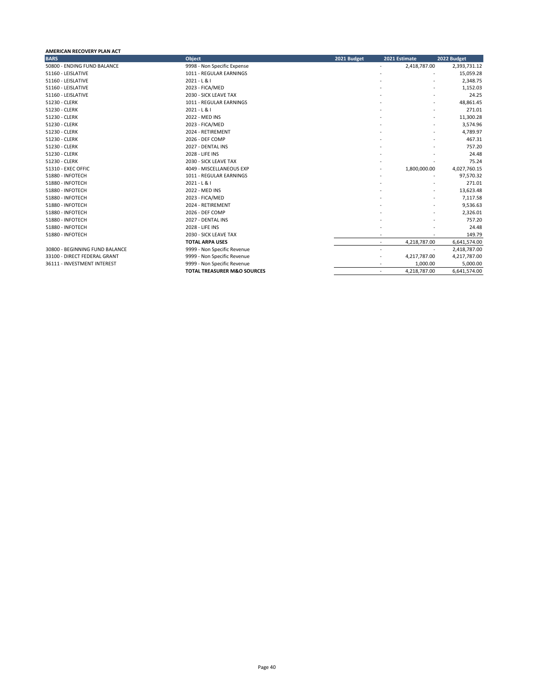| AMERICAN RECOVERY PLAN ACT     |                                        |             |                                    |              |
|--------------------------------|----------------------------------------|-------------|------------------------------------|--------------|
| <b>BARS</b>                    | <b>Object</b>                          | 2021 Budget | 2021 Estimate                      | 2022 Budget  |
| 50800 - ENDING FUND BALANCE    | 9998 - Non Specific Expense            |             | 2,418,787.00                       | 2,393,731.12 |
| 51160 - LEISLATIVE             | 1011 - REGULAR EARNINGS                |             |                                    | 15,059.28    |
| 51160 - LEISLATIVE             | $2021 - L & 1$                         |             | ٠                                  | 2,348.75     |
| 51160 - LEISLATIVE             | 2023 - FICA/MED                        |             |                                    | 1,152.03     |
| 51160 - LEISLATIVE             | 2030 - SICK LEAVE TAX                  |             |                                    | 24.25        |
| 51230 - CLERK                  | 1011 - REGULAR EARNINGS                |             |                                    | 48,861.45    |
| 51230 - CLERK                  | $2021 - L & 1$                         |             |                                    | 271.01       |
| 51230 - CLERK                  | 2022 - MED INS                         |             | ٠                                  | 11,300.28    |
| 51230 - CLERK                  | 2023 - FICA/MED                        |             |                                    | 3,574.96     |
| 51230 - CLERK                  | 2024 - RETIREMENT                      |             |                                    | 4,789.97     |
| 51230 - CLERK                  | 2026 - DEF COMP                        |             |                                    | 467.31       |
| 51230 - CLERK                  | 2027 - DENTAL INS                      |             |                                    | 757.20       |
| 51230 - CLERK                  | 2028 - LIFE INS                        |             |                                    | 24.48        |
| 51230 - CLERK                  | 2030 - SICK LEAVE TAX                  |             |                                    | 75.24        |
| 51310 - EXEC OFFIC             | 4049 - MISCELLANEOUS EXP               |             | 1,800,000.00                       | 4,027,760.15 |
| 51880 - INFOTECH               | 1011 - REGULAR EARNINGS                |             | ٠                                  | 97,570.32    |
| 51880 - INFOTECH               | $2021 - L & 1$                         |             |                                    | 271.01       |
| 51880 - INFOTECH               | 2022 - MED INS                         |             |                                    | 13,623.48    |
| 51880 - INFOTECH               | 2023 - FICA/MED                        |             |                                    | 7,117.58     |
| 51880 - INFOTECH               | 2024 - RETIREMENT                      |             |                                    | 9,536.63     |
| 51880 - INFOTECH               | 2026 - DEF COMP                        |             |                                    | 2,326.01     |
| 51880 - INFOTECH               | 2027 - DENTAL INS                      |             |                                    | 757.20       |
| 51880 - INFOTECH               | 2028 - LIFE INS                        |             |                                    | 24.48        |
| 51880 - INFOTECH               | 2030 - SICK LEAVE TAX                  |             |                                    | 149.79       |
|                                | <b>TOTAL ARPA USES</b>                 |             | 4,218,787.00<br>$\sim$             | 6,641,574.00 |
| 30800 - BEGINNING FUND BALANCE | 9999 - Non Specific Revenue            |             | $\overline{\phantom{a}}$<br>$\sim$ | 2,418,787.00 |
| 33100 - DIRECT FEDERAL GRANT   | 9999 - Non Specific Revenue            |             | 4,217,787.00                       | 4,217,787.00 |
| 36111 - INVESTMENT INTEREST    | 9999 - Non Specific Revenue            |             | 1,000.00                           | 5,000.00     |
|                                | <b>TOTAL TREASURER M&amp;O SOURCES</b> |             | 4,218,787.00<br>$\sim$             | 6,641,574.00 |
|                                |                                        |             |                                    |              |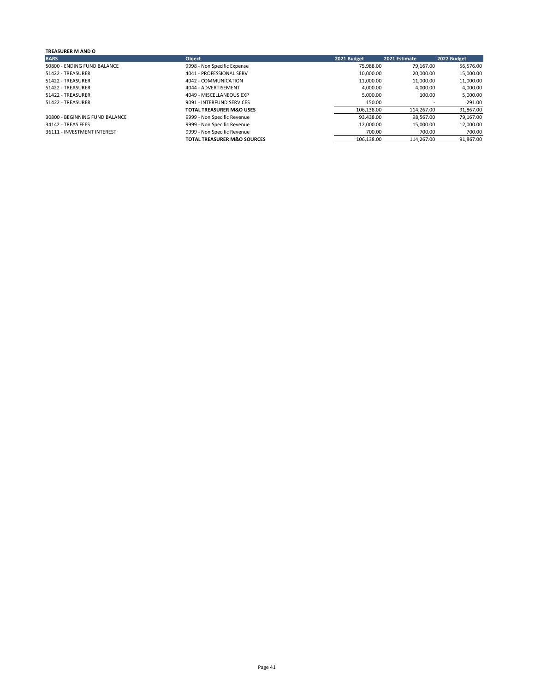#### **TREASURER M AND O BARS Object 2021 Budget 2021 Estimate 2022 Budget** 50800 - ENDING FUND BALANCE 9998 - Non Specific Expense 75,988.00 79,167.00 56,576.00 56,576.00 56,576.00 56,576.00<br>51422 - TREASURER 20,000.00 4041 - PROFESSIONAL SERV 10,000.00 20,000.00 56,576.00 56,000.00 56,000.00 56, 51422 - TREASURER 19 10,000.00 15,000.00 15,000.00 15,000.00 15,000.00 15,000.00 15,000.00 15,000.00 15,000.00<br>11,000.00 11,000.00 11,000.00 11,000.00 11,000.00 11,000.00 11,000.00 11,000.00 11,000.00 11,000.00 15,000.00 51422 - TREASURER 4042 - COMMUNICATION 11,000.00 11,000.00 11,000.00 51422 - TREASURER 4044 - ADVERTISEMENT 4,000.00 4,000.00 4,000.00 51422 - TREASURER 1999 - AOA - AOA - AOA - AOA - AOA - AOA - AOA - AOA - AOA - AOA - AOA - AOA - AOA - AOA - AO<br>100.00 100.00 - 5,000.00 5,000.00 - 5,000.00 5,000.00 - 5,000.00 5,000.00 - 5,000.00 - 5,000.00 - 291.00 - 29 51422 - TREASURER 9091 - INTERFUND SERVICES 150.00 - 291.00 **TOTAL TREASURER M&O USES** 106,138.00 114,267.00 91,867.00 91,867.00<br>
93,438.00 98,567.00 79,167.00 93,438.00 98,567.00 97,167.00 30800 - BEGINNING FUND BALANCE 9999 - Non Specific Revenue 93,438.00 98,567.00 79,167.00 34142 - 12,000.00 15,000.00 12,000.00 12,000.00 12,000.00 12,000.00 12,000.00 12,000.00 12,000.00 12,000.00 12<br>34140 - 12,000.00 12,000.00 12,000.00 12,000.00 12,000.00 12,000.00 12,000.00 12,000.00 12,000.00 12,000.00 12 36111 - INVESTMENT INTEREST **100.00**<br>36111 - INVESTMENT INTEREST **106,138.00** 700.00 700.00 700.00 700.00 700.00 700.00 700.00 700.00 700.00 700.00 700.00 700.00 700.00 700.00 700.00 700.00 700.00 700.00 700.00 700.00 700. **TOTAL TREASURER M&O SOURCES**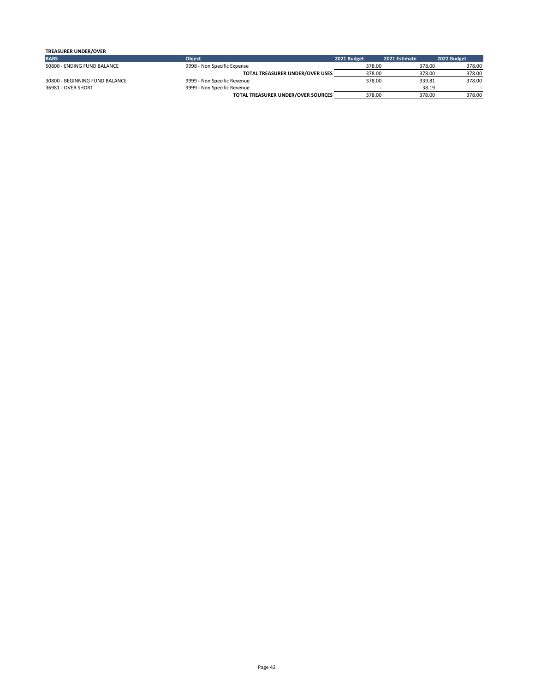| <b>TREASURER UNDER/OVER</b>    |                                        |             |               |             |
|--------------------------------|----------------------------------------|-------------|---------------|-------------|
| <b>BARS</b>                    | <b>Object</b>                          | 2021 Budget | 2021 Estimate | 2022 Budget |
| 50800 - ENDING FUND BALANCE    | 9998 - Non Specific Expense            | 378.00      | 378.00        | 378.00      |
|                                | <b>TOTAL TREASURER UNDER/OVER USES</b> | 378.00      | 378.00        | 378.00      |
| 30800 - BEGINNING FUND BALANCE | 9999 - Non Specific Revenue            | 378.00      | 339.81        | 378.00      |
| 36981 - OVER SHORT             | 9999 - Non Specific Revenue            |             | 38.19         |             |
|                                | TOTAL TREASURER UNDER/OVER SOURCES     | 378.00      | 378.00        | 378.00      |
|                                |                                        |             |               |             |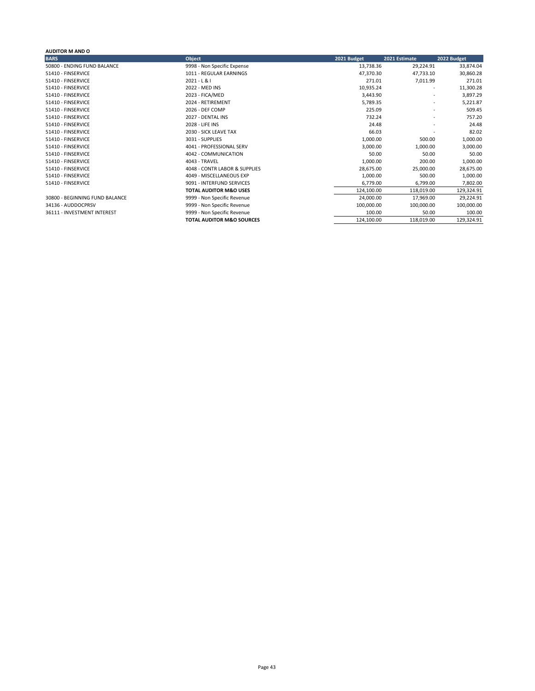# **AUDITOR M AND O**

| <b>BARS</b>                    | <b>Object</b>                        | 2021 Budget | 2021 Estimate            | 2022 Budget |
|--------------------------------|--------------------------------------|-------------|--------------------------|-------------|
| 50800 - ENDING FUND BALANCE    | 9998 - Non Specific Expense          | 13,738.36   | 29,224.91                | 33,874.04   |
| 51410 - FINSERVICE             | 1011 - REGULAR EARNINGS              | 47,370.30   | 47,733.10                | 30,860.28   |
| 51410 - FINSERVICE             | $2021 - L & 1$                       | 271.01      | 7,011.99                 | 271.01      |
| 51410 - FINSERVICE             | 2022 - MED INS                       | 10,935.24   | $\overline{\phantom{a}}$ | 11,300.28   |
| 51410 - FINSERVICE             | 2023 - FICA/MED                      | 3,443.90    |                          | 3,897.29    |
| 51410 - FINSERVICE             | 2024 - RETIREMENT                    | 5,789.35    | $\overline{\phantom{a}}$ | 5,221.87    |
| 51410 - FINSERVICE             | 2026 - DEF COMP                      | 225.09      | $\overline{\phantom{a}}$ | 509.45      |
| 51410 - FINSERVICE             | 2027 - DENTAL INS                    | 732.24      |                          | 757.20      |
| 51410 - FINSERVICE             | 2028 - LIFE INS                      | 24.48       | $\overline{\phantom{a}}$ | 24.48       |
| 51410 - FINSERVICE             | 2030 - SICK LEAVE TAX                | 66.03       |                          | 82.02       |
| 51410 - FINSERVICE             | 3031 - SUPPLIES                      | 1,000.00    | 500.00                   | 1,000.00    |
| 51410 - FINSERVICE             | 4041 - PROFESSIONAL SERV             | 3,000.00    | 1,000.00                 | 3,000.00    |
| 51410 - FINSERVICE             | 4042 - COMMUNICATION                 | 50.00       | 50.00                    | 50.00       |
| 51410 - FINSERVICE             | 4043 - TRAVEL                        | 1,000.00    | 200.00                   | 1,000.00    |
| 51410 - FINSERVICE             | 4048 - CONTR LABOR & SUPPLIES        | 28,675.00   | 25,000.00                | 28,675.00   |
| 51410 - FINSERVICE             | 4049 - MISCELLANEOUS EXP             | 1,000.00    | 500.00                   | 1,000.00    |
| 51410 - FINSERVICE             | 9091 - INTERFUND SERVICES            | 6,779.00    | 6,799.00                 | 7,802.00    |
|                                | <b>TOTAL AUDITOR M&amp;O USES</b>    | 124,100.00  | 118,019.00               | 129,324.91  |
| 30800 - BEGINNING FUND BALANCE | 9999 - Non Specific Revenue          | 24,000.00   | 17,969.00                | 29,224.91   |
| 34136 - AUDDOCPRSV             | 9999 - Non Specific Revenue          | 100,000.00  | 100,000.00               | 100,000.00  |
| 36111 - INVESTMENT INTEREST    | 9999 - Non Specific Revenue          | 100.00      | 50.00                    | 100.00      |
|                                | <b>TOTAL AUDITOR M&amp;O SOURCES</b> | 124,100.00  | 118,019.00               | 129,324.91  |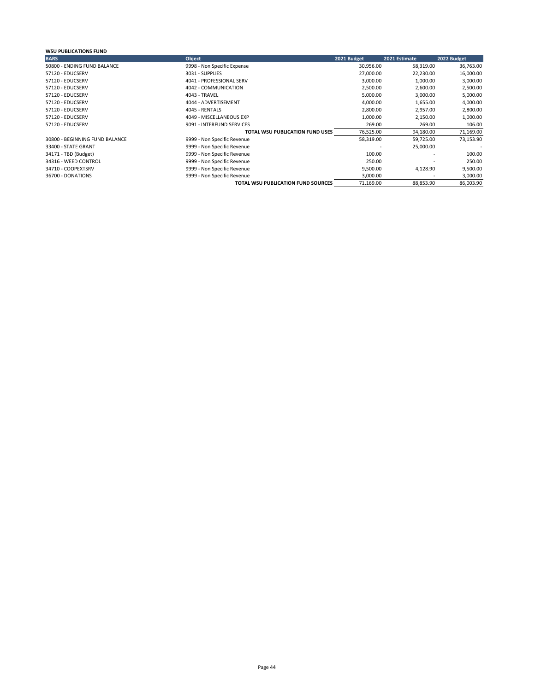| WSU PUBLICATIONS FUND          |                                        |             |               |             |
|--------------------------------|----------------------------------------|-------------|---------------|-------------|
| <b>BARS</b>                    | <b>Object</b>                          | 2021 Budget | 2021 Estimate | 2022 Budget |
| 50800 - ENDING FUND BALANCE    | 9998 - Non Specific Expense            | 30,956.00   | 58,319.00     | 36,763.00   |
| 57120 - EDUCSERV               | 3031 - SUPPLIES                        | 27,000.00   | 22,230.00     | 16,000.00   |
| 57120 - EDUCSERV               | 4041 - PROFESSIONAL SERV               | 3,000.00    | 1,000.00      | 3,000.00    |
| 57120 - EDUCSERV               | 4042 - COMMUNICATION                   | 2,500.00    | 2,600.00      | 2,500.00    |
| 57120 - EDUCSERV               | 4043 - TRAVEL                          | 5,000.00    | 3,000.00      | 5,000.00    |
| 57120 - EDUCSERV               | 4044 - ADVERTISEMENT                   | 4,000.00    | 1,655.00      | 4,000.00    |
| 57120 - EDUCSERV               | 4045 - RENTALS                         | 2,800.00    | 2,957.00      | 2,800.00    |
| 57120 - EDUCSERV               | 4049 - MISCELLANEOUS EXP               | 1,000.00    | 2,150.00      | 1,000.00    |
| 57120 - EDUCSERV               | 9091 - INTERFUND SERVICES              | 269.00      | 269.00        | 106.00      |
|                                | <b>TOTAL WSU PUBLICATION FUND USES</b> | 76,525.00   | 94,180.00     | 71,169.00   |
| 30800 - BEGINNING FUND BALANCE | 9999 - Non Specific Revenue            | 58,319.00   | 59,725.00     | 73,153.90   |
| 33400 - STATE GRANT            | 9999 - Non Specific Revenue            |             | 25,000.00     |             |
| 34171 - TBD (Budget)           | 9999 - Non Specific Revenue            | 100.00      |               | 100.00      |
| 34316 - WEED CONTROL           | 9999 - Non Specific Revenue            | 250.00      |               | 250.00      |
| 34710 - COOPEXTSRV             | 9999 - Non Specific Revenue            | 9,500.00    | 4,128.90      | 9,500.00    |
| 36700 - DONATIONS              | 9999 - Non Specific Revenue            | 3,000.00    |               | 3,000.00    |
|                                | TOTAL WSU PUBLICATION FUND SOURCES     | 71,169.00   | 88.853.90     | 86.003.90   |
|                                |                                        |             |               |             |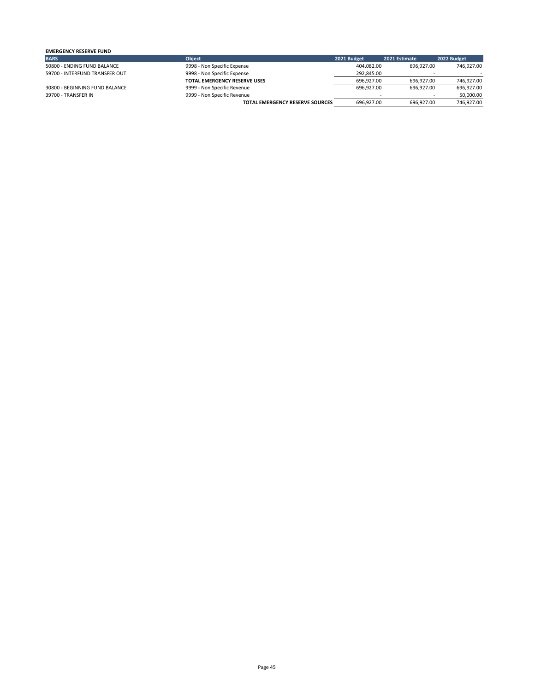| <b>EMERGENCY RESERVE FUND</b>  |                                        |             |                          |             |
|--------------------------------|----------------------------------------|-------------|--------------------------|-------------|
| <b>BARS</b>                    | <b>Object</b>                          | 2021 Budget | 2021 Estimate            | 2022 Budget |
| 50800 - ENDING FUND BALANCE    | 9998 - Non Specific Expense            | 404.082.00  | 696.927.00               | 746.927.00  |
| 59700 - INTERFUND TRANSFER OUT | 9998 - Non Specific Expense            | 292.845.00  | $\overline{\phantom{a}}$ |             |
|                                | TOTAL EMERGENCY RESERVE USES           | 696.927.00  | 696.927.00               | 746,927.00  |
| 30800 - BEGINNING FUND BALANCE | 9999 - Non Specific Revenue            | 696.927.00  | 696.927.00               | 696,927.00  |
| 39700 - TRANSFER IN            | 9999 - Non Specific Revenue            | <b>.</b>    |                          | 50,000.00   |
|                                | <b>TOTAL EMERGENCY RESERVE SOURCES</b> | 696.927.00  | 696.927.00               | 746,927.00  |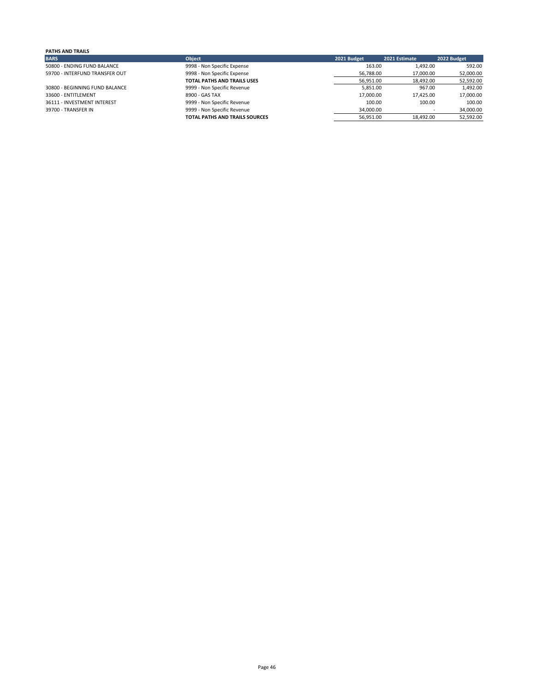| <b>PATHS AND TRAILS</b>        |                                       |             |               |             |
|--------------------------------|---------------------------------------|-------------|---------------|-------------|
| <b>BARS</b>                    | <b>Object</b>                         | 2021 Budget | 2021 Estimate | 2022 Budget |
| 50800 - ENDING FUND BALANCE    | 9998 - Non Specific Expense           | 163.00      | 1.492.00      | 592.00      |
| 59700 - INTERFUND TRANSFER OUT | 9998 - Non Specific Expense           | 56.788.00   | 17,000.00     | 52,000.00   |
|                                | <b>TOTAL PATHS AND TRAILS USES</b>    | 56.951.00   | 18,492.00     | 52,592.00   |
| 30800 - BEGINNING FUND BALANCE | 9999 - Non Specific Revenue           | 5.851.00    | 967.00        | 1.492.00    |
| 33600 - ENTITLEMENT            | 8900 - GAS TAX                        | 17.000.00   | 17.425.00     | 17,000.00   |
| 36111 - INVESTMENT INTEREST    | 9999 - Non Specific Revenue           | 100.00      | 100.00        | 100.00      |
| 39700 - TRANSFER IN            | 9999 - Non Specific Revenue           | 34,000.00   |               | 34,000.00   |
|                                | <b>TOTAL PATHS AND TRAILS SOURCES</b> | 56.951.00   | 18.492.00     | 52,592.00   |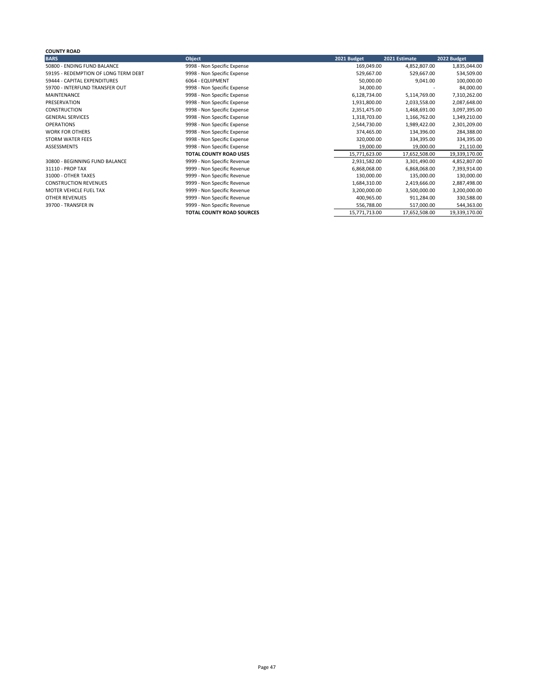# **COUNTY ROAD**

| <b>BARS</b>                          | Object                           | 2021 Budget   | 2021 Estimate | 2022 Budget   |
|--------------------------------------|----------------------------------|---------------|---------------|---------------|
| 50800 - ENDING FUND BALANCE          | 9998 - Non Specific Expense      | 169,049.00    | 4,852,807.00  | 1,835,044.00  |
| 59195 - REDEMPTION OF LONG TERM DEBT | 9998 - Non Specific Expense      | 529,667.00    | 529,667.00    | 534,509.00    |
| 59444 - CAPITAL EXPENDITURES         | 6064 - EQUIPMENT                 | 50,000.00     | 9,041.00      | 100,000.00    |
| 59700 - INTERFUND TRANSFER OUT       | 9998 - Non Specific Expense      | 34,000.00     |               | 84,000.00     |
| MAINTENANCE                          | 9998 - Non Specific Expense      | 6,128,734.00  | 5,114,769.00  | 7,310,262.00  |
| PRESERVATION                         | 9998 - Non Specific Expense      | 1,931,800.00  | 2,033,558.00  | 2,087,648.00  |
| <b>CONSTRUCTION</b>                  | 9998 - Non Specific Expense      | 2,351,475.00  | 1,468,691.00  | 3,097,395.00  |
| <b>GENERAL SERVICES</b>              | 9998 - Non Specific Expense      | 1,318,703.00  | 1,166,762.00  | 1,349,210.00  |
| <b>OPERATIONS</b>                    | 9998 - Non Specific Expense      | 2,544,730.00  | 1,989,422.00  | 2,301,209.00  |
| <b>WORK FOR OTHERS</b>               | 9998 - Non Specific Expense      | 374,465.00    | 134,396.00    | 284,388.00    |
| <b>STORM WATER FEES</b>              | 9998 - Non Specific Expense      | 320,000.00    | 334,395.00    | 334,395.00    |
| ASSESSMENTS                          | 9998 - Non Specific Expense      | 19,000.00     | 19,000.00     | 21,110.00     |
|                                      | <b>TOTAL COUNTY ROAD USES</b>    | 15,771,623.00 | 17,652,508.00 | 19,339,170.00 |
| 30800 - BEGINNING FUND BALANCE       | 9999 - Non Specific Revenue      | 2,931,582.00  | 3,301,490.00  | 4,852,807.00  |
| 31110 - PROP TAX                     | 9999 - Non Specific Revenue      | 6,868,068.00  | 6,868,068.00  | 7,393,914.00  |
| 31000 - OTHER TAXES                  | 9999 - Non Specific Revenue      | 130,000.00    | 135,000.00    | 130,000.00    |
| <b>CONSTRUCTION REVENUES</b>         | 9999 - Non Specific Revenue      | 1,684,310.00  | 2,419,666.00  | 2,887,498.00  |
| MOTER VEHICLE FUEL TAX               | 9999 - Non Specific Revenue      | 3,200,000.00  | 3,500,000.00  | 3,200,000.00  |
| <b>OTHER REVENUES</b>                | 9999 - Non Specific Revenue      | 400,965.00    | 911,284.00    | 330,588.00    |
| 39700 - TRANSFER IN                  | 9999 - Non Specific Revenue      | 556,788.00    | 517,000.00    | 544,363.00    |
|                                      | <b>TOTAL COUNTY ROAD SOURCES</b> | 15,771,713.00 | 17,652,508.00 | 19,339,170.00 |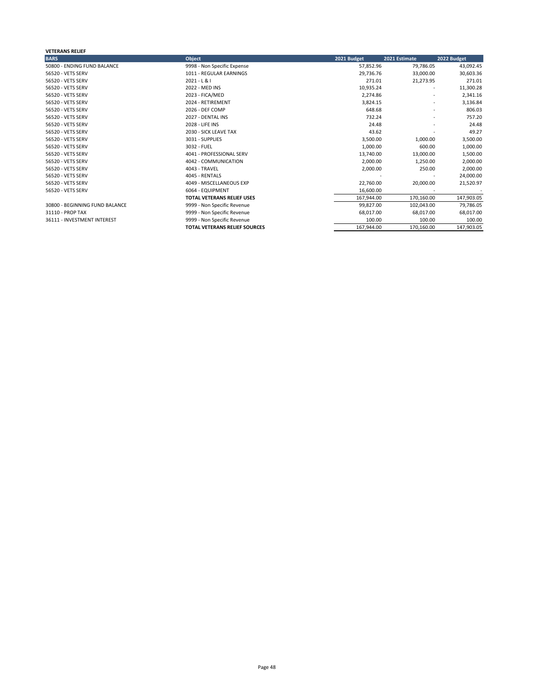# **VETERANS RELIEF**

| <b>BARS</b>                    | Object                               | 2021 Budget | 2021 Estimate            | 2022 Budget |
|--------------------------------|--------------------------------------|-------------|--------------------------|-------------|
| 50800 - ENDING FUND BALANCE    | 9998 - Non Specific Expense          | 57,852.96   | 79,786.05                | 43,092.45   |
| 56520 - VETS SERV              | 1011 - REGULAR EARNINGS              | 29,736.76   | 33,000.00                | 30,603.36   |
| 56520 - VETS SERV              | $2021 - L & 1$                       | 271.01      | 21,273.95                | 271.01      |
| 56520 - VETS SERV              | 2022 - MED INS                       | 10,935.24   | $\overline{\phantom{a}}$ | 11,300.28   |
| 56520 - VETS SERV              | 2023 - FICA/MED                      | 2,274.86    |                          | 2,341.16    |
| 56520 - VETS SERV              | 2024 - RETIREMENT                    | 3.824.15    | $\overline{\phantom{a}}$ | 3,136.84    |
| 56520 - VETS SERV              | 2026 - DEF COMP                      | 648.68      |                          | 806.03      |
| 56520 - VETS SERV              | 2027 - DENTAL INS                    | 732.24      |                          | 757.20      |
| 56520 - VETS SERV              | 2028 - LIFE INS                      | 24.48       |                          | 24.48       |
| 56520 - VETS SERV              | 2030 - SICK LEAVE TAX                | 43.62       |                          | 49.27       |
| 56520 - VETS SERV              | 3031 - SUPPLIES                      | 3,500.00    | 1,000.00                 | 3,500.00    |
| 56520 - VETS SERV              | 3032 - FUEL                          | 1,000.00    | 600.00                   | 1,000.00    |
| 56520 - VETS SERV              | 4041 - PROFESSIONAL SERV             | 13,740.00   | 13,000.00                | 1,500.00    |
| 56520 - VETS SERV              | 4042 - COMMUNICATION                 | 2,000.00    | 1,250.00                 | 2,000.00    |
| 56520 - VETS SERV              | 4043 - TRAVEL                        | 2,000.00    | 250.00                   | 2,000.00    |
| 56520 - VETS SERV              | 4045 - RENTALS                       |             |                          | 24,000.00   |
| 56520 - VETS SERV              | 4049 - MISCELLANEOUS EXP             | 22,760.00   | 20,000.00                | 21,520.97   |
| 56520 - VETS SERV              | 6064 - EQUIPMENT                     | 16,600.00   |                          |             |
|                                | <b>TOTAL VETERANS RELIEF USES</b>    | 167,944.00  | 170,160.00               | 147,903.05  |
| 30800 - BEGINNING FUND BALANCE | 9999 - Non Specific Revenue          | 99,827.00   | 102,043.00               | 79,786.05   |
| 31110 - PROP TAX               | 9999 - Non Specific Revenue          | 68,017.00   | 68,017.00                | 68,017.00   |
| 36111 - INVESTMENT INTEREST    | 9999 - Non Specific Revenue          | 100.00      | 100.00                   | 100.00      |
|                                | <b>TOTAL VETERANS RELIEF SOURCES</b> | 167,944.00  | 170,160.00               | 147,903.05  |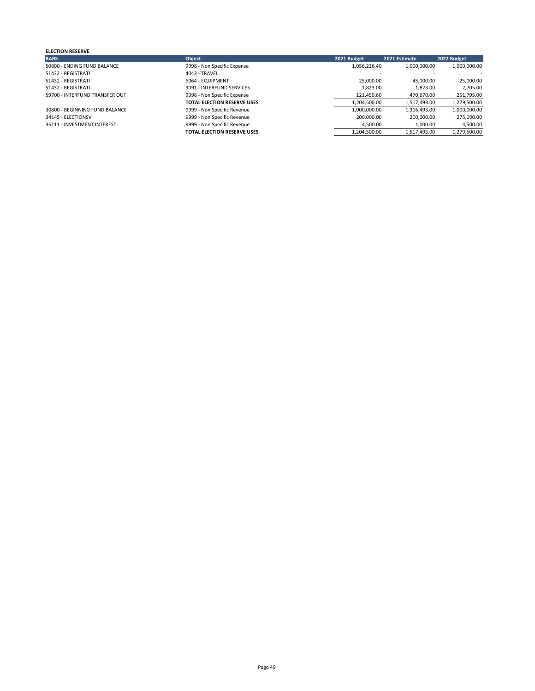| <b>ELECTION RESERVE</b>        |                                    |              |               |              |
|--------------------------------|------------------------------------|--------------|---------------|--------------|
| <b>BARS</b>                    | Object                             | 2021 Budget  | 2021 Estimate | 2022 Budget  |
| 50800 - ENDING FUND BALANCE    | 9998 - Non Specific Expense        | 1,056,226.40 | 1.000.000.00  | 1,000,000.00 |
| 51432 - REGISTRATI             | 4043 - TRAVEL                      |              |               |              |
| 51432 - REGISTRATI             | 6064 - EQUIPMENT                   | 25.000.00    | 45.000.00     | 25,000.00    |
| 51432 - REGISTRATI             | 9091 - INTERFUND SERVICES          | 1.823.00     | 1.823.00      | 2.705.00     |
| 59700 - INTERFUND TRANSFER OUT | 9998 - Non Specific Expense        | 121.450.60   | 470.670.00    | 251,795.00   |
|                                | <b>TOTAL ELECTION RESERVE USES</b> | 1.204.500.00 | 1.517.493.00  | 1,279,500.00 |
| 30800 - BEGINNING FUND BALANCE | 9999 - Non Specific Revenue        | 1.000.000.00 | 1.316.493.00  | 1,000,000.00 |
| 34145 - ELECTIONSV             | 9999 - Non Specific Revenue        | 200.000.00   | 200.000.00    | 275.000.00   |
| 36111 - INVESTMENT INTEREST    | 9999 - Non Specific Revenue        | 4.500.00     | 1.000.00      | 4,500.00     |
|                                | <b>TOTAL ELECTION RESERVE USES</b> | 1.204.500.00 | 1.517.493.00  | 1,279,500.00 |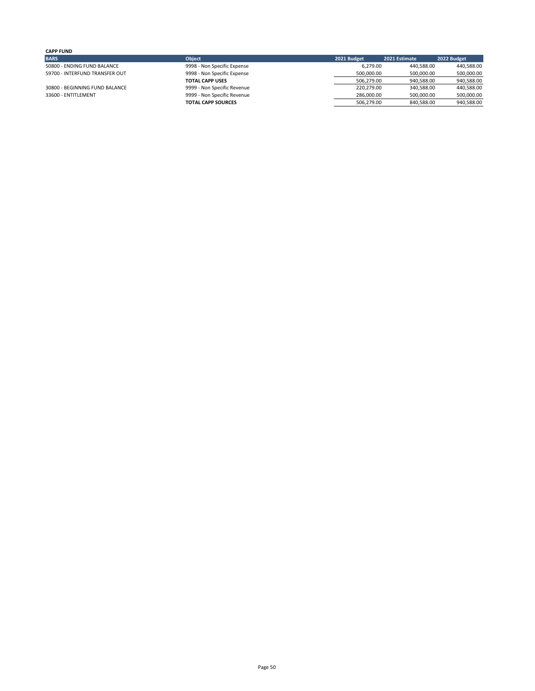| <b>CAPP FUND</b>               |                             |             |               |             |
|--------------------------------|-----------------------------|-------------|---------------|-------------|
| <b>BARS</b>                    | <b>Object</b>               | 2021 Budget | 2021 Estimate | 2022 Budget |
| 50800 - ENDING FUND BALANCE    | 9998 - Non Specific Expense | 6.279.00    | 440.588.00    | 440,588.00  |
| 59700 - INTERFUND TRANSFER OUT | 9998 - Non Specific Expense | 500,000.00  | 500.000.00    | 500,000.00  |
|                                | <b>TOTAL CAPP USES</b>      | 506.279.00  | 940,588.00    | 940,588.00  |
| 30800 - BEGINNING FUND BALANCE | 9999 - Non Specific Revenue | 220.279.00  | 340.588.00    | 440,588.00  |
| 33600 - ENTITLEMENT            | 9999 - Non Specific Revenue | 286.000.00  | 500.000.00    | 500,000.00  |
|                                | <b>TOTAL CAPP SOURCES</b>   | 506.279.00  | 840.588.00    | 940,588.00  |
|                                |                             |             |               |             |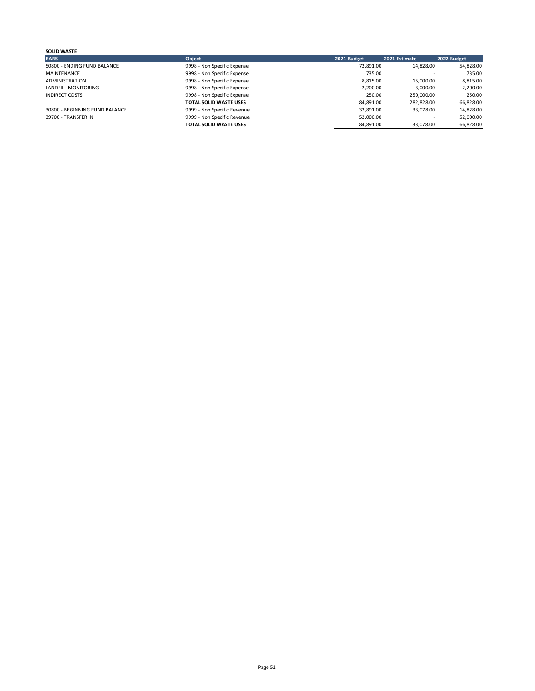| <b>SOLID WASTE</b>             |                               |             |               |             |
|--------------------------------|-------------------------------|-------------|---------------|-------------|
| <b>BARS</b>                    | <b>Object</b>                 | 2021 Budget | 2021 Estimate | 2022 Budget |
| 50800 - ENDING FUND BALANCE    | 9998 - Non Specific Expense   | 72.891.00   | 14.828.00     | 54,828.00   |
| MAINTENANCE                    | 9998 - Non Specific Expense   | 735.00      |               | 735.00      |
| <b>ADMINISTRATION</b>          | 9998 - Non Specific Expense   | 8,815.00    | 15,000.00     | 8,815.00    |
| LANDFILL MONITORING            | 9998 - Non Specific Expense   | 2.200.00    | 3.000.00      | 2,200.00    |
| <b>INDIRECT COSTS</b>          | 9998 - Non Specific Expense   | 250.00      | 250,000.00    | 250.00      |
|                                | <b>TOTAL SOLID WASTE USES</b> | 84.891.00   | 282.828.00    | 66,828.00   |
| 30800 - BEGINNING FUND BALANCE | 9999 - Non Specific Revenue   | 32.891.00   | 33.078.00     | 14.828.00   |
| 39700 - TRANSFER IN            | 9999 - Non Specific Revenue   | 52,000.00   |               | 52,000.00   |
|                                | <b>TOTAL SOLID WASTE USES</b> | 84,891.00   | 33.078.00     | 66,828.00   |
|                                |                               |             |               |             |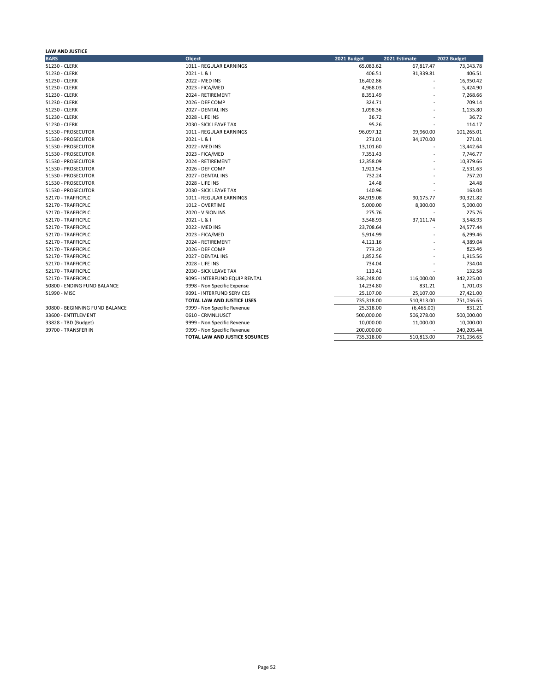| LAW AND JUSTICE<br><b>BARS</b>           | <b>Object</b>                         | 2021 Budget | 2021 Estimate | 2022 Budget |
|------------------------------------------|---------------------------------------|-------------|---------------|-------------|
| 51230 - CLERK                            | 1011 - REGULAR EARNINGS               | 65,083.62   | 67,817.47     | 73,043.78   |
| 51230 - CLERK                            | $2021 - L & 1$                        | 406.51      | 31,339.81     | 406.51      |
| 51230 - CLERK                            | 2022 - MED INS                        | 16,402.86   |               | 16,950.42   |
| 51230 - CLERK                            | 2023 - FICA/MED                       | 4,968.03    |               | 5,424.90    |
| 51230 - CLERK                            | 2024 - RETIREMENT                     | 8,351.49    |               | 7,268.66    |
| 51230 - CLERK                            | 2026 - DEF COMP                       | 324.71      |               | 709.14      |
| 51230 - CLERK                            | 2027 - DENTAL INS                     | 1,098.36    |               | 1,135.80    |
| 51230 - CLERK                            | 2028 - LIFE INS                       | 36.72       |               | 36.72       |
| 51230 - CLERK                            | 2030 - SICK LEAVE TAX                 | 95.26       |               | 114.17      |
| 51530 - PROSECUTOR                       | 1011 - REGULAR EARNINGS               | 96,097.12   | 99,960.00     | 101,265.01  |
|                                          | $2021 - L & 1$                        | 271.01      |               | 271.01      |
| 51530 - PROSECUTOR<br>51530 - PROSECUTOR | 2022 - MED INS                        | 13,101.60   | 34,170.00     | 13,442.64   |
|                                          | 2023 - FICA/MED                       | 7,351.43    |               | 7,746.77    |
| 51530 - PROSECUTOR                       |                                       |             |               |             |
| 51530 - PROSECUTOR                       | 2024 - RETIREMENT                     | 12,358.09   |               | 10,379.66   |
| 51530 - PROSECUTOR                       | 2026 - DEF COMP                       | 1,921.94    |               | 2,531.63    |
| 51530 - PROSECUTOR                       | 2027 - DENTAL INS                     | 732.24      |               | 757.20      |
| 51530 - PROSECUTOR                       | 2028 - LIFE INS                       | 24.48       |               | 24.48       |
| 51530 - PROSECUTOR                       | 2030 - SICK LEAVE TAX                 | 140.96      |               | 163.04      |
| 52170 - TRAFFICPLC                       | 1011 - REGULAR EARNINGS               | 84,919.08   | 90,175.77     | 90,321.82   |
| 52170 - TRAFFICPLC                       | 1012 - OVERTIME                       | 5,000.00    | 8,300.00      | 5,000.00    |
| 52170 - TRAFFICPLC                       | 2020 - VISION INS                     | 275.76      |               | 275.76      |
| 52170 - TRAFFICPLC                       | $2021 - L & 1$                        | 3,548.93    | 37,111.74     | 3,548.93    |
| 52170 - TRAFFICPLC                       | 2022 - MED INS                        | 23,708.64   |               | 24,577.44   |
| 52170 - TRAFFICPLC                       | 2023 - FICA/MED                       | 5,914.99    |               | 6,299.46    |
| 52170 - TRAFFICPLC                       | 2024 - RETIREMENT                     | 4,121.16    |               | 4,389.04    |
| 52170 - TRAFFICPLC                       | 2026 - DEF COMP                       | 773.20      |               | 823.46      |
| 52170 - TRAFFICPLC                       | 2027 - DENTAL INS                     | 1,852.56    |               | 1,915.56    |
| 52170 - TRAFFICPLC                       | 2028 - LIFE INS                       | 734.04      |               | 734.04      |
| 52170 - TRAFFICPLC                       | 2030 - SICK LEAVE TAX                 | 113.41      |               | 132.58      |
| 52170 - TRAFFICPLC                       | 9095 - INTERFUND EQUIP RENTAL         | 336,248.00  | 116,000.00    | 342,225.00  |
| 50800 - ENDING FUND BALANCE              | 9998 - Non Specific Expense           | 14,234.80   | 831.21        | 1,701.03    |
| 51990 - MISC                             | 9091 - INTERFUND SERVICES             | 25,107.00   | 25,107.00     | 27,421.00   |
|                                          | TOTAL LAW AND JUSTICE USES            | 735,318.00  | 510,813.00    | 751,036.65  |
| 30800 - BEGINNING FUND BALANCE           | 9999 - Non Specific Revenue           | 25,318.00   | (6,465.00)    | 831.21      |
| 33600 - ENTITLEMENT                      | 0610 - CRMNLJUSCT                     | 500,000.00  | 506,278.00    | 500,000.00  |
| 33828 - TBD (Budget)                     | 9999 - Non Specific Revenue           | 10,000.00   | 11,000.00     | 10,000.00   |
| 39700 - TRANSFER IN                      | 9999 - Non Specific Revenue           | 200,000.00  |               | 240,205.44  |
|                                          | <b>TOTAL LAW AND JUSTICE SOSURCES</b> | 735,318.00  | 510,813.00    | 751,036.65  |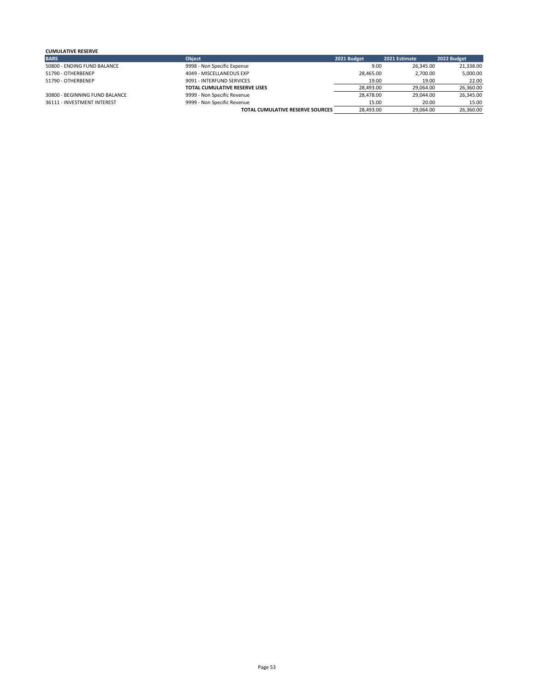| <b>CUMULATIVE RESERVE</b>      |                                  |             |               |             |
|--------------------------------|----------------------------------|-------------|---------------|-------------|
| <b>BARS</b>                    | <b>Object</b>                    | 2021 Budget | 2021 Estimate | 2022 Budget |
| 50800 - ENDING FUND BALANCE    | 9998 - Non Specific Expense      | 9.00        | 26.345.00     | 21,338.00   |
| 51790 - OTHERBENEP             | 4049 - MISCELLANEOUS EXP         | 28,465.00   | 2.700.00      | 5,000.00    |
| 51790 - OTHERBENEP             | 9091 - INTERFUND SERVICES        | 19.00       | 19.00         | 22.00       |
|                                | TOTAL CUMULATIVE RESERVE USES    | 28,493.00   | 29.064.00     | 26,360.00   |
| 30800 - BEGINNING FUND BALANCE | 9999 - Non Specific Revenue      | 28.478.00   | 29.044.00     | 26.345.00   |
| 36111 - INVESTMENT INTEREST    | 9999 - Non Specific Revenue      | 15.00       | 20.00         | 15.00       |
|                                | TOTAL CUMULATIVE RESERVE SOURCES | 28.493.00   | 29.064.00     | 26,360.00   |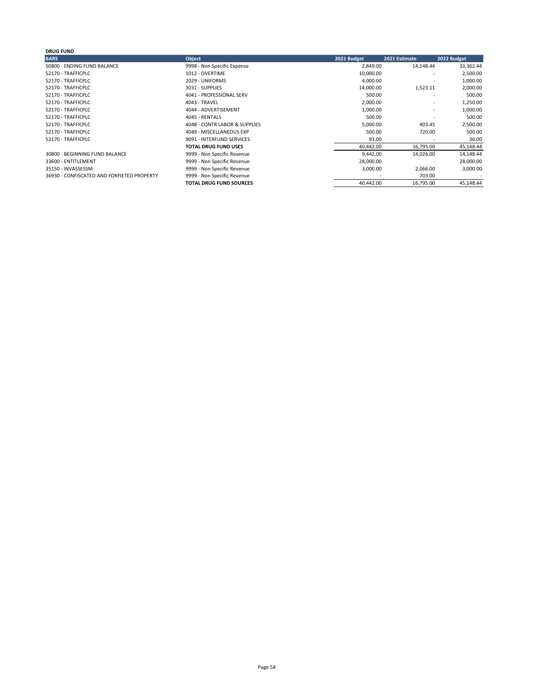#### **DRUG FUND BARS Object 2021 Budget 2021 Estimate 2022 Budget** 50800 - ENDING FUND BALANCE 9998 - Non Specific Expense 2,849.00 14,148.44 33,362.44 52170 - TRAFFICPLC 1012 - OVERTIME 10,000.00 - 2,500.00 52170 - TRAFFICPLC 2029 - UNIFORMS 4,000.00 - 1,000.00 52170 - TRAFFICPLC 3031 - SUPPLIES 14,000.00 1,523.11 2,000.00 52170 - TRAFFICPLC 4041 - PROFESSIONAL SERV 500.00 - 500.00 52170 - TRAFFICPLC 4043 - TRAVEL 2,000.00 - 1,250.00 52170 - TRAFFICPLC 4044 - ADVERTISEMENT 1,000.00 - 1,000.00 52170 - TRAFFICPLC 4045 - RENTALS 500.00 - 500.00 52170 - TRAFFICPLC 4048 - CONTR LABOR & SUPPLIES 5,000.00 403.45 2,500.00 52170 - TRAFFICPLC 4049 - MISCELLANEOUS EXP 500.00 720.00 500.00 52170 - TRAFFICULTURE SERVICES - SAN AND SERVICES - SAN AND SERVICES - SAN AND SERVICES - SAN AND SERVICES - SAN AND SERVICES - SAN AND SERVICE SERVICES - SAN AND SERVICE SERVICE SERVICE SERVICE SERVICE SERVICE SERVICE SER **TOTAL DRUG FUND USES**<br>
40,442.00 16,795.00 45,148.44<br>
9999 - Non Specific Revenue<br>
40,442.00 14,026.00 14,148.44 30800 - BEGINNING FUND BALANCE 9999 - Non Specific Revenue 9,442.00 14,026.00 14,148.44 33600 - ENTITLEMENT 9999 - Non Specific Revenue 28,000.00 - 28,000.00 35150 - INVASSESSM 9999 - Non Specific Revenue 3,000.00 2,066.00 3,000.00 36930 - CONFISCATED AND FORFIETED PROPERTY 9999 - Non Specific Revenue 40,442.00 703.00 - 703.00 - 703.00 - 703.00 - 703.00 - 703.00 - 703.00 - 703.00 - 707AL DRUG FUND SOURCES TOTAL DRUG FUND SOURCES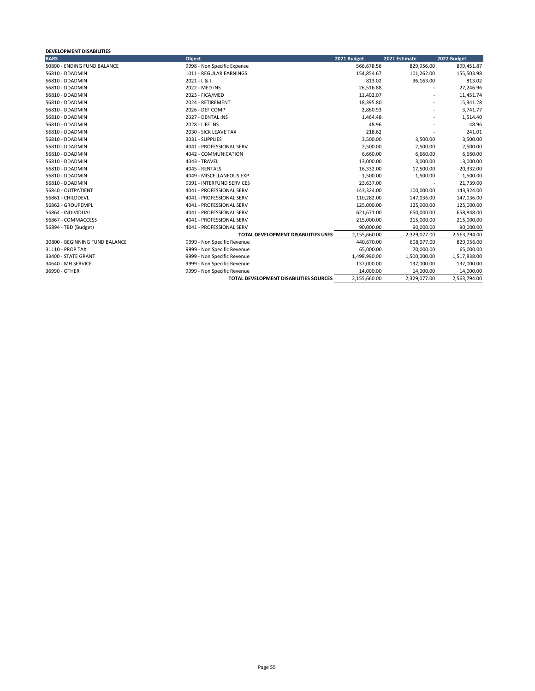### **DEVELOPMENT DISABILITIES**

| <b>BARS</b>                    | Object                                        | 2021 Budget  | 2021 Estimate | 2022 Budget  |
|--------------------------------|-----------------------------------------------|--------------|---------------|--------------|
| 50800 - ENDING FUND BALANCE    | 9998 - Non Specific Expense                   | 566,678.56   | 829,956.00    | 899,451.87   |
| 56810 - DDADMIN                | 1011 - REGULAR EARNINGS                       | 154,854.67   | 101,262.00    | 155,503.98   |
| 56810 - DDADMIN                | $2021 - L & 1$                                | 813.02       | 36,163.00     | 813.02       |
| 56810 - DDADMIN                | 2022 - MED INS                                | 26,516.88    |               | 27,246.96    |
| 56810 - DDADMIN                | 2023 - FICA/MED                               | 11,402.07    |               | 11,451.74    |
| 56810 - DDADMIN                | 2024 - RETIREMENT                             | 18,395.80    | ٠             | 15,341.28    |
| 56810 - DDADMIN                | 2026 - DEF COMP                               | 2,860.93     |               | 3,741.77     |
| 56810 - DDADMIN                | 2027 - DENTAL INS                             | 1,464.48     |               | 1,514.40     |
| 56810 - DDADMIN                | 2028 - LIFE INS                               | 48.96        |               | 48.96        |
| 56810 - DDADMIN                | 2030 - SICK LEAVE TAX                         | 218.62       |               | 241.01       |
| 56810 - DDADMIN                | 3031 - SUPPLIES                               | 3,500.00     | 3,500.00      | 3,500.00     |
| 56810 - DDADMIN                | 4041 - PROFESSIONAL SERV                      | 2,500.00     | 2,500.00      | 2,500.00     |
| 56810 - DDADMIN                | 4042 - COMMUNICATION                          | 6,660.00     | 6,660.00      | 6,660.00     |
| 56810 - DDADMIN                | 4043 - TRAVEL                                 | 13,000.00    | 3,000.00      | 13,000.00    |
| 56810 - DDADMIN                | 4045 - RENTALS                                | 16,332.00    | 17,500.00     | 20,332.00    |
| 56810 - DDADMIN                | 4049 - MISCELLANEOUS EXP                      | 1,500.00     | 1,500.00      | 1,500.00     |
| 56810 - DDADMIN                | 9091 - INTERFUND SERVICES                     | 23,637.00    |               | 21,739.00    |
| 56840 - OUTPATIENT             | 4041 - PROFESSIONAL SERV                      | 143,324.00   | 100,000.00    | 143,324.00   |
| 56861 - CHILDDEVL              | 4041 - PROFESSIONAL SERV                      | 110,282.00   | 147,036.00    | 147,036.00   |
| 56862 - GROUPEMPL              | 4041 - PROFESSIONAL SERV                      | 125,000.00   | 125,000.00    | 125,000.00   |
| 56864 - INDIVIDUAL             | 4041 - PROFESSIONAL SERV                      | 621,671.00   | 650,000.00    | 658,848.00   |
| 56867 - COMMACCESS             | 4041 - PROFESSIONAL SERV                      | 215,000.00   | 215,000.00    | 215,000.00   |
| 56894 - TBD (Budget)           | 4041 - PROFESSIONAL SERV                      | 90,000.00    | 90,000.00     | 90,000.00    |
|                                | TOTAL DEVELOPMENT DISABILITIES USES           | 2,155,660.00 | 2,329,077.00  | 2,563,794.00 |
| 30800 - BEGINNING FUND BALANCE | 9999 - Non Specific Revenue                   | 440,670.00   | 608,077.00    | 829,956.00   |
| 31110 - PROP TAX               | 9999 - Non Specific Revenue                   | 65,000.00    | 70,000.00     | 65,000.00    |
| 33400 - STATE GRANT            | 9999 - Non Specific Revenue                   | 1,498,990.00 | 1,500,000.00  | 1,517,838.00 |
| 34640 - MH SERVICE             | 9999 - Non Specific Revenue                   | 137,000.00   | 137,000.00    | 137,000.00   |
| 36990 - OTHER                  | 9999 - Non Specific Revenue                   | 14,000.00    | 14,000.00     | 14,000.00    |
|                                | <b>TOTAL DEVELOPMENT DISABILITIES SOURCES</b> | 2,155,660.00 | 2,329,077.00  | 2,563,794.00 |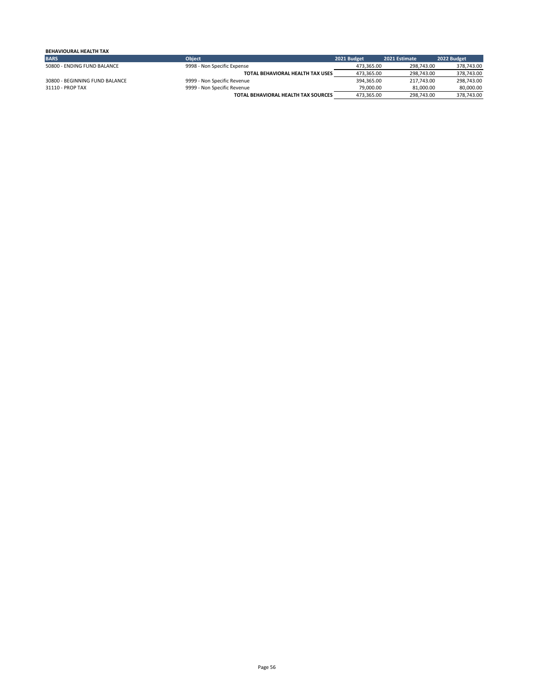### **BEHAVIOURAL HEALTH TAX**

| <b>BARS</b>                    | <b>Object</b>                       | 2021 Budget | 2021 Estimate | 2022 Budget |
|--------------------------------|-------------------------------------|-------------|---------------|-------------|
| 50800 - ENDING FUND BALANCE    | 9998 - Non Specific Expense         | 473.365.00  | 298.743.00    | 378.743.00  |
|                                | TOTAL BEHAVIORAL HEALTH TAX USES    | 473.365.00  | 298.743.00    | 378,743.00  |
| 30800 - BEGINNING FUND BALANCE | 9999 - Non Specific Revenue         | 394.365.00  | 217.743.00    | 298,743.00  |
| 31110 - PROP TAX               | 9999 - Non Specific Revenue         | 79.000.00   | 81.000.00     | 80.000.00   |
|                                | TOTAL BEHAVIORAL HEALTH TAX SOURCES | 473.365.00  | 298.743.00    | 378.743.00  |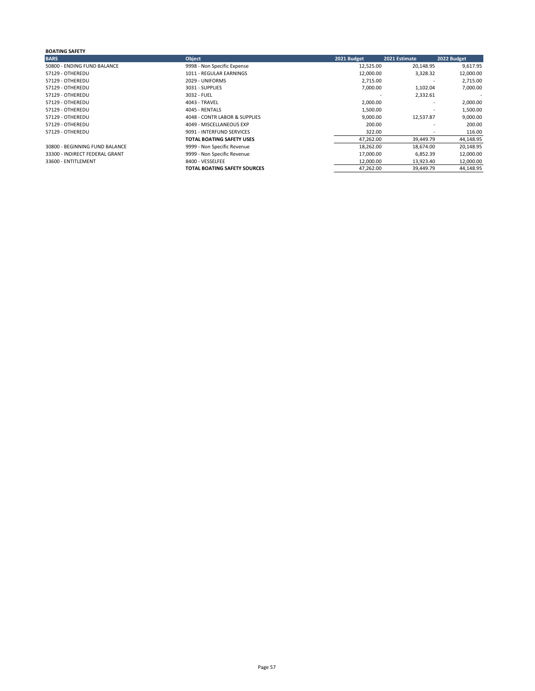# **BOATING SAFETY**

| <b>BARS</b>                    | Object                              | 2021 Budget | 2021 Estimate            | 2022 Budget |
|--------------------------------|-------------------------------------|-------------|--------------------------|-------------|
| 50800 - ENDING FUND BALANCE    | 9998 - Non Specific Expense         | 12,525.00   | 20,148.95                | 9,617.95    |
| 57129 - OTHEREDU               | 1011 - REGULAR EARNINGS             | 12,000.00   | 3,328.32                 | 12,000.00   |
| 57129 - OTHEREDU               | 2029 - UNIFORMS                     | 2,715.00    | $\overline{\phantom{a}}$ | 2,715.00    |
| 57129 - OTHEREDU               | 3031 - SUPPLIES                     | 7,000.00    | 1,102.04                 | 7,000.00    |
| 57129 - OTHEREDU               | 3032 - FUEL                         |             | 2,332.61                 |             |
| 57129 - OTHEREDU               | 4043 - TRAVEL                       | 2,000.00    | $\overline{\phantom{a}}$ | 2,000.00    |
| 57129 - OTHEREDU               | 4045 - RENTALS                      | 1,500.00    |                          | 1,500.00    |
| 57129 - OTHEREDU               | 4048 - CONTR LABOR & SUPPLIES       | 9,000.00    | 12,537.87                | 9,000.00    |
| 57129 - OTHEREDU               | 4049 - MISCELLANEOUS EXP            | 200.00      | $\overline{\phantom{a}}$ | 200.00      |
| 57129 - OTHEREDU               | 9091 - INTERFUND SERVICES           | 322.00      |                          | 116.00      |
|                                | <b>TOTAL BOATING SAFETY USES</b>    | 47,262.00   | 39,449.79                | 44,148.95   |
| 30800 - BEGINNING FUND BALANCE | 9999 - Non Specific Revenue         | 18,262.00   | 18,674.00                | 20,148.95   |
| 33300 - INDIRECT FEDERAL GRANT | 9999 - Non Specific Revenue         | 17,000.00   | 6.852.39                 | 12,000.00   |
| 33600 - ENTITLEMENT            | 8400 - VESSELFEE                    | 12,000.00   | 13,923.40                | 12,000.00   |
|                                | <b>TOTAL BOATING SAFETY SOURCES</b> | 47,262.00   | 39,449.79                | 44,148.95   |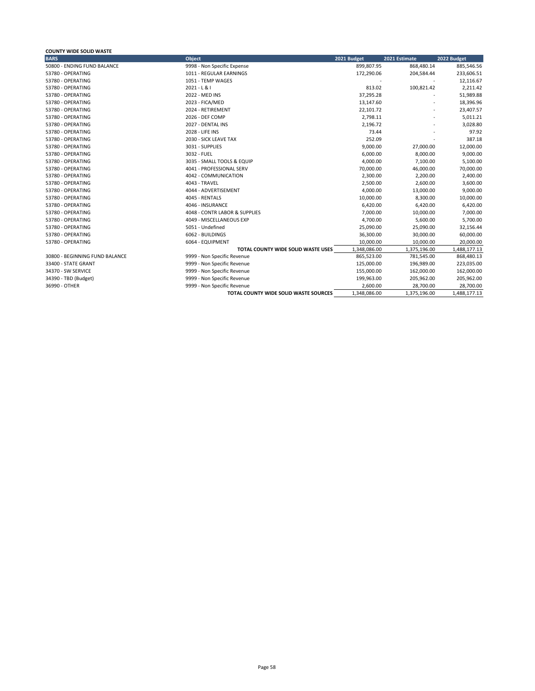| <b>COUNTY WIDE SOLID WASTE</b> |                                              |              |               |              |
|--------------------------------|----------------------------------------------|--------------|---------------|--------------|
| <b>BARS</b>                    | Object                                       | 2021 Budget  | 2021 Estimate | 2022 Budget  |
| 50800 - ENDING FUND BALANCE    | 9998 - Non Specific Expense                  | 899,807.95   | 868,480.14    | 885,546.56   |
| 53780 - OPERATING              | 1011 - REGULAR EARNINGS                      | 172,290.06   | 204,584.44    | 233,606.51   |
| 53780 - OPERATING              | 1051 - TEMP WAGES                            |              |               | 12,116.67    |
| 53780 - OPERATING              | $2021 - L & 1$                               | 813.02       | 100,821.42    | 2,211.42     |
| 53780 - OPERATING              | 2022 - MED INS                               | 37,295.28    |               | 51,989.88    |
| 53780 - OPERATING              | 2023 - FICA/MED                              | 13,147.60    |               | 18,396.96    |
| 53780 - OPERATING              | 2024 - RETIREMENT                            | 22,101.72    |               | 23,407.57    |
| 53780 - OPERATING              | 2026 - DEF COMP                              | 2,798.11     |               | 5,011.21     |
| 53780 - OPERATING              | 2027 - DENTAL INS                            | 2,196.72     |               | 3,028.80     |
| 53780 - OPERATING              | 2028 - LIFE INS                              | 73.44        |               | 97.92        |
| 53780 - OPERATING              | 2030 - SICK LEAVE TAX                        | 252.09       |               | 387.18       |
| 53780 - OPERATING              | 3031 - SUPPLIES                              | 9,000.00     | 27,000.00     | 12,000.00    |
| 53780 - OPERATING              | 3032 - FUEL                                  | 6,000.00     | 8,000.00      | 9,000.00     |
| 53780 - OPERATING              | 3035 - SMALL TOOLS & EQUIP                   | 4,000.00     | 7,100.00      | 5,100.00     |
| 53780 - OPERATING              | 4041 - PROFESSIONAL SERV                     | 70,000.00    | 46,000.00     | 70,000.00    |
| 53780 - OPERATING              | 4042 - COMMUNICATION                         | 2,300.00     | 2,200.00      | 2,400.00     |
| 53780 - OPERATING              | 4043 - TRAVEL                                | 2,500.00     | 2,600.00      | 3,600.00     |
| 53780 - OPERATING              | 4044 - ADVERTISEMENT                         | 4,000.00     | 13,000.00     | 9,000.00     |
| 53780 - OPERATING              | 4045 - RENTALS                               | 10,000.00    | 8,300.00      | 10,000.00    |
| 53780 - OPERATING              | 4046 - INSURANCE                             | 6,420.00     | 6,420.00      | 6,420.00     |
| 53780 - OPERATING              | 4048 - CONTR LABOR & SUPPLIES                | 7,000.00     | 10,000.00     | 7,000.00     |
| 53780 - OPERATING              | 4049 - MISCELLANEOUS EXP                     | 4,700.00     | 5,600.00      | 5,700.00     |
| 53780 - OPERATING              | 5051 - Undefined                             | 25,090.00    | 25,090.00     | 32,156.44    |
| 53780 - OPERATING              | 6062 - BUILDINGS                             | 36,300.00    | 30,000.00     | 60,000.00    |
| 53780 - OPERATING              | 6064 - EQUIPMENT                             | 10,000.00    | 10,000.00     | 20,000.00    |
|                                | TOTAL COUNTY WIDE SOLID WASTE USES           | 1,348,086.00 | 1,375,196.00  | 1,488,177.13 |
| 30800 - BEGINNING FUND BALANCE | 9999 - Non Specific Revenue                  | 865,523.00   | 781,545.00    | 868,480.13   |
| 33400 - STATE GRANT            | 9999 - Non Specific Revenue                  | 125,000.00   | 196,989.00    | 223,035.00   |
| 34370 - SW SERVICE             | 9999 - Non Specific Revenue                  | 155,000.00   | 162,000.00    | 162,000.00   |
| 34390 - TBD (Budget)           | 9999 - Non Specific Revenue                  | 199,963.00   | 205,962.00    | 205,962.00   |
| 36990 - OTHER                  | 9999 - Non Specific Revenue                  | 2,600.00     | 28,700.00     | 28,700.00    |
|                                | <b>TOTAL COUNTY WIDE SOLID WASTE SOURCES</b> | 1,348,086.00 | 1,375,196.00  | 1,488,177.13 |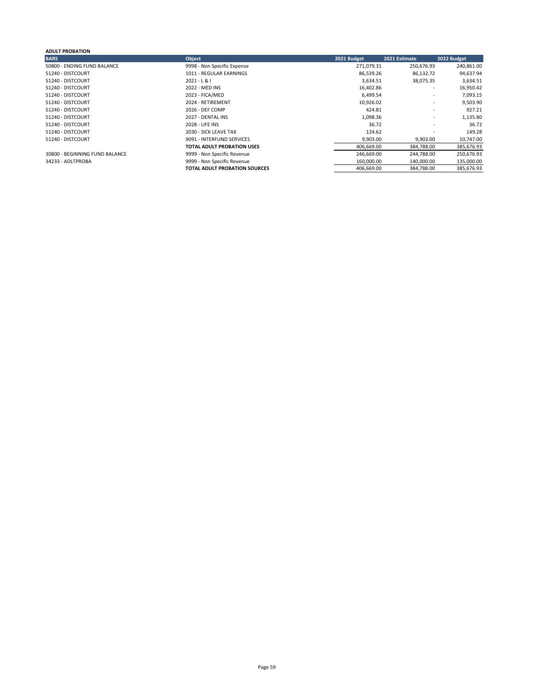# **ADULT PROBATION**

| <b>BARS</b>                    | <b>Object</b>                        | 2021 Budget | 2021 Estimate            | 2022 Budget |
|--------------------------------|--------------------------------------|-------------|--------------------------|-------------|
| 50800 - ENDING FUND BALANCE    | 9998 - Non Specific Expense          | 271,079.31  | 250,676.93               | 240,861.00  |
| 51240 - DISTCOURT              | 1011 - REGULAR EARNINGS              | 86,539.26   | 86.132.72                | 94,637.94   |
| 51240 - DISTCOURT              | $2021 - L & 1$                       | 3,634.51    | 38,075.35                | 3,634.51    |
| 51240 - DISTCOURT              | 2022 - MED INS                       | 16,402.86   | $\overline{\phantom{a}}$ | 16,950.42   |
| 51240 - DISTCOURT              | 2023 - FICA/MED                      | 6,499.54    | $\sim$                   | 7,093.15    |
| 51240 - DISTCOURT              | 2024 - RETIREMENT                    | 10,926.02   | $\overline{\phantom{a}}$ | 9,503.90    |
| 51240 - DISTCOURT              | 2026 - DEF COMP                      | 424.81      | $\overline{\phantom{a}}$ | 927.21      |
| 51240 - DISTCOURT              | 2027 - DENTAL INS                    | 1,098.36    |                          | 1,135.80    |
| 51240 - DISTCOURT              | 2028 - LIFE INS                      | 36.72       | ٠                        | 36.72       |
| 51240 - DISTCOURT              | 2030 - SICK LEAVE TAX                | 124.62      |                          | 149.28      |
| 51240 - DISTCOURT              | 9091 - INTERFUND SERVICES            | 9,903.00    | 9,903.00                 | 10,747.00   |
|                                | TOTAL ADULT PROBATION USES           | 406,669.00  | 384,788.00               | 385,676.93  |
| 30800 - BEGINNING FUND BALANCE | 9999 - Non Specific Revenue          | 246,669.00  | 244,788.00               | 250,676.93  |
| 34233 - ADLTPROBA              | 9999 - Non Specific Revenue          | 160.000.00  | 140.000.00               | 135,000.00  |
|                                | <b>TOTAL ADULT PROBATION SOURCES</b> | 406.669.00  | 384.788.00               | 385.676.93  |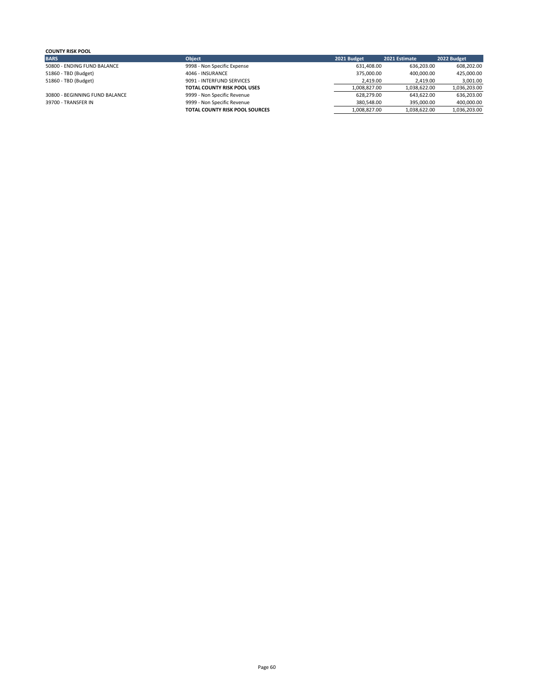| <b>COUNTY RISK POOL</b>        |                                       |              |               |              |
|--------------------------------|---------------------------------------|--------------|---------------|--------------|
| <b>BARS</b>                    | <b>Object</b>                         | 2021 Budget  | 2021 Estimate | 2022 Budget  |
|                                |                                       |              |               |              |
| 50800 - ENDING FUND BALANCE    | 9998 - Non Specific Expense           | 631.408.00   | 636.203.00    | 608,202.00   |
| 51860 - TBD (Budget)           | 4046 - INSURANCE                      | 375.000.00   | 400.000.00    | 425,000.00   |
| 51860 - TBD (Budget)           | 9091 - INTERFUND SERVICES             | 2.419.00     | 2.419.00      | 3,001.00     |
|                                | TOTAL COUNTY RISK POOL USES           | 1,008,827.00 | 1,038,622.00  | 1,036,203.00 |
| 30800 - BEGINNING FUND BALANCE | 9999 - Non Specific Revenue           | 628.279.00   | 643.622.00    | 636,203.00   |
| 39700 - TRANSFER IN            | 9999 - Non Specific Revenue           | 380.548.00   | 395.000.00    | 400,000.00   |
|                                | <b>TOTAL COUNTY RISK POOL SOURCES</b> | 1,008,827.00 | 1,038,622.00  | 1,036,203.00 |
|                                |                                       |              |               |              |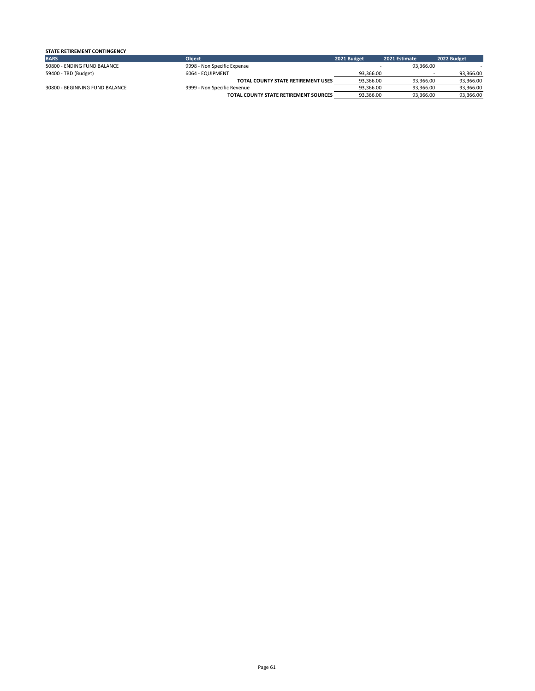| STATE RETIREMENT CONTINGENCY   |                                           |             |               |             |  |
|--------------------------------|-------------------------------------------|-------------|---------------|-------------|--|
| <b>BARS</b>                    | <b>Object</b>                             | 2021 Budget | 2021 Estimate | 2022 Budget |  |
| 50800 - ENDING FUND BALANCE    | 9998 - Non Specific Expense               |             | 93.366.00     |             |  |
| 59400 - TBD (Budget)           | 6064 - EQUIPMENT                          | 93.366.00   |               | 93,366.00   |  |
|                                | <b>TOTAL COUNTY STATE RETIREMENT USES</b> | 93.366.00   | 93.366.00     | 93,366.00   |  |
| 30800 - BEGINNING FUND BALANCE | 9999 - Non Specific Revenue               | 93.366.00   | 93.366.00     | 93,366.00   |  |
|                                | TOTAL COUNTY STATE RETIREMENT SOURCES     | 93.366.00   | 93.366.00     | 93,366.00   |  |
|                                |                                           |             |               |             |  |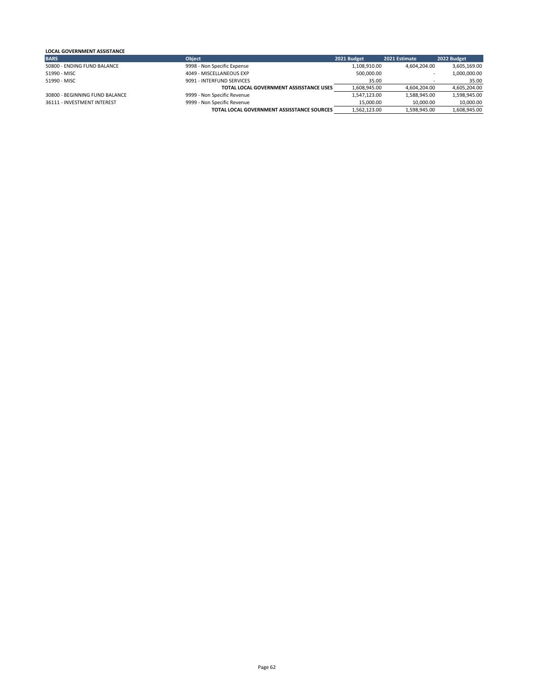| <b>LOCAL GOVERNMENT ASSISTANCE</b> |                                            |              |                          |              |
|------------------------------------|--------------------------------------------|--------------|--------------------------|--------------|
| <b>BARS</b>                        | Object                                     | 2021 Budget  | 2021 Estimate            | 2022 Budget  |
| 50800 - ENDING FUND BALANCE        | 9998 - Non Specific Expense                | 1,108,910.00 | 4,604,204.00             | 3,605,169.00 |
| 51990 - MISC                       | 4049 - MISCELLANEOUS EXP                   | 500.000.00   | $\overline{\phantom{0}}$ | 1,000,000.00 |
| 51990 - MISC                       | 9091 - INTERFUND SERVICES                  | 35.00        |                          | 35.00        |
|                                    | TOTAL LOCAL GOVERNMENT ASSISSTANCE USES    | 1,608,945.00 | 4,604,204.00             | 4,605,204.00 |
| 30800 - BEGINNING FUND BALANCE     | 9999 - Non Specific Revenue                | 1,547,123.00 | 1,588,945.00             | 1,598,945.00 |
| 36111 - INVESTMENT INTEREST        | 9999 - Non Specific Revenue                | 15,000.00    | 10,000.00                | 10,000.00    |
|                                    | TOTAL LOCAL GOVERNMENT ASSISSTANCE SOURCES | 1,562,123.00 | 1,598,945.00             | 1,608,945.00 |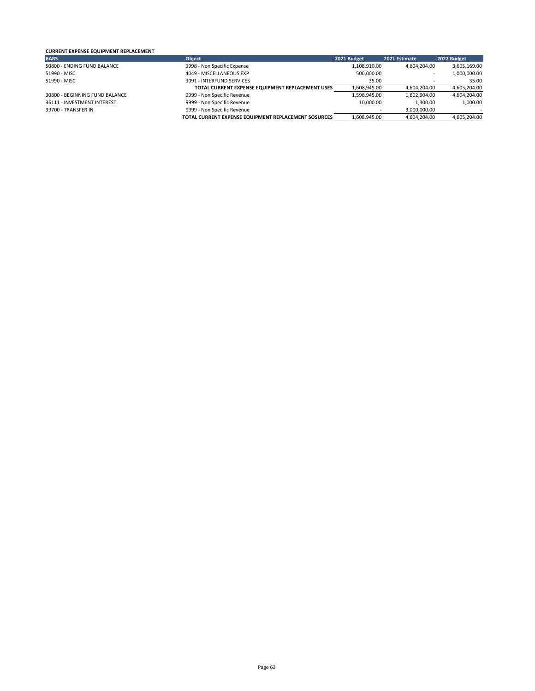### **CURRENT EXPENSE EQUIPMENT REPLACEMENT**

| <b>BARS</b>                    | <b>Object</b>                                        | 2021 Budget  | 2021 Estimate            | 2022 Budget  |
|--------------------------------|------------------------------------------------------|--------------|--------------------------|--------------|
| 50800 - ENDING FUND BALANCE    | 9998 - Non Specific Expense                          | 1,108,910.00 | 4,604,204.00             | 3,605,169.00 |
| 51990 - MISC                   | 4049 - MISCELLANEOUS EXP                             | 500,000.00   | $\overline{\phantom{a}}$ | 1,000,000.00 |
| 51990 - MISC                   | 9091 - INTERFUND SERVICES                            | 35.00        |                          | 35.00        |
|                                | TOTAL CURRENT EXPENSE EQUIPMENT REPLACEMENT USES     | 1,608,945.00 | 4,604,204.00             | 4,605,204.00 |
| 30800 - BEGINNING FUND BALANCE | 9999 - Non Specific Revenue                          | 1,598,945.00 | 1,602,904.00             | 4,604,204.00 |
| 36111 - INVESTMENT INTEREST    | 9999 - Non Specific Revenue                          | 10.000.00    | 1.300.00                 | 1,000.00     |
| 39700 - TRANSFER IN            | 9999 - Non Specific Revenue                          |              | 3.000.000.00             |              |
|                                | TOTAL CURRENT EXPENSE EQUIPMENT REPLACEMENT SOSURCES | 1,608,945.00 | 4.604.204.00             | 4,605,204.00 |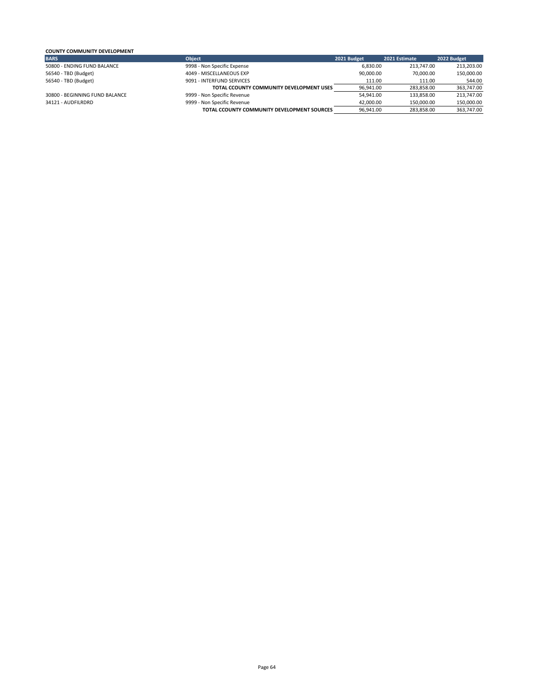| <b>COUNTY COMMUNITY DEVELOPMENT</b> |                                             |             |               |             |
|-------------------------------------|---------------------------------------------|-------------|---------------|-------------|
| <b>BARS</b>                         | <b>Object</b>                               | 2021 Budget | 2021 Estimate | 2022 Budget |
| 50800 - ENDING FUND BALANCE         | 9998 - Non Specific Expense                 | 6,830.00    | 213,747.00    | 213,203.00  |
| 56540 - TBD (Budget)                | 4049 - MISCELLANEOUS EXP                    | 90,000.00   | 70,000.00     | 150,000.00  |
| 56540 - TBD (Budget)                | 9091 - INTERFUND SERVICES                   | 111.00      | 111.00        | 544.00      |
|                                     | TOTAL CCOUNTY COMMUNITY DEVELOPMENT USES    | 96,941.00   | 283.858.00    | 363,747.00  |
| 30800 - BEGINNING FUND BALANCE      | 9999 - Non Specific Revenue                 | 54.941.00   | 133.858.00    | 213,747.00  |
| 34121 - AUDFILRDRD                  | 9999 - Non Specific Revenue                 | 42,000.00   | 150.000.00    | 150.000.00  |
|                                     | TOTAL CCOUNTY COMMUNITY DEVELOPMENT SOURCES | 96.941.00   | 283.858.00    | 363,747.00  |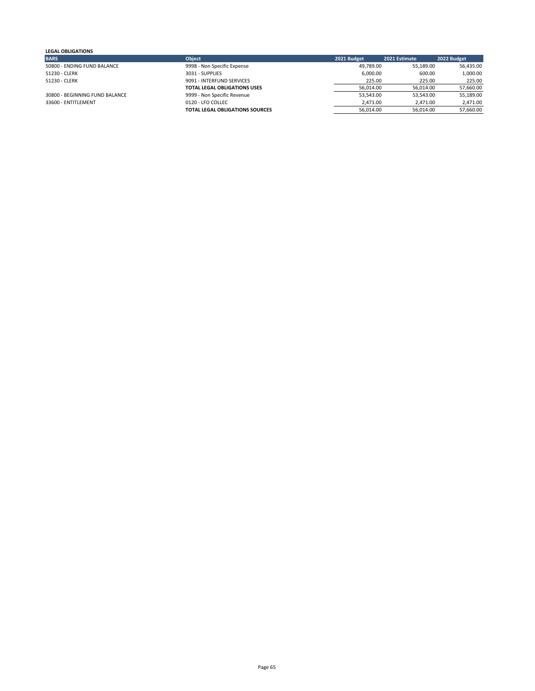| <b>LEGAL OBLIGATIONS</b>       |                                        |             |               |             |
|--------------------------------|----------------------------------------|-------------|---------------|-------------|
| <b>BARS</b>                    | <b>Object</b>                          | 2021 Budget | 2021 Estimate | 2022 Budget |
| 50800 - ENDING FUND BALANCE    | 9998 - Non Specific Expense            | 49.789.00   | 55.189.00     | 56,435.00   |
| 51230 - CLERK                  | 3031 - SUPPLIES                        | 6.000.00    | 600.00        | 1,000.00    |
| 51230 - CLERK                  | 9091 - INTERFUND SERVICES              | 225.00      | 225.00        | 225.00      |
|                                | <b>TOTAL LEGAL OBLIGATIONS USES</b>    | 56.014.00   | 56.014.00     | 57,660.00   |
| 30800 - BEGINNING FUND BALANCE | 9999 - Non Specific Revenue            | 53.543.00   | 53.543.00     | 55,189.00   |
| 33600 - ENTITLEMENT            | $0120 - LFO COLLEC$                    | 2.471.00    | 2,471.00      | 2,471.00    |
|                                | <b>TOTAL LEGAL OBLIGATIONS SOURCES</b> | 56.014.00   | 56.014.00     | 57,660.00   |
|                                |                                        |             |               |             |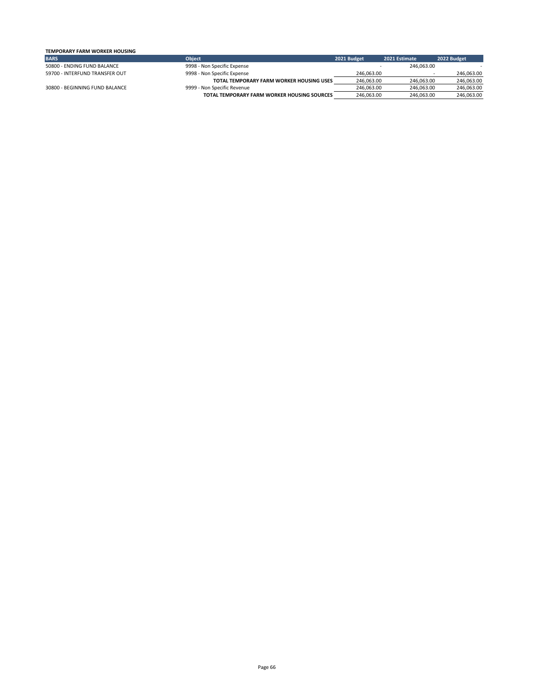#### **TEMPORARY FARM WORKER HOUSING BARS Object 2021 Budget 2021 Estimate 2022 Budget** 50800 - ENDING FUND BALANCE 6 1998 - 19998 - Non Specific Expense 1999 - 1998 - 1998 - 1998 - Non Specific Expense<br>1998 - S998 - Non Specific Expense 1999 - 246,063.00 246,063.00 - 246,063.00 246,063.00 59700 - INTERFUND TRANSFER OUT 9998 - Non Specific Expense 246,063.00 246,063.00 246,063.00 246,063.00 246,063.00 246,063.00 246,063.00 246,063.00 246,063.00 246,063.00 246,063.00 246,063.00 246,063.00 246,063.00 246,063.0 **TOTAL TEMPORARY FARM WORKER HOUSING USES** 246,063.00 246,063.00 246,063.00 246,063.00 246,063.00 246,063.00 246,063.00 246,063.00 246,063.00 246,063.00 246,063.00 246,063.00 246,063.00 246,063.00 246,063.00 246,063.00 246 30800 - BEGINNING FUND BALANCE 9999 - Non Specific Revenue **246,063.00** 246,063.00 246,063.00 246,063.00 246,063.00<br>**TOTAL TEMPORARY FARM WORKER HOUSING SOURCES** 246,063.00 246,063.00 246,063.00 246,063.00 **TOTAL TEMPORARY FARM WORKER HOUSING SOURCES**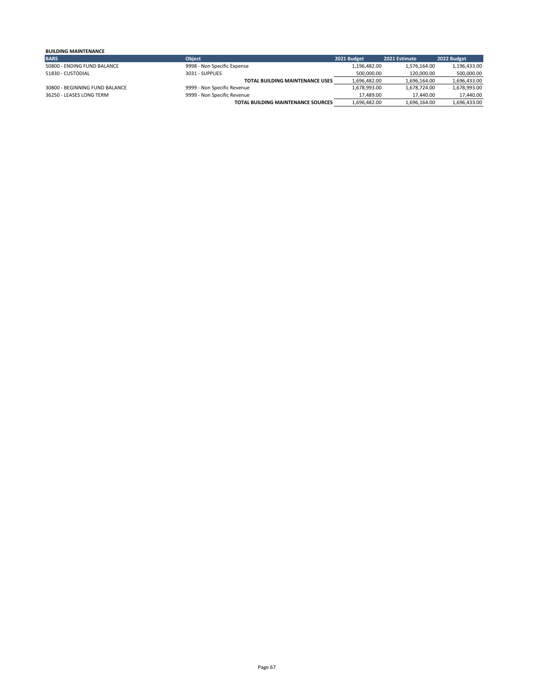| <b>BUILDING MAINTENANCE</b>    |                                        |              |               |              |
|--------------------------------|----------------------------------------|--------------|---------------|--------------|
| <b>BARS</b>                    | <b>Object</b>                          | 2021 Budget  | 2021 Estimate | 2022 Budget  |
| 50800 - ENDING FUND BALANCE    | 9998 - Non Specific Expense            | 1,196,482.00 | 1,576,164.00  | 1,196,433.00 |
| 51830 - CUSTODIAL              | 3031 - SUPPLIES                        | 500,000.00   | 120.000.00    | 500,000.00   |
|                                | <b>TOTAL BUILDING MAINTENANCE USES</b> | 1,696,482.00 | 1,696,164.00  | 1,696,433.00 |
| 30800 - BEGINNING FUND BALANCE | 9999 - Non Specific Revenue            | 1,678,993.00 | 1.678.724.00  | 1,678,993.00 |
| 36250 - LEASES LONG TERM       | 9999 - Non Specific Revenue            | 17.489.00    | 17.440.00     | 17,440.00    |
|                                | TOTAL BUILDING MAINTENANCE SOURCES     | 1,696,482.00 | 1.696.164.00  | 1,696,433.00 |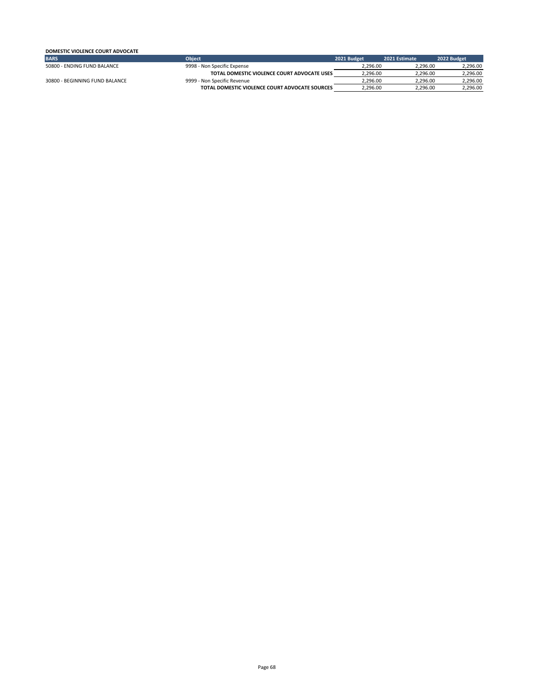### **DOMESTIC VIOLENCE COURT ADVOCATE**

| <b>BARS</b>                    | <b>Object</b>                                  | 2021 Budget | 2021 Estimate | 2022 Budget |
|--------------------------------|------------------------------------------------|-------------|---------------|-------------|
| 50800 - ENDING FUND BALANCE    | 9998 - Non Specific Expense                    | 2.296.00    | 2.296.00      | .296.00     |
|                                | TOTAL DOMESTIC VIOLENCE COURT ADVOCATE USES    | 2.96.00 .   | 2.296.00      | 2,296.00    |
| 30800 - BEGINNING FUND BALANCE | 9999 - Non Specific Revenue                    | 2.296.00    | 2.296.00      | 2.296.00    |
|                                | TOTAL DOMESTIC VIOLENCE COURT ADVOCATE SOURCES | 2.296.00    | 2.296.00      | 2.296.00    |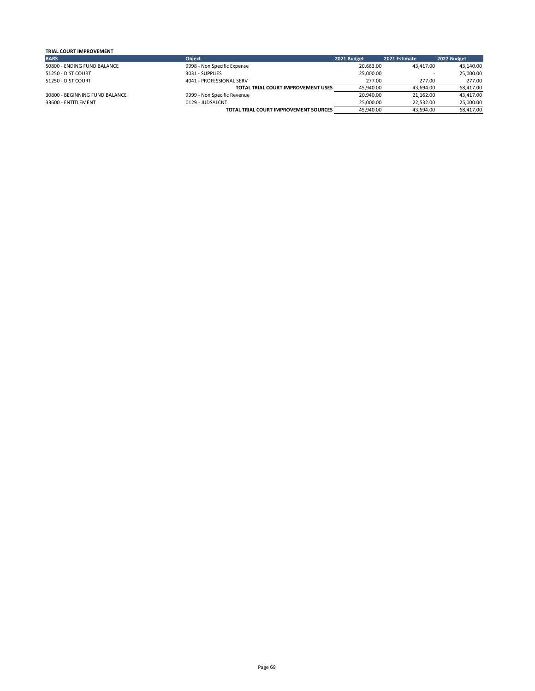| <b>Object</b>               | 2021 Budget | 2021 Estimate                                                               | 2022 Budget                                                                          |
|-----------------------------|-------------|-----------------------------------------------------------------------------|--------------------------------------------------------------------------------------|
| 9998 - Non Specific Expense |             | 43.417.00                                                                   | 43.140.00                                                                            |
| 3031 - SUPPLIES             |             | $\sim$                                                                      | 25,000.00                                                                            |
| 4041 - PROFESSIONAL SERV    |             | 277.00                                                                      | 277.00                                                                               |
|                             |             | 43,694.00                                                                   | 68,417.00                                                                            |
| 9999 - Non Specific Revenue |             | 21.162.00                                                                   | 43,417.00                                                                            |
| 0129 - JUDSALCNT            |             | 22,532.00                                                                   | 25,000.00                                                                            |
|                             |             | 43.694.00                                                                   | 68,417.00                                                                            |
|                             |             | TOTAL TRIAL COURT IMPROVEMENT USES<br>TOTAL TRIAL COURT IMPROVEMENT SOURCES | 20.663.00<br>25,000.00<br>277.00<br>45,940.00<br>20,940.00<br>25,000.00<br>45,940.00 |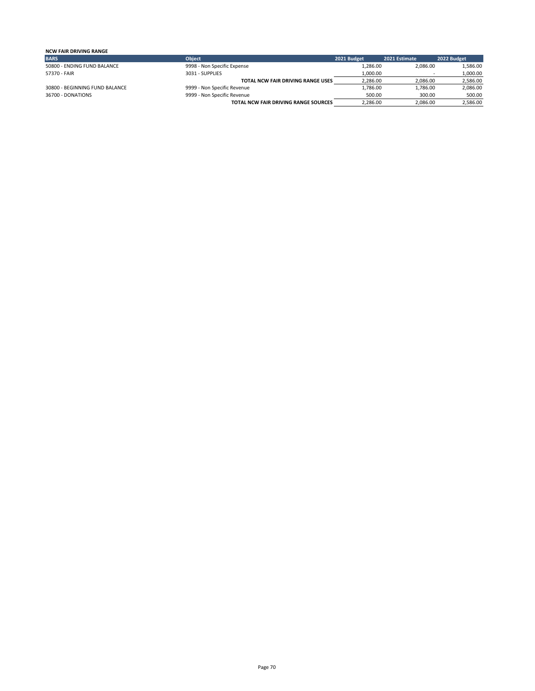| <b>NCW FAIR DRIVING RANGE</b>  |                                             |             |               |             |
|--------------------------------|---------------------------------------------|-------------|---------------|-------------|
| <b>BARS</b>                    | <b>Object</b>                               | 2021 Budget | 2021 Estimate | 2022 Budget |
| 50800 - ENDING FUND BALANCE    | 9998 - Non Specific Expense                 | 1.286.00    | 2.086.00      | 1,586.00    |
| 57370 - FAIR                   | 3031 - SUPPLIES                             | 1,000.00    | -             | 1,000.00    |
|                                | TOTAL NCW FAIR DRIVING RANGE USES           | 2.286.00    | 2.086.00      | 2,586.00    |
| 30800 - BEGINNING FUND BALANCE | 9999 - Non Specific Revenue                 | 1,786.00    | 1.786.00      | 2,086.00    |
| 36700 - DONATIONS              | 9999 - Non Specific Revenue                 | 500.00      | 300.00        | 500.00      |
|                                | <b>TOTAL NCW FAIR DRIVING RANGE SOURCES</b> | 2.286.00    | 2.086.00      | 2.586.00    |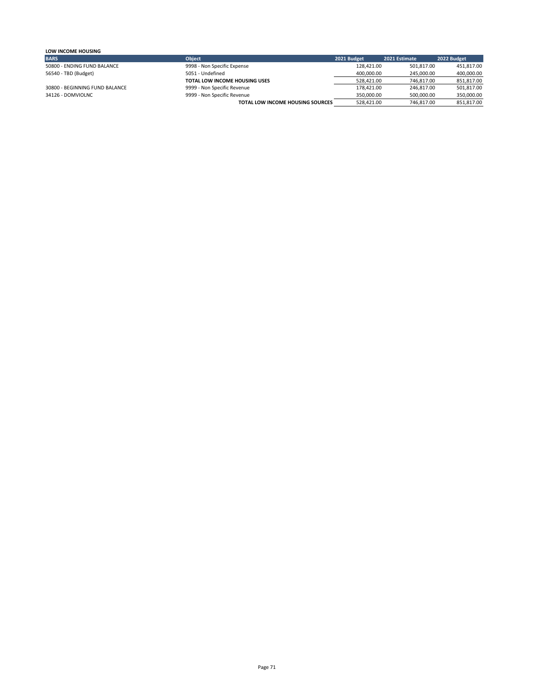| LOW INCOME HOUSING             |                                  |             |               |             |
|--------------------------------|----------------------------------|-------------|---------------|-------------|
| <b>BARS</b>                    | <b>Object</b>                    | 2021 Budget | 2021 Estimate | 2022 Budget |
| 50800 - ENDING FUND BALANCE    | 9998 - Non Specific Expense      | 128.421.00  | 501,817.00    | 451,817.00  |
| 56540 - TBD (Budget)           | 5051 - Undefined                 | 400.000.00  | 245,000.00    | 400,000.00  |
|                                | TOTAL LOW INCOME HOUSING USES    | 528,421.00  | 746.817.00    | 851,817.00  |
| 30800 - BEGINNING FUND BALANCE | 9999 - Non Specific Revenue      | 178.421.00  | 246.817.00    | 501,817.00  |
| 34126 - DOMVIOLNC              | 9999 - Non Specific Revenue      | 350,000.00  | 500,000.00    | 350,000.00  |
|                                | TOTAL LOW INCOME HOUSING SOURCES | 528.421.00  | 746.817.00    | 851,817.00  |
|                                |                                  |             |               |             |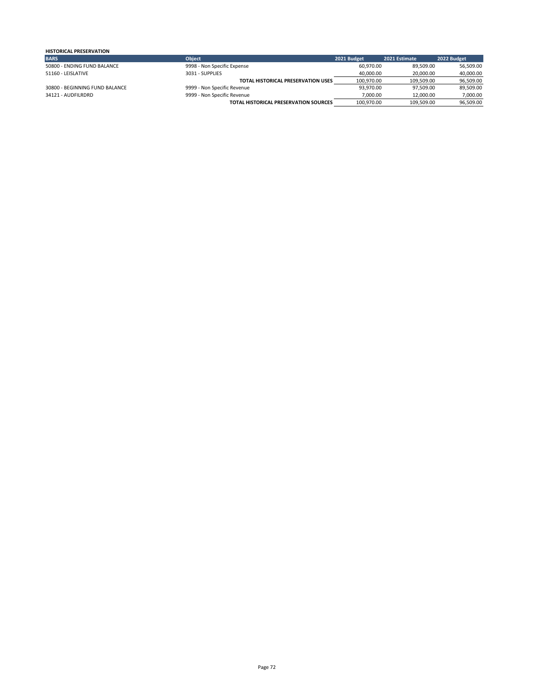| <b>HISTORICAL PRESERVATION</b> |                                              |             |               |             |
|--------------------------------|----------------------------------------------|-------------|---------------|-------------|
| <b>BARS</b>                    | <b>Object</b>                                | 2021 Budget | 2021 Estimate | 2022 Budget |
| 50800 - ENDING FUND BALANCE    | 9998 - Non Specific Expense                  | 60.970.00   | 89.509.00     | 56,509.00   |
| 51160 - LEISLATIVE             | 3031 - SUPPLIES                              | 40.000.00   | 20,000.00     | 40,000.00   |
|                                | TOTAL HISTORICAL PRESERVATION USES           | 100.970.00  | 109.509.00    | 96,509.00   |
| 30800 - BEGINNING FUND BALANCE | 9999 - Non Specific Revenue                  | 93.970.00   | 97.509.00     | 89,509.00   |
| 34121 - AUDFILRDRD             | 9999 - Non Specific Revenue                  | 7.000.00    | 12.000.00     | 7,000.00    |
|                                | <b>TOTAL HISTORICAL PRESERVATION SOURCES</b> | 100.970.00  | 109.509.00    | 96,509.00   |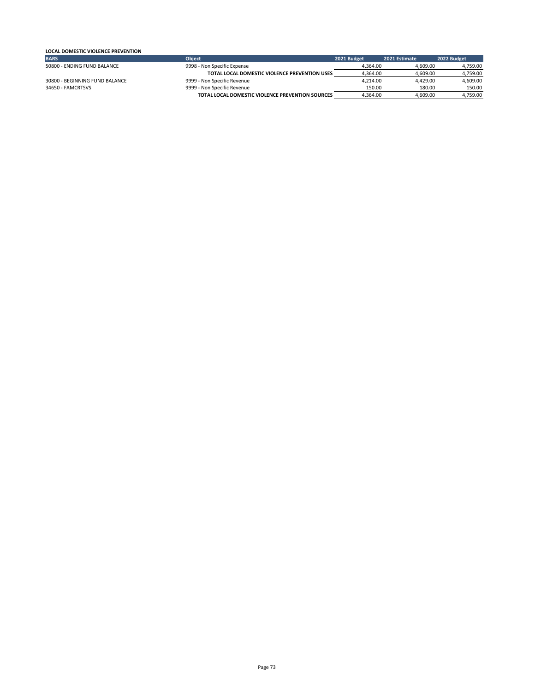### **LOCAL DOMESTIC VIOLENCE PREVENTION**

| <b>BARS</b>                    | <b>Object</b>                                           | 2021 Budget | 2021 Estimate | 2022 Budget |
|--------------------------------|---------------------------------------------------------|-------------|---------------|-------------|
| 50800 - ENDING FUND BALANCE    | 9998 - Non Specific Expense                             | 4.364.00    | 4.609.00      | 4.759.00    |
|                                | TOTAL LOCAL DOMESTIC VIOLENCE PREVENTION USES           | 4.364.00    | 4.609.00      | 4,759.00    |
| 30800 - BEGINNING FUND BALANCE | 9999 - Non Specific Revenue                             | 4.214.00    | 4.429.00      | 4,609.00    |
| 34650 - FAMCRTSVS              | 9999 - Non Specific Revenue                             | 150.00      | 180.00        | 150.00      |
|                                | <b>TOTAL LOCAL DOMESTIC VIOLENCE PREVENTION SOURCES</b> | 4.364.00    | 4.609.00      | 4.759.00    |
|                                |                                                         |             |               |             |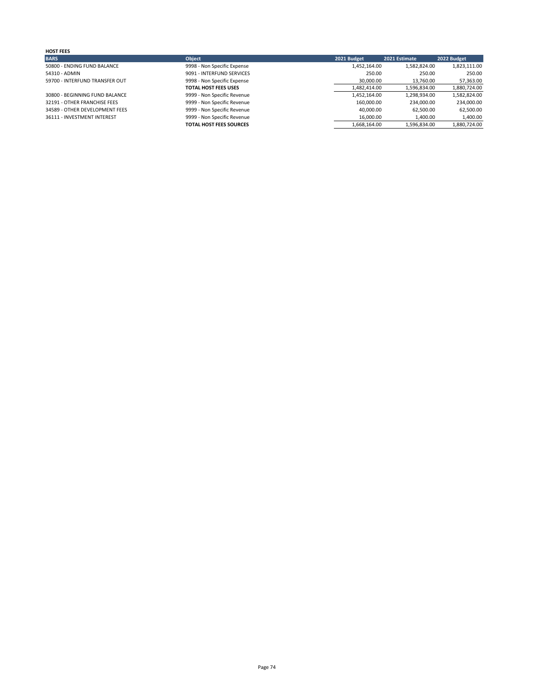| <b>HOST FEES</b>               |                                |              |               |              |
|--------------------------------|--------------------------------|--------------|---------------|--------------|
| <b>BARS</b>                    | <b>Object</b>                  | 2021 Budget  | 2021 Estimate | 2022 Budget  |
| 50800 - ENDING FUND BALANCE    | 9998 - Non Specific Expense    | 1,452,164.00 | 1,582,824.00  | 1,823,111.00 |
| 54310 - ADMIN                  | 9091 - INTERFUND SERVICES      | 250.00       | 250.00        | 250.00       |
| 59700 - INTERFUND TRANSFER OUT | 9998 - Non Specific Expense    | 30,000.00    | 13.760.00     | 57,363.00    |
|                                | <b>TOTAL HOST FEES USES</b>    | 1,482,414.00 | 1,596,834.00  | 1,880,724.00 |
| 30800 - BEGINNING FUND BALANCE | 9999 - Non Specific Revenue    | 1,452,164.00 | 1,298,934.00  | 1,582,824.00 |
| 32191 - OTHER FRANCHISE FEES   | 9999 - Non Specific Revenue    | 160.000.00   | 234.000.00    | 234,000.00   |
| 34589 - OTHER DEVELOPMENT FEES | 9999 - Non Specific Revenue    | 40.000.00    | 62.500.00     | 62,500.00    |
| 36111 - INVESTMENT INTEREST    | 9999 - Non Specific Revenue    | 16,000.00    | 1,400.00      | 1,400.00     |
|                                | <b>TOTAL HOST FEES SOURCES</b> | 1,668,164.00 | 1.596.834.00  | 1,880,724.00 |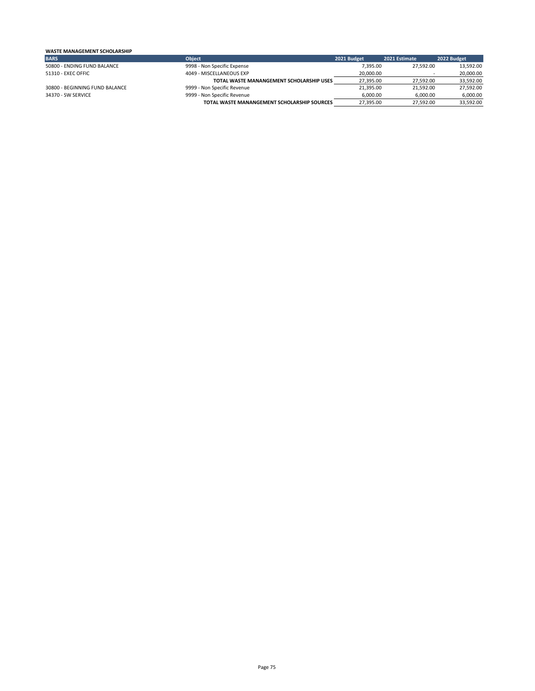#### **WASTE MANAGEMENT SCHOLARSHIP BARS Object 2021 Budget 2021 Estimate 2022 Budget** 50800 - ENDING FUND BALANCE 9998 - Non Specific Expense 7,395.00 27,592.00 13,592.00 13,592.00 13,592.00 13,592<br>
51310 - EXEC OFFIC 20,000.00 4049 - MISCELLANEOUS EXP 20,000.00 20,000.00 20,000.00 20,000.00 1049 - MISCELLANEOUS EXP<br> **13120 - TOTAL WASTE MANANGEMENT SCHOLARSHIP USES** 27,395.00 27,592.00 27,592.00 33,592.00 **TOTAL WASTE MANANGEMENT SCHOLARSHIP USES**<br>
27,395.00 27,592.00 27,592.00 27,592.00 27,592.00 27,592.00 27,592.00 30800 - BEGINNING FUND BALANCE 9999 - Non Specific Revenue 21,395.00 21,592.00 27,592.00 27,592.00 27,592.00<br>34370 - SW SERVICE 9999 - Non Specific Revenue 6,000.00 6,000.00 6,000.00 6,000.00 6,000.00 34399 - Non Specific Revenue<br> **33,592.00** - TOTAL WASTE MANANGEMENT SCHOLARSHIP SOURCES<br> **33,592.00** - 33,592.00 6,000.00 **TOTAL WASTE MANANGEMENT SCHOLARSHIP SOURCES**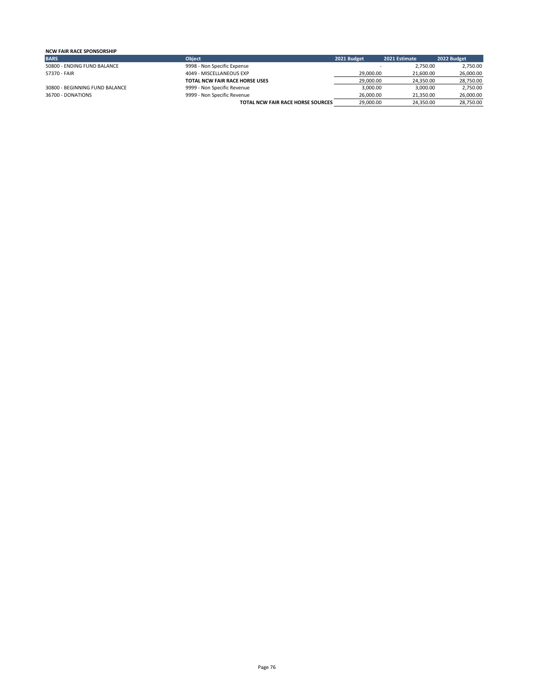| <b>NCW FAIR RACE SPONSORSHIP</b> |                                       |             |               |             |
|----------------------------------|---------------------------------------|-------------|---------------|-------------|
| <b>BARS</b>                      | <b>Object</b>                         | 2021 Budget | 2021 Estimate | 2022 Budget |
| 50800 - ENDING FUND BALANCE      | 9998 - Non Specific Expense           |             | 2,750.00      | 2,750.00    |
| 57370 - FAIR                     | 4049 - MISCELLANEOUS EXP              | 29.000.00   | 21,600.00     | 26,000.00   |
|                                  | <b>TOTAL NCW FAIR RACE HORSE USES</b> | 29.000.00   | 24.350.00     | 28,750.00   |
| 30800 - BEGINNING FUND BALANCE   | 9999 - Non Specific Revenue           | 3,000.00    | 3.000.00      | 2,750.00    |
| 36700 - DONATIONS                | 9999 - Non Specific Revenue           | 26,000.00   | 21,350.00     | 26,000.00   |
|                                  | TOTAL NCW FAIR RACE HORSE SOURCES     | 29,000.00   | 24,350.00     | 28,750.00   |
|                                  |                                       |             |               |             |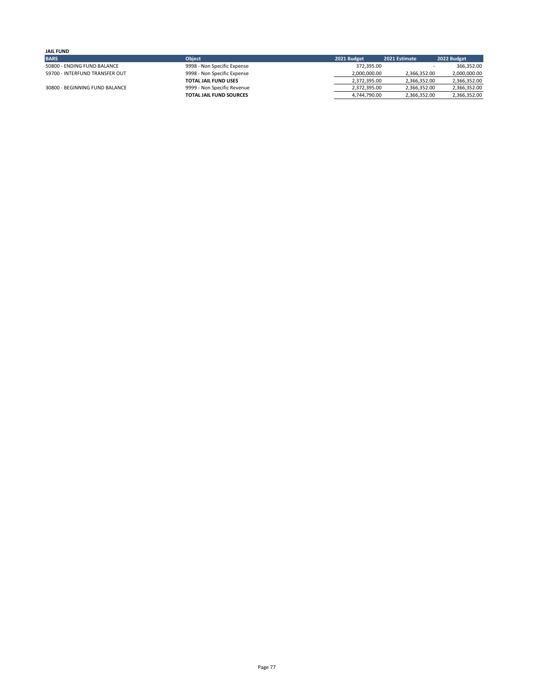| <b>JAIL FUND</b>               |                                |              |                          |              |
|--------------------------------|--------------------------------|--------------|--------------------------|--------------|
| <b>BARS</b>                    | <b>Object</b>                  | 2021 Budget  | 2021 Estimate            | 2022 Budget  |
| 50800 - ENDING FUND BALANCE    | 9998 - Non Specific Expense    | 372.395.00   | $\overline{\phantom{a}}$ | 366,352.00   |
| 59700 - INTERFUND TRANSFER OUT | 9998 - Non Specific Expense    | 2.000.000.00 | 2.366.352.00             | 2,000,000.00 |
|                                | <b>TOTAL JAIL FUND USES</b>    | 2.372.395.00 | 2.366.352.00             | 2,366,352.00 |
| 30800 - BEGINNING FUND BALANCE | 9999 - Non Specific Revenue    | 2,372,395.00 | 2,366,352.00             | 2,366,352.00 |
|                                | <b>TOTAL JAIL FUND SOURCES</b> | 4.744.790.00 | 2.366.352.00             | 2,366,352.00 |
|                                |                                |              |                          |              |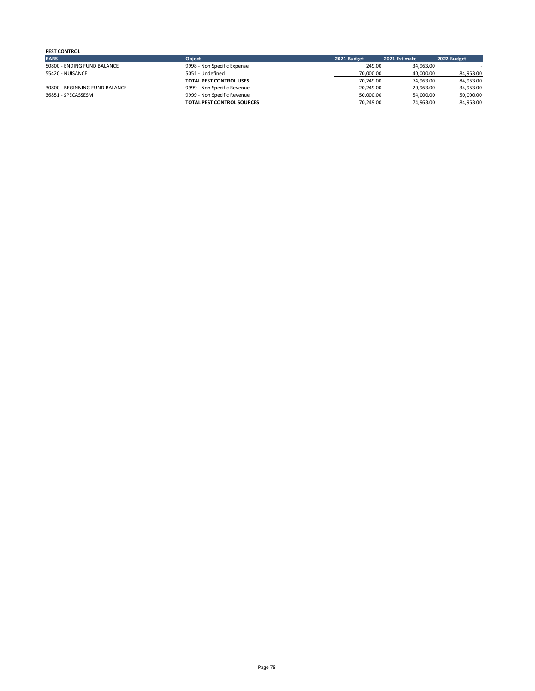# **PEST CONTROL**

| <b>BARS</b>                    | <b>Object</b>                     | 2021 Budget | 2021 Estimate | 2022 Budget |
|--------------------------------|-----------------------------------|-------------|---------------|-------------|
| 50800 - ENDING FUND BALANCE    | 9998 - Non Specific Expense       | 249.00      | 34.963.00     |             |
| 55420 - NUISANCE               | 5051 - Undefined                  | 70.000.00   | 40.000.00     | 84.963.00   |
|                                | <b>TOTAL PEST CONTROL USES</b>    | 70.249.00   | 74.963.00     | 84,963.00   |
| 30800 - BEGINNING FUND BALANCE | 9999 - Non Specific Revenue       | 20.249.00   | 20.963.00     | 34,963.00   |
| 36851 - SPECASSESM             | 9999 - Non Specific Revenue       | 50.000.00   | 54.000.00     | 50.000.00   |
|                                | <b>TOTAL PEST CONTROL SOURCES</b> | 70.249.00   | 74.963.00     | 84.963.00   |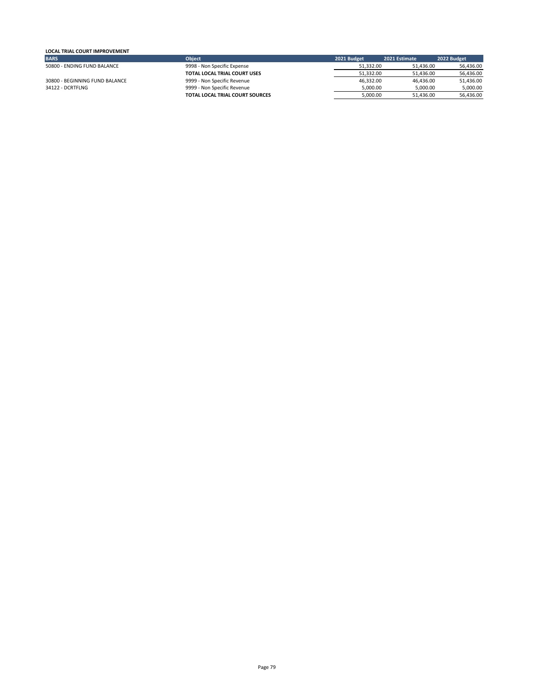| <b>LOCAL TRIAL COURT IMPROVEMENT</b> |                                 |             |               |             |
|--------------------------------------|---------------------------------|-------------|---------------|-------------|
| <b>BARS</b>                          | <b>Object</b>                   | 2021 Budget | 2021 Estimate | 2022 Budget |
| 50800 - ENDING FUND BALANCE          | 9998 - Non Specific Expense     | 51.332.00   | 51.436.00     | 56,436.00   |
|                                      | TOTAL LOCAL TRIAL COURT USES    | 51.332.00   | 51,436.00     | 56,436.00   |
| 30800 - BEGINNING FUND BALANCE       | 9999 - Non Specific Revenue     | 46,332.00   | 46.436.00     | 51,436.00   |
| 34122 - DCRTFLNG                     | 9999 - Non Specific Revenue     | 5.000.00    | 5,000.00      | 5,000.00    |
|                                      | TOTAL LOCAL TRIAL COURT SOURCES | 5.000.00    | 51.436.00     | 56,436.00   |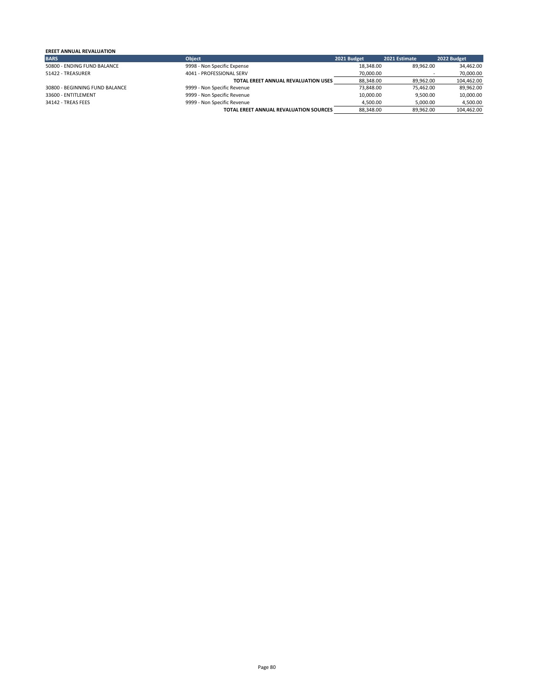| <b>EREET ANNUAL REVALUATION</b> |                                        |             |               |             |
|---------------------------------|----------------------------------------|-------------|---------------|-------------|
| <b>BARS</b>                     | <b>Object</b>                          | 2021 Budget | 2021 Estimate | 2022 Budget |
| 50800 - ENDING FUND BALANCE     | 9998 - Non Specific Expense            | 18.348.00   | 89.962.00     | 34,462.00   |
| 51422 - TREASURER               | 4041 - PROFESSIONAL SERV               | 70,000.00   | . .           | 70,000.00   |
|                                 | TOTAL EREET ANNUAL REVALUATION USES    | 88.348.00   | 89.962.00     | 104,462.00  |
| 30800 - BEGINNING FUND BALANCE  | 9999 - Non Specific Revenue            | 73.848.00   | 75.462.00     | 89,962.00   |
| 33600 - ENTITLEMENT             | 9999 - Non Specific Revenue            | 10,000.00   | 9,500.00      | 10,000.00   |
| 34142 - TREAS FEES              | 9999 - Non Specific Revenue            | 4.500.00    | 5.000.00      | 4.500.00    |
|                                 | TOTAL EREET ANNUAL REVALUATION SOURCES | 88.348.00   | 89.962.00     | 104.462.00  |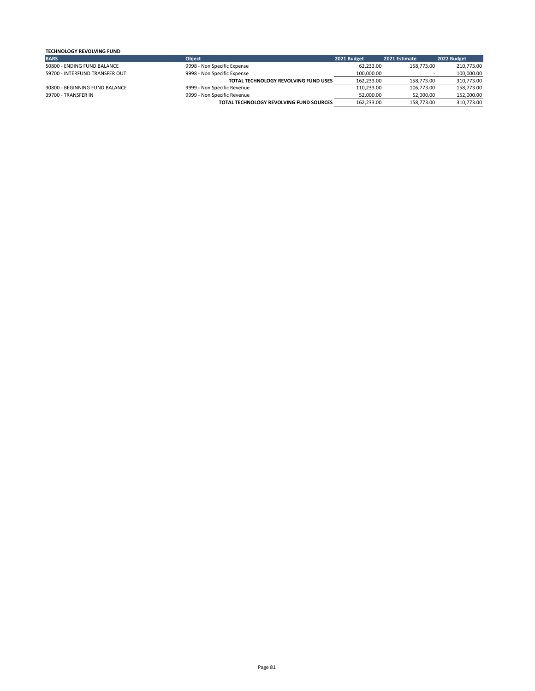| <b>TECHNOLOGY REVOLVING FUND</b> |                                         |             |                          |             |
|----------------------------------|-----------------------------------------|-------------|--------------------------|-------------|
| <b>BARS</b>                      | <b>Object</b>                           | 2021 Budget | 2021 Estimate            | 2022 Budget |
| 50800 - ENDING FUND BALANCE      | 9998 - Non Specific Expense             | 62,233.00   | 158.773.00               | 210,773.00  |
| 59700 - INTERFUND TRANSFER OUT   | 9998 - Non Specific Expense             | 100.000.00  | $\overline{\phantom{a}}$ | 100,000.00  |
|                                  | TOTAL TECHNOLOGY REVOLVING FUND USES    | 162.233.00  | 158.773.00               | 310,773.00  |
| 30800 - BEGINNING FUND BALANCE   | 9999 - Non Specific Revenue             | 110.233.00  | 106.773.00               | 158,773.00  |
| 39700 - TRANSFER IN              | 9999 - Non Specific Revenue             | 52.000.00   | 52.000.00                | 152,000.00  |
|                                  | TOTAL TECHNOLOGY REVOLVING FUND SOURCES | 162.233.00  | 158.773.00               | 310,773.00  |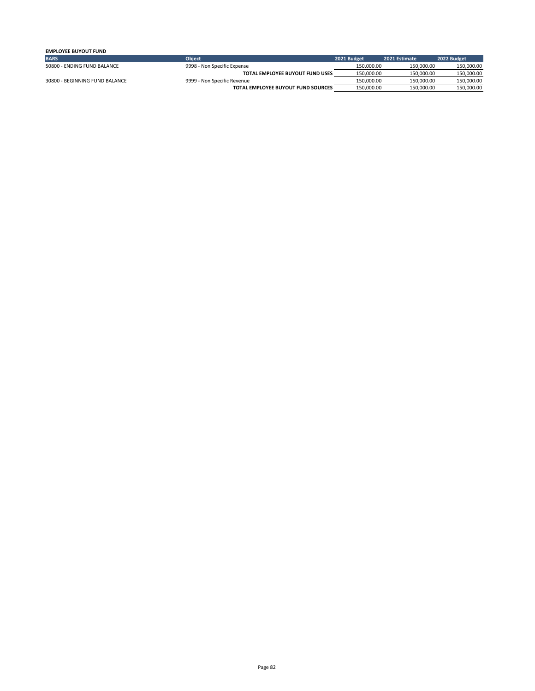| <b>EMPLOYEE BUYOUT FUND</b>    |                                    |             |               |             |
|--------------------------------|------------------------------------|-------------|---------------|-------------|
| <b>BARS</b>                    | <b>Object</b>                      | 2021 Budget | 2021 Estimate | 2022 Budget |
| 50800 - ENDING FUND BALANCE    | 9998 - Non Specific Expense        | 150.000.00  | 150.000.00    | 150.000.00  |
|                                | TOTAL EMPLOYEE BUYOUT FUND USES    | 150.000.00  | 150.000.00    | 150,000.00  |
| 30800 - BEGINNING FUND BALANCE | 9999 - Non Specific Revenue        | 150,000.00  | 150.000.00    | 150,000.00  |
|                                | TOTAL EMPLOYEE BUYOUT FUND SOURCES | 150,000.00  | 150.000.00    | 150.000.00  |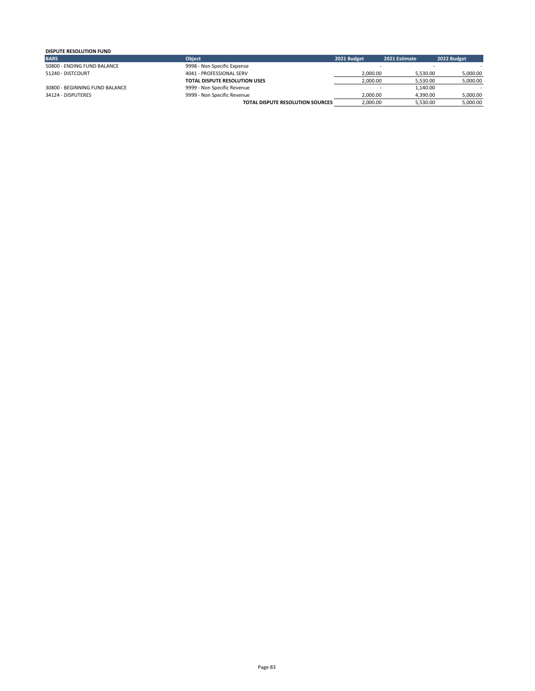| <b>DISPUTE RESOLUTION FUND</b> |                                         |                          |               |             |
|--------------------------------|-----------------------------------------|--------------------------|---------------|-------------|
| <b>BARS</b>                    | <b>Object</b>                           | 2021 Budget              | 2021 Estimate | 2022 Budget |
| 50800 - ENDING FUND BALANCE    | 9998 - Non Specific Expense             |                          |               |             |
| 51240 - DISTCOURT              | 4041 - PROFESSIONAL SERV                | 2.000.00                 | 5.530.00      | 5,000.00    |
|                                | <b>TOTAL DISPUTE RESOLUTION USES</b>    | 2.000.00                 | 5.530.00      | 5,000.00    |
| 30800 - BEGINNING FUND BALANCE | 9999 - Non Specific Revenue             | $\overline{\phantom{a}}$ | 1,140.00      |             |
| 34124 - DISPUTERES             | 9999 - Non Specific Revenue             | 2.000.00                 | 4,390.00      | 5,000.00    |
|                                | <b>TOTAL DISPUTE RESOLUTION SOURCES</b> | 2.000.00                 | 5.530.00      | 5,000.00    |
|                                |                                         |                          |               |             |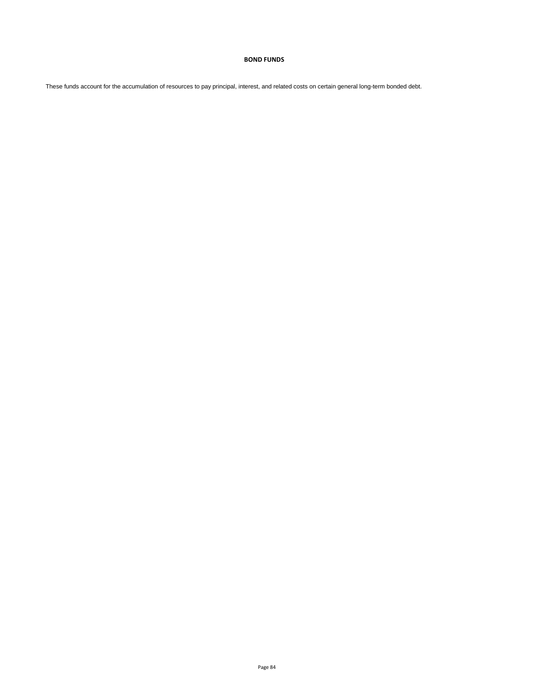# **BOND FUNDS**

These funds account for the accumulation of resources to pay principal, interest, and related costs on certain general long-term bonded debt.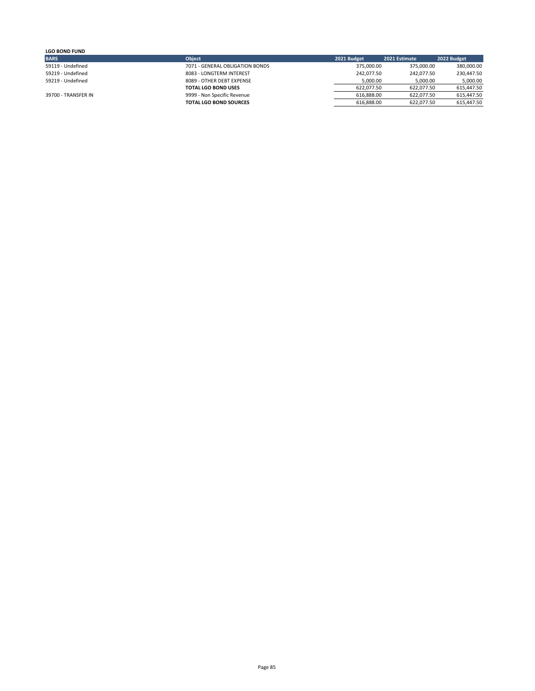| <b>LGO BOND FUND</b> |                                 |             |               |             |
|----------------------|---------------------------------|-------------|---------------|-------------|
| <b>BARS</b>          | <b>Object</b>                   | 2021 Budget | 2021 Estimate | 2022 Budget |
| 59119 - Undefined    | 7071 - GENERAL OBLIGATION BONDS | 375,000.00  | 375,000.00    | 380,000.00  |
| 59219 - Undefined    | 8083 - LONGTERM INTEREST        | 242,077.50  | 242.077.50    | 230,447.50  |
| 59219 - Undefined    | 8089 - OTHER DEBT EXPENSE       | 5.000.00    | 5.000.00      | 5,000.00    |
|                      | <b>TOTAL LGO BOND USES</b>      | 622.077.50  | 622.077.50    | 615,447.50  |
| 39700 - TRANSFER IN  | 9999 - Non Specific Revenue     | 616.888.00  | 622,077.50    | 615,447.50  |
|                      | <b>TOTAL LGO BOND SOURCES</b>   | 616.888.00  | 622.077.50    | 615,447.50  |
|                      |                                 |             |               |             |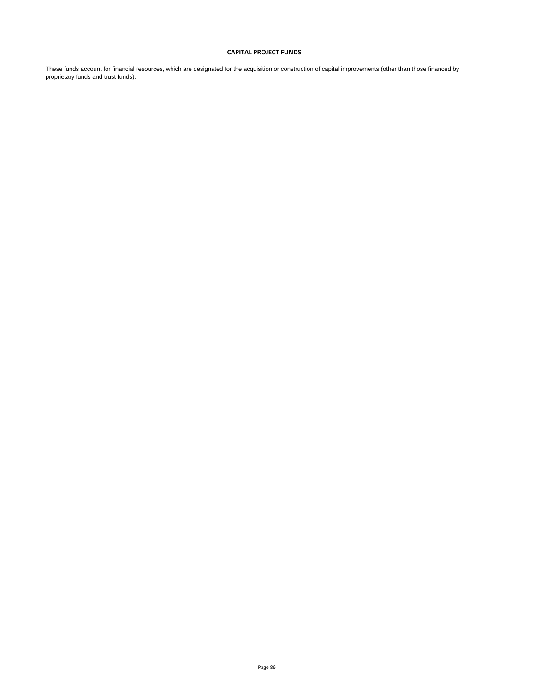# **CAPITAL PROJECT FUNDS**

These funds account for financial resources, which are designated for the acquisition or construction of capital improvements (other than those financed by proprietary funds and trust funds).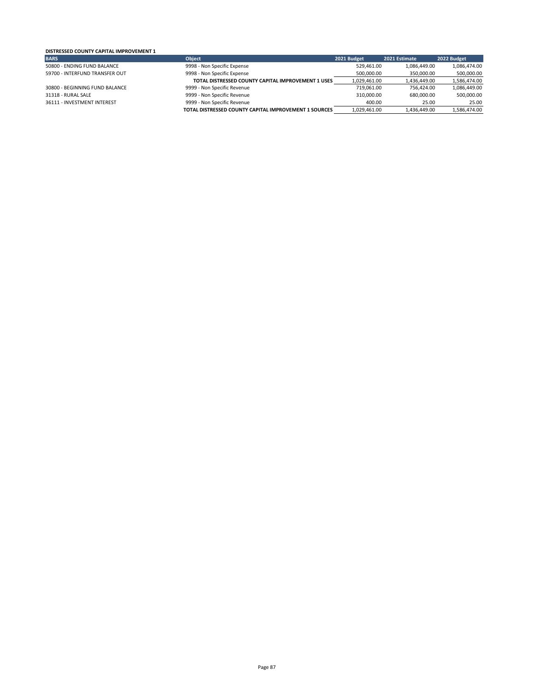### **DISTRESSED COUNTY CAPITAL IMPROVEMENT 1**

| <b>BARS</b>                    | <b>Object</b>                                                | 2021 Budget  | 2021 Estimate | 2022 Budget  |
|--------------------------------|--------------------------------------------------------------|--------------|---------------|--------------|
| 50800 - ENDING FUND BALANCE    | 9998 - Non Specific Expense                                  | 529,461.00   | 1,086,449.00  | 1,086,474.00 |
| 59700 - INTERFUND TRANSFER OUT | 9998 - Non Specific Expense                                  | 500,000.00   | 350.000.00    | 500,000.00   |
|                                | <b>TOTAL DISTRESSED COUNTY CAPITAL IMPROVEMENT 1 USES</b>    | 1.029.461.00 | 1.436.449.00  | 1,586,474.00 |
| 30800 - BEGINNING FUND BALANCE | 9999 - Non Specific Revenue                                  | 719.061.00   | 756.424.00    | 1,086,449.00 |
| 31318 - RURAL SALE             | 9999 - Non Specific Revenue                                  | 310,000.00   | 680.000.00    | 500,000.00   |
| 36111 - INVESTMENT INTEREST    | 9999 - Non Specific Revenue                                  | 400.00       | 25.00         | 25.00        |
|                                | <b>TOTAL DISTRESSED COUNTY CAPITAL IMPROVEMENT 1 SOURCES</b> | 1.029.461.00 | 1.436.449.00  | 1,586,474.00 |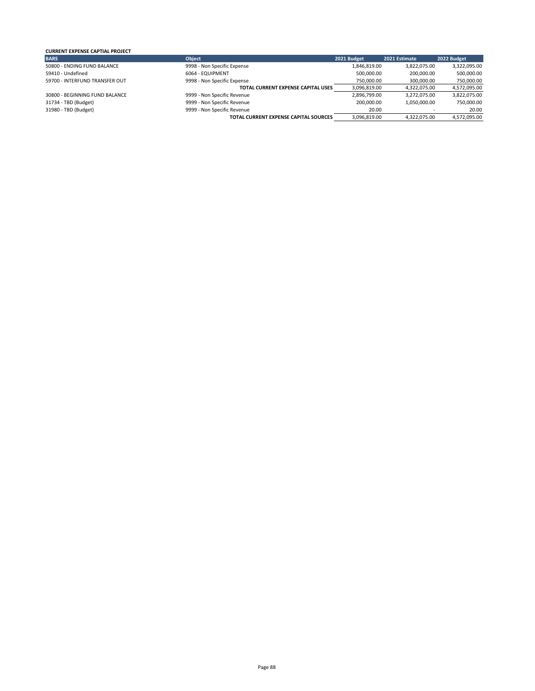#### **CURRENT EXPENSE CAPTIAL PROJECT BARS Object 2021 Budget 2021 Estimate 2022 Budget** 50800 - ENDING FUND BALANCE 9998 - Non Specific Expense 1,846,819.00 3,822,075.00 3,322,095.00 3,322,095.00 3,322,095.00 590,000.00 500,000.00 500,000.00 500,000.00 500,000.00 500,000.00 500,000.00 500,000.00 500,000.00 50 59410 - Undefined 6064 - EQUIPMENT 500,000.00 200,000.00 500,000.00 59700 - INTERFUND TRANSFER OUT 9998 - Non Specific Expense 750,000.00 750,000.00 750,000.00 750,000.00 750,000<br>TOTAL CURRENT EXPENSE CAPITAL USES 3,096,819.00 4,322,075.00 4,572,095.00 **TOTAL CURRENT EXPENSE CAPITAL USES** 3,096,819.00 4,322,075.00 4,572,095.00<br>3,822,075.00 3,822,075.00 4,572,095.00 4,572,095.00 4,572,075.00 4,582,075.00 4,582,075.00 4,582,075.00 4,582,075 30800 - BEGINNING FUND BALANCE 9999 - Non Specific Revenue 2,896,799.00 3,272,075.00 3,822,075.00 3,822,075.00<br>31734 - TBD (Budget) 96,000.00 9999 - Non Specific Revenue 200,000.00 1,050,000.00 750,000.00 31734 - TBD (Budget) 6999 - Non Specific Revenue 200,000.00 1,050,000.00 750,000.00 750,000.00 750,000.00 750,000<br>31980 - TBD (Budget) 20.00 9999 - Non Specific Revenue 20.00 20.00 20.00 20.00 31999 - Non Specific Revenue<br> **121999 - TOTAL CURRENT EXPENSE CAPITAL SOURCES** 23,096,819.00 4,322,075.00 4,572,095.00 **TOTAL CURRENT EXPENSE CAPITAL SOURCES**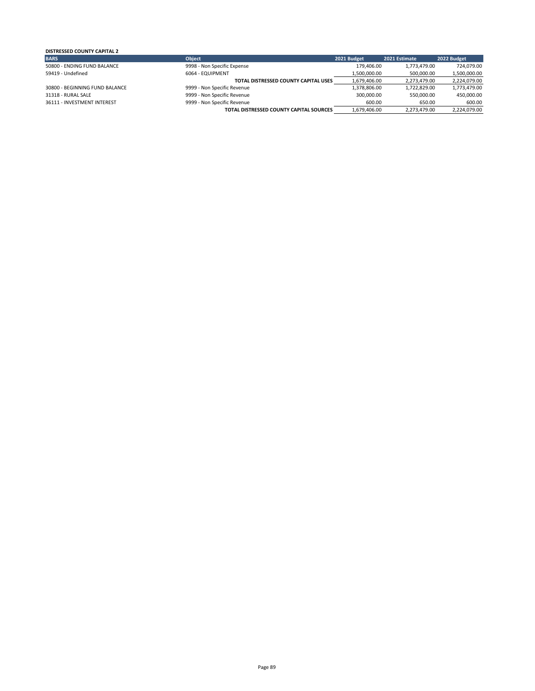| <b>DISTRESSED COUNTY CAPITAL 2</b> |                                         |              |               |              |
|------------------------------------|-----------------------------------------|--------------|---------------|--------------|
| <b>BARS</b>                        | <b>Object</b>                           | 2021 Budget  | 2021 Estimate | 2022 Budget  |
| 50800 - ENDING FUND BALANCE        | 9998 - Non Specific Expense             | 179.406.00   | 1,773,479.00  | 724,079.00   |
| 59419 - Undefined                  | 6064 - EQUIPMENT                        | 1,500,000.00 | 500,000.00    | 1,500,000.00 |
|                                    | TOTAL DISTRESSED COUNTY CAPITAL USES    | 1.679.406.00 | 2.273.479.00  | 2,224,079.00 |
| 30800 - BEGINNING FUND BALANCE     | 9999 - Non Specific Revenue             | 1.378.806.00 | 1,722,829.00  | 1,773,479.00 |
| 31318 - RURAL SALE                 | 9999 - Non Specific Revenue             | 300,000.00   | 550.000.00    | 450,000.00   |
| 36111 - INVESTMENT INTEREST        | 9999 - Non Specific Revenue             | 600.00       | 650.00        | 600.00       |
|                                    | TOTAL DISTRESSED COUNTY CAPITAL SOURCES | 1,679,406.00 | 2,273,479.00  | 2,224,079.00 |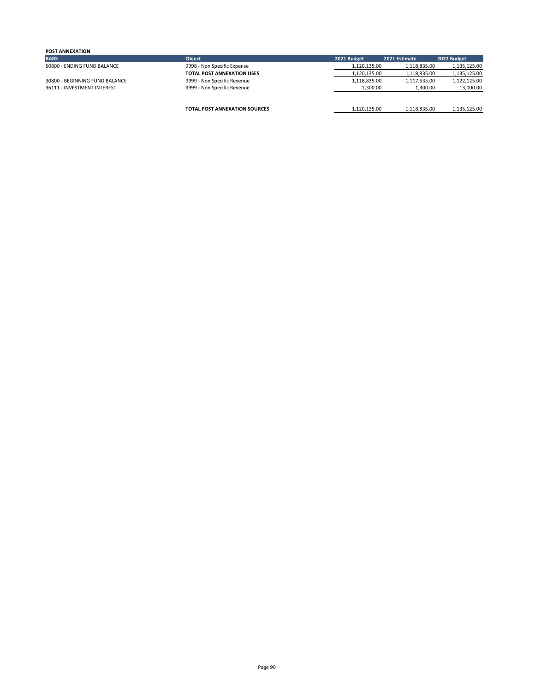| <b>POST ANNEXATION</b>         |                                      |              |               |              |
|--------------------------------|--------------------------------------|--------------|---------------|--------------|
| <b>BARS</b>                    | <b>Object</b>                        | 2021 Budget  | 2021 Estimate | 2022 Budget  |
| 50800 - ENDING FUND BALANCE    | 9998 - Non Specific Expense          | 1.120.135.00 | 1.118.835.00  | 1,135,125.00 |
|                                | <b>TOTAL POST ANNEXATION USES</b>    | 1.120.135.00 | 1,118,835.00  | 1,135,125.00 |
| 30800 - BEGINNING FUND BALANCE | 9999 - Non Specific Revenue          | 1,118,835.00 | 1,117,535.00  | 1,122,125.00 |
| 36111 - INVESTMENT INTEREST    | 9999 - Non Specific Revenue          | 1.300.00     | 1.300.00      | 13,000.00    |
|                                |                                      |              |               |              |
|                                | <b>TOTAL POST ANNEXATION SOURCES</b> | 1,120,135.00 | 1.118.835.00  | 1.135.125.00 |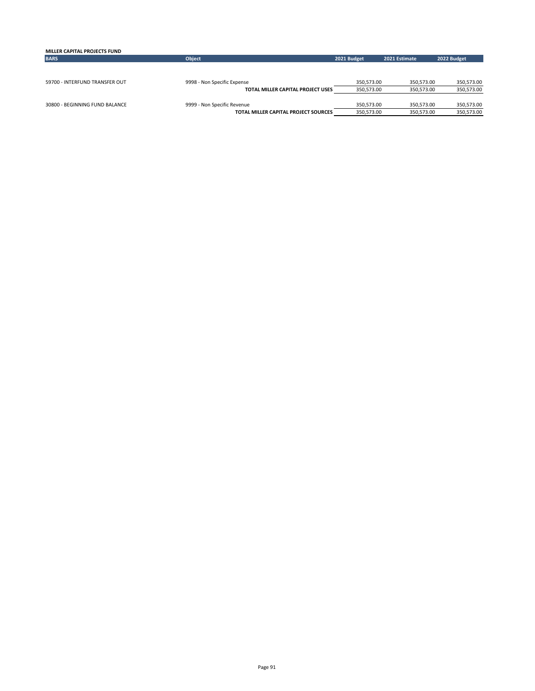| <b>MILLER CAPITAL PROJECTS FUND</b> |                                      |             |               |             |
|-------------------------------------|--------------------------------------|-------------|---------------|-------------|
| <b>BARS</b>                         | <b>Object</b>                        | 2021 Budget | 2021 Estimate | 2022 Budget |
|                                     |                                      |             |               |             |
|                                     |                                      |             |               |             |
| 59700 - INTERFUND TRANSFER OUT      | 9998 - Non Specific Expense          | 350.573.00  | 350.573.00    | 350,573.00  |
|                                     | TOTAL MILLER CAPITAL PROJECT USES    | 350.573.00  | 350,573.00    | 350,573.00  |
|                                     |                                      |             |               |             |
| 30800 - BEGINNING FUND BALANCE      | 9999 - Non Specific Revenue          | 350.573.00  | 350.573.00    | 350,573.00  |
|                                     | TOTAL MILLER CAPITAL PROJECT SOURCES | 350.573.00  | 350.573.00    | 350,573.00  |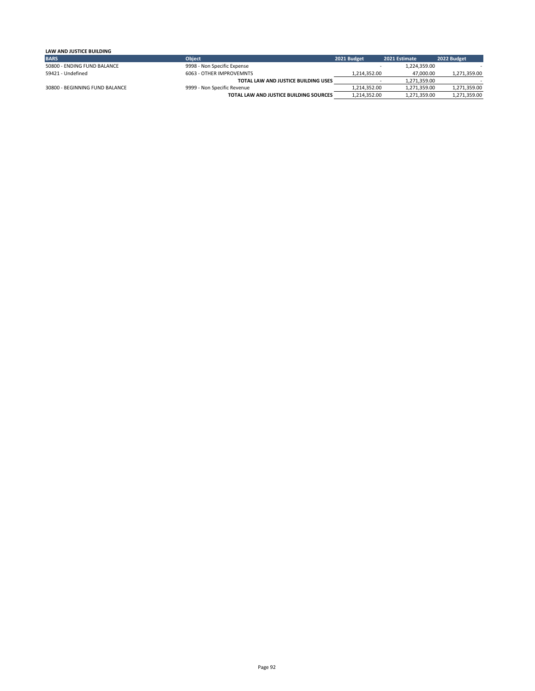| LAW AND JUSTICE BUILDING                                                                      |              |
|-----------------------------------------------------------------------------------------------|--------------|
| <b>BARS</b><br><b>Object</b><br>2021 Budget<br>2021 Estimate                                  | 2022 Budget  |
| 50800 - ENDING FUND BALANCE<br>9998 - Non Specific Expense<br>1,224,359.00                    |              |
| 59421 - Undefined<br>6063 - OTHER IMPROVEMNTS<br>47.000.00<br>1.214.352.00                    | 1,271,359.00 |
| TOTAL LAW AND JUSTICE BUILDING USES<br>1.271.359.00                                           |              |
| 9999 - Non Specific Revenue<br>30800 - BEGINNING FUND BALANCE<br>1.271.359.00<br>1.214.352.00 | 1,271,359.00 |
| 1,214,352.00<br>TOTAL LAW AND JUSTICE BUILDING SOURCES<br>1,271,359.00                        | 1,271,359.00 |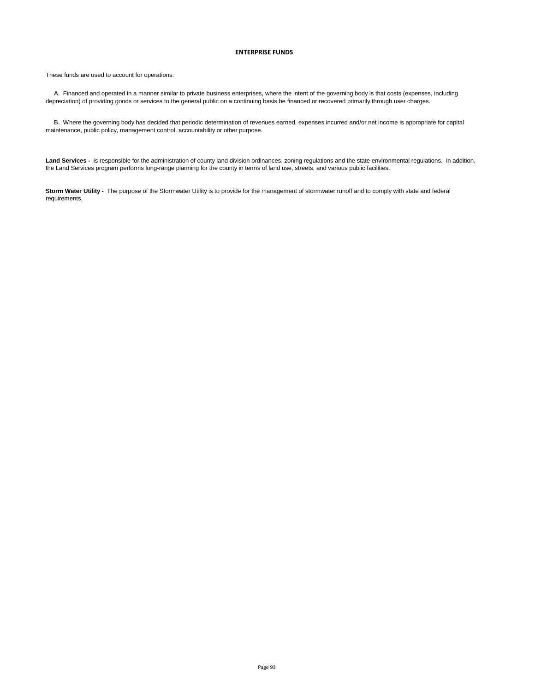### **ENTERPRISE FUNDS**

These funds are used to account for operations:

 A. Financed and operated in a manner similar to private business enterprises, where the intent of the governing body is that costs (expenses, including depreciation) of providing goods or services to the general public on a continuing basis be financed or recovered primarily through user charges.

 B. Where the governing body has decided that periodic determination of revenues earned, expenses incurred and/or net income is appropriate for capital maintenance, public policy, management control, accountability or other purpose.

Land Services - is responsible for the administration of county land division ordinances, zoning regulations and the state environmental regulations. In addition, the Land Services program performs long-range planning for the county in terms of land use, streets, and various public facilities.

**Storm Water Utility -** The purpose of the Stormwater Utility is to provide for the management of stormwater runoff and to comply with state and federal requirements.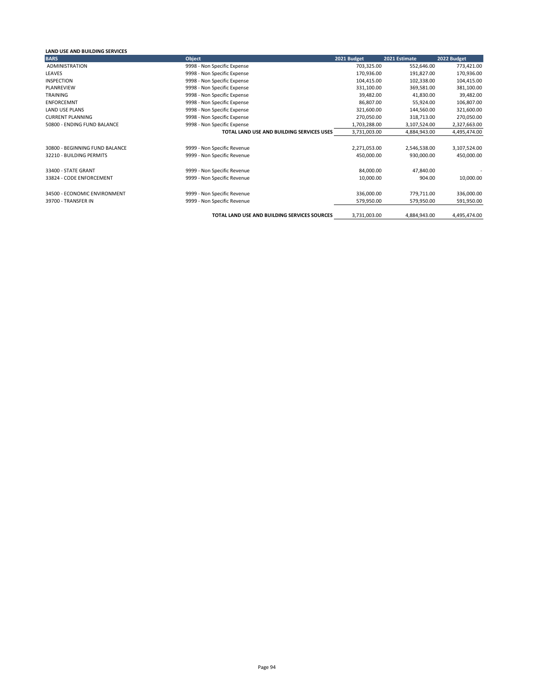## **LAND USE AND BUILDING SERVICES**

| <b>BARS</b>                    | Object                                       | 2021 Budget  | 2021 Estimate | 2022 Budget  |
|--------------------------------|----------------------------------------------|--------------|---------------|--------------|
| <b>ADMINISTRATION</b>          | 9998 - Non Specific Expense                  | 703,325.00   | 552,646.00    | 773,421.00   |
| LEAVES                         | 9998 - Non Specific Expense                  | 170,936.00   | 191,827.00    | 170,936.00   |
| <b>INSPECTION</b>              | 9998 - Non Specific Expense                  | 104,415.00   | 102,338.00    | 104,415.00   |
| PLANREVIEW                     | 9998 - Non Specific Expense                  | 331,100.00   | 369,581.00    | 381,100.00   |
| <b>TRAINING</b>                | 9998 - Non Specific Expense                  | 39,482.00    | 41,830.00     | 39,482.00    |
| <b>ENFORCEMNT</b>              | 9998 - Non Specific Expense                  | 86,807.00    | 55,924.00     | 106,807.00   |
| <b>LAND USE PLANS</b>          | 9998 - Non Specific Expense                  | 321,600.00   | 144,560.00    | 321,600.00   |
| <b>CURRENT PLANNING</b>        | 9998 - Non Specific Expense                  | 270,050.00   | 318,713.00    | 270,050.00   |
| 50800 - ENDING FUND BALANCE    | 9998 - Non Specific Expense                  | 1,703,288.00 | 3,107,524.00  | 2,327,663.00 |
|                                | TOTAL LAND USE AND BUILDING SERVICES USES    | 3,731,003.00 | 4,884,943.00  | 4,495,474.00 |
|                                |                                              |              |               |              |
| 30800 - BEGINNING FUND BALANCE | 9999 - Non Specific Revenue                  | 2,271,053.00 | 2,546,538.00  | 3,107,524.00 |
| 32210 - BUILDING PERMITS       | 9999 - Non Specific Revenue                  | 450,000.00   | 930,000.00    | 450,000.00   |
|                                |                                              |              |               |              |
| 33400 - STATE GRANT            | 9999 - Non Specific Revenue                  | 84,000.00    | 47,840.00     |              |
| 33824 - CODE ENFORCEMENT       | 9999 - Non Specific Revenue                  | 10,000.00    | 904.00        | 10,000.00    |
|                                |                                              |              |               |              |
| 34500 - ECONOMIC ENVIRONMENT   | 9999 - Non Specific Revenue                  | 336,000.00   | 779,711.00    | 336,000.00   |
| 39700 - TRANSFER IN            | 9999 - Non Specific Revenue                  | 579,950.00   | 579,950.00    | 591,950.00   |
|                                |                                              |              |               |              |
|                                | TOTAL LAND USE AND BUILDING SERVICES SOURCES | 3,731,003.00 | 4,884,943.00  | 4,495,474.00 |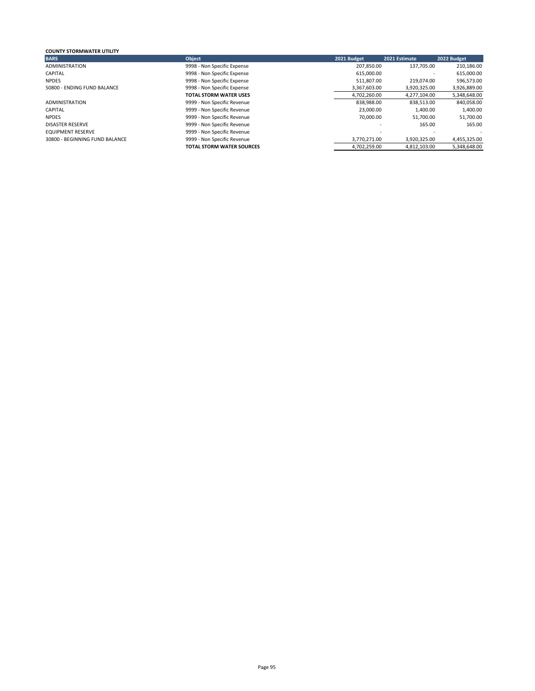## **COUNTY STORMWATER UTILITY**

| <b>BARS</b>                    | Object                           | 2021 Budget  | 2021 Estimate | 2022 Budget  |
|--------------------------------|----------------------------------|--------------|---------------|--------------|
| <b>ADMINISTRATION</b>          | 9998 - Non Specific Expense      | 207,850.00   | 137.705.00    | 210,186.00   |
| CAPITAL                        | 9998 - Non Specific Expense      | 615,000.00   |               | 615,000.00   |
| <b>NPDES</b>                   | 9998 - Non Specific Expense      | 511,807.00   | 219.074.00    | 596,573.00   |
| 50800 - ENDING FUND BALANCE    | 9998 - Non Specific Expense      | 3,367,603.00 | 3,920,325.00  | 3,926,889.00 |
|                                | <b>TOTAL STORM WATER USES</b>    | 4,702,260.00 | 4,277,104.00  | 5,348,648.00 |
| ADMINISTRATION                 | 9999 - Non Specific Revenue      | 838.988.00   | 838.513.00    | 840,058.00   |
| CAPITAL                        | 9999 - Non Specific Revenue      | 23,000.00    | 1.400.00      | 1,400.00     |
| <b>NPDES</b>                   | 9999 - Non Specific Revenue      | 70.000.00    | 51.700.00     | 51,700.00    |
| <b>DISASTER RESERVE</b>        | 9999 - Non Specific Revenue      |              | 165.00        | 165.00       |
| <b>EQUIPMENT RESERVE</b>       | 9999 - Non Specific Revenue      |              |               |              |
| 30800 - BEGINNING FUND BALANCE | 9999 - Non Specific Revenue      | 3.770.271.00 | 3.920.325.00  | 4.455.325.00 |
|                                | <b>TOTAL STORM WATER SOURCES</b> | 4.702.259.00 | 4.812.103.00  | 5.348.648.00 |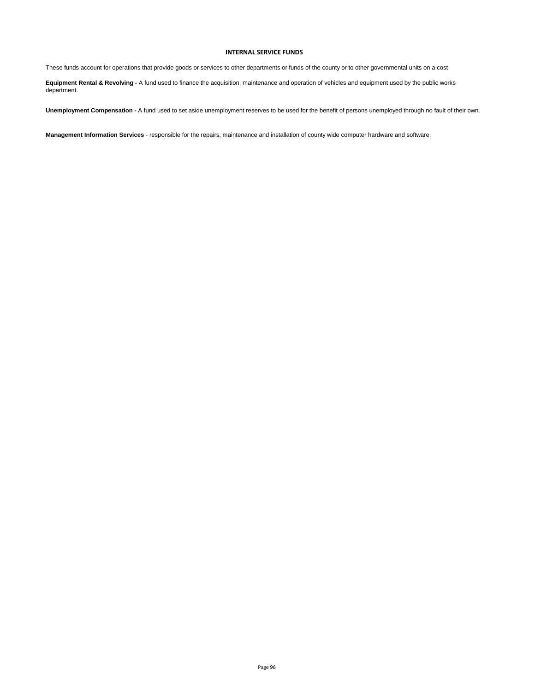# **INTERNAL SERVICE FUNDS**

These funds account for operations that provide goods or services to other departments or funds of the county or to other governmental units on a cost-

Equipment Rental & Revolving - A fund used to finance the acquisition, maintenance and operation of vehicles and equipment used by the public works department.

**Unemployment Compensation -** A fund used to set aside unemployment reserves to be used for the benefit of persons unemployed through no fault of their own.

**Management Information Services** - responsible for the repairs, maintenance and installation of county wide computer hardware and software.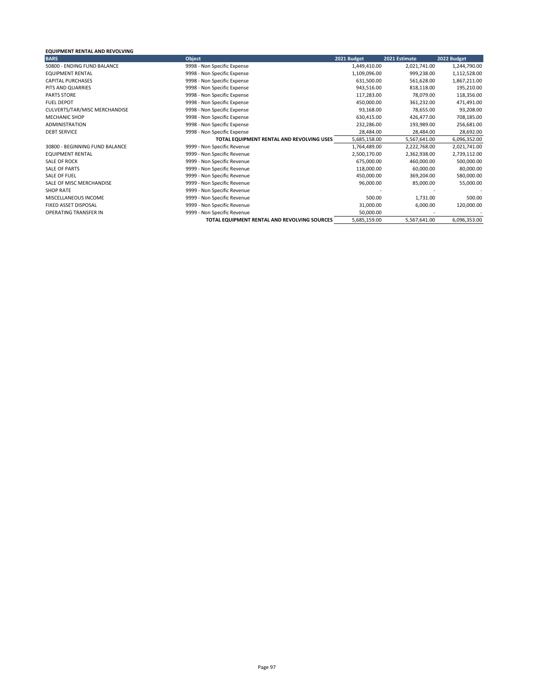## **EQUIPMENT RENTAL AND REVOLVING**

| <b>BARS</b>                    | Object                                       | 2021 Budget  | 2021 Estimate | 2022 Budget  |
|--------------------------------|----------------------------------------------|--------------|---------------|--------------|
| 50800 - ENDING FUND BALANCE    | 9998 - Non Specific Expense                  | 1,449,410.00 | 2,021,741.00  | 1,244,790.00 |
| <b>EQUIPMENT RENTAL</b>        | 9998 - Non Specific Expense                  | 1,109,096.00 | 999,238.00    | 1,112,528.00 |
| <b>CAPITAL PURCHASES</b>       | 9998 - Non Specific Expense                  | 631,500.00   | 561,628.00    | 1,867,211.00 |
| PITS AND QUARRIES              | 9998 - Non Specific Expense                  | 943,516.00   | 818,118.00    | 195,210.00   |
| <b>PARTS STORE</b>             | 9998 - Non Specific Expense                  | 117,283.00   | 78,079.00     | 118,356.00   |
| <b>FUEL DEPOT</b>              | 9998 - Non Specific Expense                  | 450,000.00   | 361,232.00    | 471,491.00   |
| CULVERTS/TAR/MISC MERCHANDISE  | 9998 - Non Specific Expense                  | 93,168.00    | 78,655.00     | 93,208.00    |
| <b>MECHANIC SHOP</b>           | 9998 - Non Specific Expense                  | 630,415.00   | 426,477.00    | 708,185.00   |
| <b>ADMINISTRATION</b>          | 9998 - Non Specific Expense                  | 232,286.00   | 193,989.00    | 256,681.00   |
| <b>DEBT SERVICE</b>            | 9998 - Non Specific Expense                  | 28,484.00    | 28,484.00     | 28,692.00    |
|                                | TOTAL EQUIPMENT RENTAL AND REVOLVING USES    | 5,685,158.00 | 5,567,641.00  | 6,096,352.00 |
| 30800 - BEGINNING FUND BALANCE | 9999 - Non Specific Revenue                  | 1,764,489.00 | 2,222,768.00  | 2,021,741.00 |
| <b>EQUIPMENT RENTAL</b>        | 9999 - Non Specific Revenue                  | 2,500,170.00 | 2,362,938.00  | 2,739,112.00 |
| <b>SALE OF ROCK</b>            | 9999 - Non Specific Revenue                  | 675,000.00   | 460,000.00    | 500,000.00   |
| <b>SALE OF PARTS</b>           | 9999 - Non Specific Revenue                  | 118,000.00   | 60,000.00     | 80,000.00    |
| SALE OF FUEL                   | 9999 - Non Specific Revenue                  | 450,000.00   | 369,204.00    | 580,000.00   |
| SALE OF MISC MERCHANDISE       | 9999 - Non Specific Revenue                  | 96,000.00    | 85,000.00     | 55,000.00    |
| <b>SHOP RATE</b>               | 9999 - Non Specific Revenue                  |              |               |              |
| MISCELLANEOUS INCOME           | 9999 - Non Specific Revenue                  | 500.00       | 1,731.00      | 500.00       |
| FIXED ASSET DISPOSAL           | 9999 - Non Specific Revenue                  | 31,000.00    | 6,000.00      | 120,000.00   |
| OPERATING TRANSFER IN          | 9999 - Non Specific Revenue                  | 50,000.00    |               |              |
|                                | TOTAL EQUIPMENT RENTAL AND REVOLVING SOURCES | 5,685,159.00 | 5,567,641.00  | 6,096,353.00 |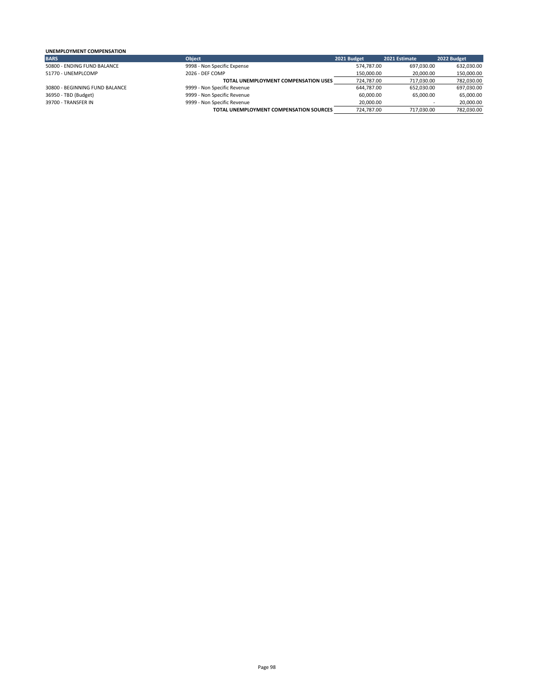| UNEMPLOYMENT COMPENSATION      |                                         |             |                          |             |
|--------------------------------|-----------------------------------------|-------------|--------------------------|-------------|
| <b>BARS</b>                    | <b>Object</b>                           | 2021 Budget | 2021 Estimate            | 2022 Budget |
| 50800 - ENDING FUND BALANCE    | 9998 - Non Specific Expense             | 574.787.00  | 697.030.00               | 632,030.00  |
| 51770 - UNEMPLCOMP             | 2026 - DEF COMP                         | 150.000.00  | 20.000.00                | 150,000.00  |
|                                | TOTAL UNEMPLOYMENT COMPENSATION USES    | 724.787.00  | 717.030.00               | 782,030.00  |
| 30800 - BEGINNING FUND BALANCE | 9999 - Non Specific Revenue             | 644.787.00  | 652.030.00               | 697,030.00  |
| 36950 - TBD (Budget)           | 9999 - Non Specific Revenue             | 60.000.00   | 65.000.00                | 65,000.00   |
| 39700 - TRANSFER IN            | 9999 - Non Specific Revenue             | 20,000.00   | $\overline{\phantom{a}}$ | 20.000.00   |
|                                | TOTAL UNEMPLOYMENT COMPENSATION SOURCES | 724.787.00  | 717,030.00               | 782.030.00  |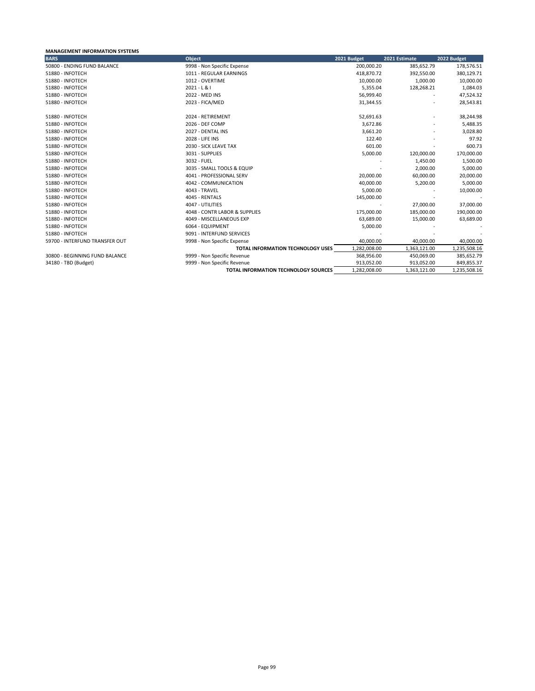#### **MANAGEMENT INFORMATION SYSTEMS**

| <b>BARS</b>                    | Object                                      | 2021 Budget  | 2021 Estimate | 2022 Budget  |
|--------------------------------|---------------------------------------------|--------------|---------------|--------------|
| 50800 - ENDING FUND BALANCE    | 9998 - Non Specific Expense                 | 200,000.20   | 385,652.79    | 178,576.51   |
| 51880 - INFOTECH               | 1011 - REGULAR EARNINGS                     | 418,870.72   | 392,550.00    | 380,129.71   |
| 51880 - INFOTECH               | 1012 - OVERTIME                             | 10,000.00    | 1,000.00      | 10,000.00    |
| 51880 - INFOTECH               | $2021 - L & 1$                              | 5,355.04     | 128,268.21    | 1,084.03     |
| 51880 - INFOTECH               | 2022 - MED INS                              | 56,999.40    |               | 47,524.32    |
| 51880 - INFOTECH               | 2023 - FICA/MED                             | 31,344.55    |               | 28,543.81    |
| 51880 - INFOTECH               | 2024 - RETIREMENT                           | 52,691.63    | ٠             | 38,244.98    |
| 51880 - INFOTECH               | 2026 - DEF COMP                             | 3,672.86     |               | 5,488.35     |
| 51880 - INFOTECH               | 2027 - DENTAL INS                           | 3,661.20     |               | 3,028.80     |
| 51880 - INFOTECH               | 2028 - LIFE INS                             | 122.40       |               | 97.92        |
| 51880 - INFOTECH               | 2030 - SICK LEAVE TAX                       | 601.00       |               | 600.73       |
| 51880 - INFOTECH               | 3031 - SUPPLIES                             | 5,000.00     | 120,000.00    | 170,000.00   |
| 51880 - INFOTECH               | 3032 - FUEL                                 |              | 1,450.00      | 1,500.00     |
| 51880 - INFOTECH               | 3035 - SMALL TOOLS & EQUIP                  |              | 2,000.00      | 5,000.00     |
| 51880 - INFOTECH               | 4041 - PROFESSIONAL SERV                    | 20,000.00    | 60,000.00     | 20,000.00    |
| 51880 - INFOTECH               | 4042 - COMMUNICATION                        | 40,000.00    | 5,200.00      | 5,000.00     |
| 51880 - INFOTECH               | 4043 - TRAVEL                               | 5,000.00     |               | 10,000.00    |
| 51880 - INFOTECH               | 4045 - RENTALS                              | 145,000.00   |               |              |
| 51880 - INFOTECH               | 4047 - UTILITIES                            |              | 27,000.00     | 37,000.00    |
| 51880 - INFOTECH               | 4048 - CONTR LABOR & SUPPLIES               | 175,000.00   | 185,000.00    | 190,000.00   |
| 51880 - INFOTECH               | 4049 - MISCELLANEOUS EXP                    | 63,689.00    | 15,000.00     | 63,689.00    |
| 51880 - INFOTECH               | 6064 - EQUIPMENT                            | 5,000.00     |               |              |
| 51880 - INFOTECH               | 9091 - INTERFUND SERVICES                   |              |               |              |
| 59700 - INTERFUND TRANSFER OUT | 9998 - Non Specific Expense                 | 40,000.00    | 40,000.00     | 40,000.00    |
|                                | TOTAL INFORMATION TECHNOLOGY USES           | 1,282,008.00 | 1,363,121.00  | 1,235,508.16 |
| 30800 - BEGINNING FUND BALANCE | 9999 - Non Specific Revenue                 | 368,956.00   | 450,069.00    | 385,652.79   |
| 34180 - TBD (Budget)           | 9999 - Non Specific Revenue                 | 913,052.00   | 913,052.00    | 849,855.37   |
|                                | <b>TOTAL INFORMATION TECHNOLOGY SOURCES</b> | 1,282,008.00 | 1,363,121.00  | 1,235,508.16 |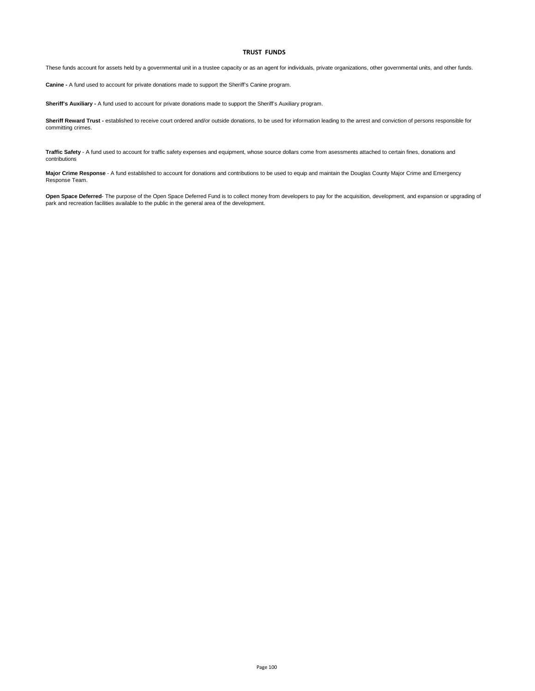#### **TRUST FUNDS**

These funds account for assets held by a governmental unit in a trustee capacity or as an agent for individuals, private organizations, other governmental units, and other funds.

**Canine -** A fund used to account for private donations made to support the Sheriff's Canine program.

**Sheriff's Auxiliary -** A fund used to account for private donations made to support the Sheriff's Auxiliary program.

Sheriff Reward Trust - established to receive court ordered and/or outside donations, to be used for information leading to the arrest and conviction of persons responsible for committing crimes.

**Traffic Safety** - A fund used to account for traffic safety expenses and equipment, whose source dollars come from asessments attached to certain fines, donations and contributions

**Major Crime Response** - A fund established to account for donations and contributions to be used to equip and maintain the Douglas County Major Crime and Emergency Response Team.

**Open Space Deferred**- The purpose of the Open Space Deferred Fund is to collect money from developers to pay for the acquisition, development, and expansion or upgrading of park and recreation facilities available to the public in the general area of the development.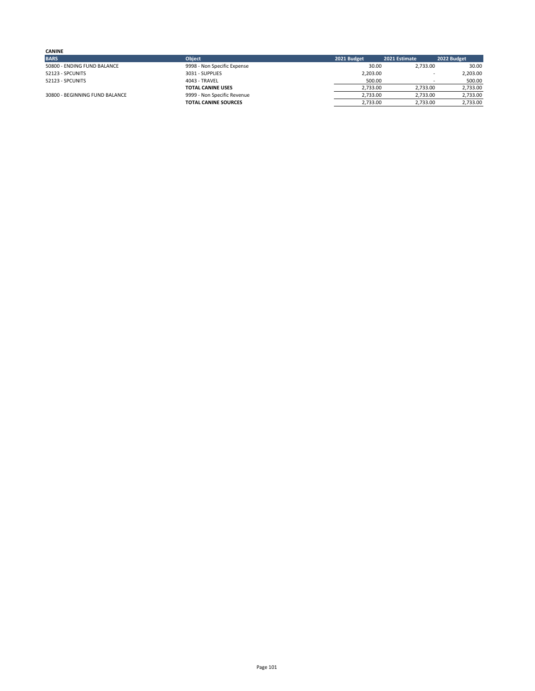#### **CANINE BARS Object 2021 Budget 2021 Estimate 2022 Budget** 50800 - ENDING FUND BALANCE 9998 - Non Specific Expense 30.00 2,733.00 30.00 52123 - SPCUNITS 3031 - SUPPLIES 2,203.00 - 2,203.00 52123 - SPCUNITS 4043 - TRAVEL 500.00 - 500.00 **TOTAL CANINE USES**<br> **TOTAL CANINE USES**<br> **TOTAL CANINE USES**<br> **TOTAL CANINE USES**<br> **TOTAL CANINE USES**<br> **TOTAL CANINE USES**<br> **1.733.00**<br> **1.733.00**<br> **1.733.00**<br> **1.733.00**<br> **2.733.00**<br> **2.733.00**<br> **2.733.00**<br> **2.733.00**<br> 30800 - BEGINNING FUND BALANCE 9999 - Non Specific Revenue 2,733.00 2,733.00 2,733.00 **TOTAL CANINE SOURCES** 2,733.00 2,733.00 2,733.00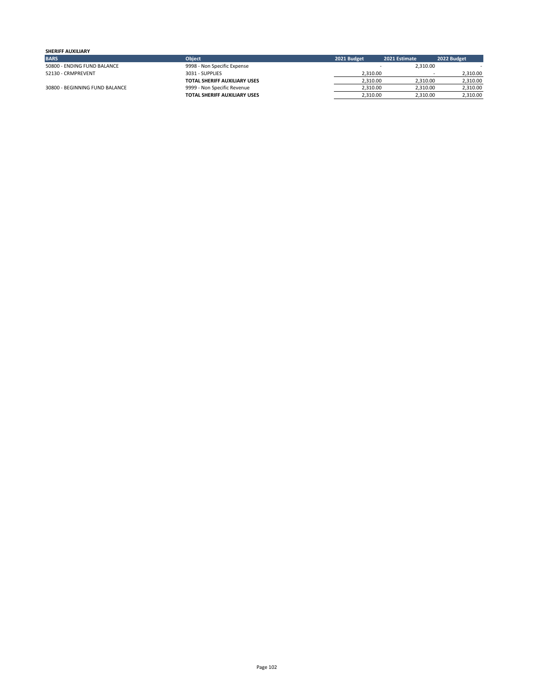# **SHERIFF AUXILIARY**

| <b>BARS</b>                    | <b>Object</b>                | 2021 Budget | 2021 Estimate            | 2022 Budget |
|--------------------------------|------------------------------|-------------|--------------------------|-------------|
| 50800 - ENDING FUND BALANCE    | 9998 - Non Specific Expense  |             | 2.310.00                 |             |
| 52130 - CRMPREVENT             | 3031 - SUPPLIES              | 2.310.00    | $\overline{\phantom{a}}$ | 2.310.00    |
|                                | TOTAL SHERIFF AUXILIARY USES | 2.310.00    | 2.310.00                 | 2,310.00    |
| 30800 - BEGINNING FUND BALANCE | 9999 - Non Specific Revenue  | 2.310.00    | 2.310.00                 | 2.310.00    |
|                                | TOTAL SHERIFF AUXILIARY USES | 2.310.00    | 2.310.00                 | 2.310.00    |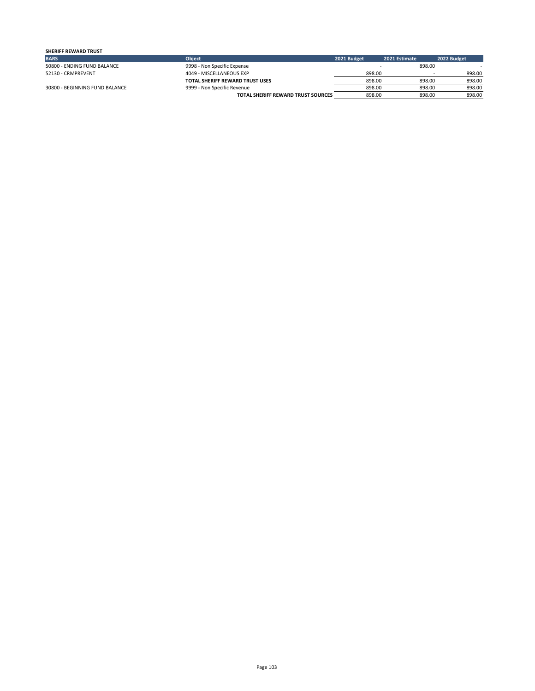| <b>SHERIFF REWARD TRUST</b>    |                                           |             |               |                          |             |
|--------------------------------|-------------------------------------------|-------------|---------------|--------------------------|-------------|
| <b>BARS</b>                    | <b>Object</b>                             | 2021 Budget | 2021 Estimate |                          | 2022 Budget |
| 50800 - ENDING FUND BALANCE    | 9998 - Non Specific Expense               |             |               | 898.00                   |             |
| 52130 - CRMPREVENT             | 4049 - MISCELLANEOUS EXP                  | 898.00      |               | $\overline{\phantom{a}}$ | 898.00      |
|                                | <b>TOTAL SHERIFF REWARD TRUST USES</b>    | 898.00      |               | 898.00                   | 898.00      |
| 30800 - BEGINNING FUND BALANCE | 9999 - Non Specific Revenue               | 898.00      |               | 898.00                   | 898.00      |
|                                | <b>TOTAL SHERIFF REWARD TRUST SOURCES</b> | 898.00      |               | 898.00                   | 898.00      |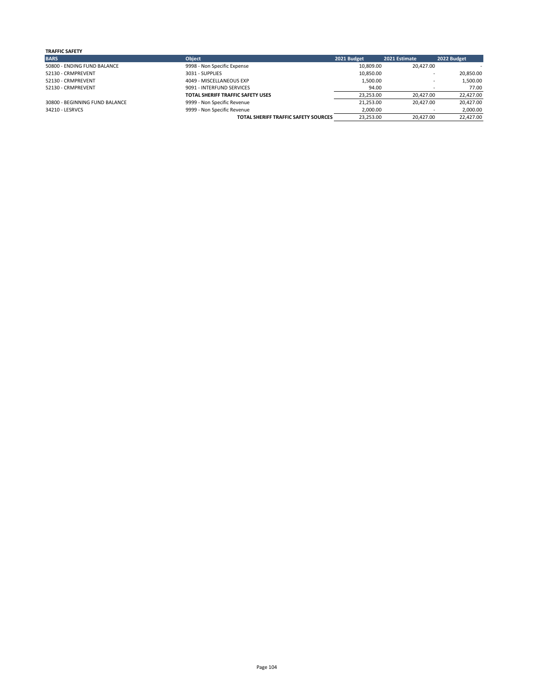| <b>TRAFFIC SAFETY</b>          |                                             |             |               |             |
|--------------------------------|---------------------------------------------|-------------|---------------|-------------|
| <b>BARS</b>                    | Object                                      | 2021 Budget | 2021 Estimate | 2022 Budget |
| 50800 - ENDING FUND BALANCE    | 9998 - Non Specific Expense                 | 10,809.00   | 20.427.00     |             |
| 52130 - CRMPREVENT             | 3031 - SUPPLIES                             | 10,850.00   |               | 20,850.00   |
| 52130 - CRMPREVENT             | 4049 - MISCELLANEOUS EXP                    | 1,500.00    |               | 1,500.00    |
| 52130 - CRMPREVENT             | 9091 - INTERFUND SERVICES                   | 94.00       |               | 77.00       |
|                                | TOTAL SHERIFF TRAFFIC SAFETY USES           | 23,253.00   | 20,427.00     | 22,427.00   |
| 30800 - BEGINNING FUND BALANCE | 9999 - Non Specific Revenue                 | 21.253.00   | 20.427.00     | 20,427.00   |
| 34210 - LESRVCS                | 9999 - Non Specific Revenue                 | 2,000.00    |               | 2,000.00    |
|                                | <b>TOTAL SHERIFF TRAFFIC SAFETY SOURCES</b> | 23,253.00   | 20.427.00     | 22,427.00   |
|                                |                                             |             |               |             |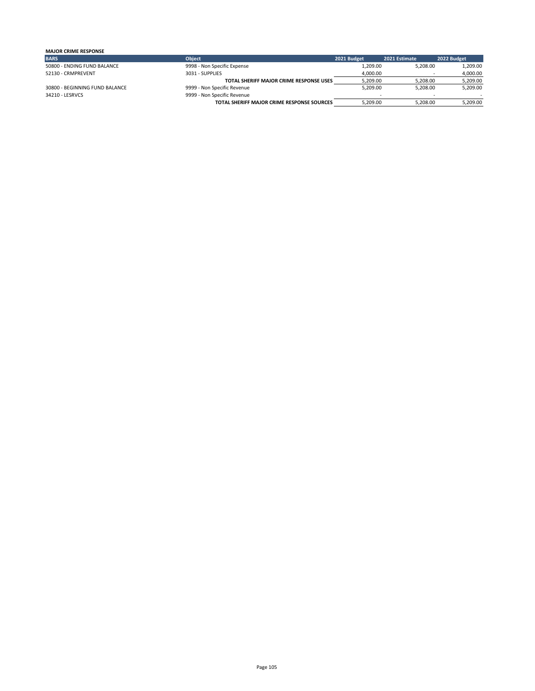| <b>MAJOR CRIME RESPONSE</b>    |                                                   |             |               |             |
|--------------------------------|---------------------------------------------------|-------------|---------------|-------------|
| <b>BARS</b>                    | <b>Object</b>                                     | 2021 Budget | 2021 Estimate | 2022 Budget |
| 50800 - ENDING FUND BALANCE    | 9998 - Non Specific Expense                       | 1.209.00    | 5.208.00      | 1,209.00    |
| 52130 - CRMPREVENT             | 3031 - SUPPLIES                                   | 4.000.00    |               | 4,000.00    |
|                                | TOTAL SHERIFF MAJOR CRIME RESPONSE USES           | 5.209.00    | 5.208.00      | 5,209.00    |
| 30800 - BEGINNING FUND BALANCE | 9999 - Non Specific Revenue                       | 5.209.00    | 5.208.00      | 5,209.00    |
| 34210 - LESRVCS                | 9999 - Non Specific Revenue                       |             |               |             |
|                                | <b>TOTAL SHERIFF MAJOR CRIME RESPONSE SOURCES</b> | 5.209.00    | 5.208.00      | 5,209.00    |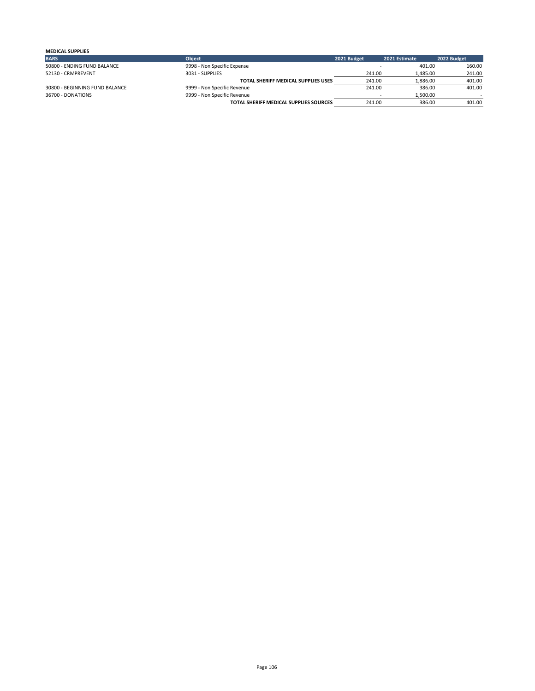| <b>MEDICAL SUPPLIES</b>        |                                        |             |                                      |             |
|--------------------------------|----------------------------------------|-------------|--------------------------------------|-------------|
| <b>BARS</b>                    | <b>Object</b>                          | 2021 Budget | 2021 Estimate                        | 2022 Budget |
| 50800 - ENDING FUND BALANCE    | 9998 - Non Specific Expense            |             | 401.00                               | 160.00      |
| 52130 - CRMPREVENT             | 3031 - SUPPLIES                        | 241.00      | 1.485.00                             | 241.00      |
|                                | TOTAL SHERIFF MEDICAL SUPPLIES USES    | 241.00      | 1.886.00                             | 401.00      |
| 30800 - BEGINNING FUND BALANCE | 9999 - Non Specific Revenue            | 241.00      | 386.00                               | 401.00      |
| 36700 - DONATIONS              | 9999 - Non Specific Revenue            |             | 1.500.00<br>$\overline{\phantom{a}}$ |             |
|                                | TOTAL SHERIFF MEDICAL SUPPLIES SOURCES | 241.00      | 386.00                               | 401.00      |